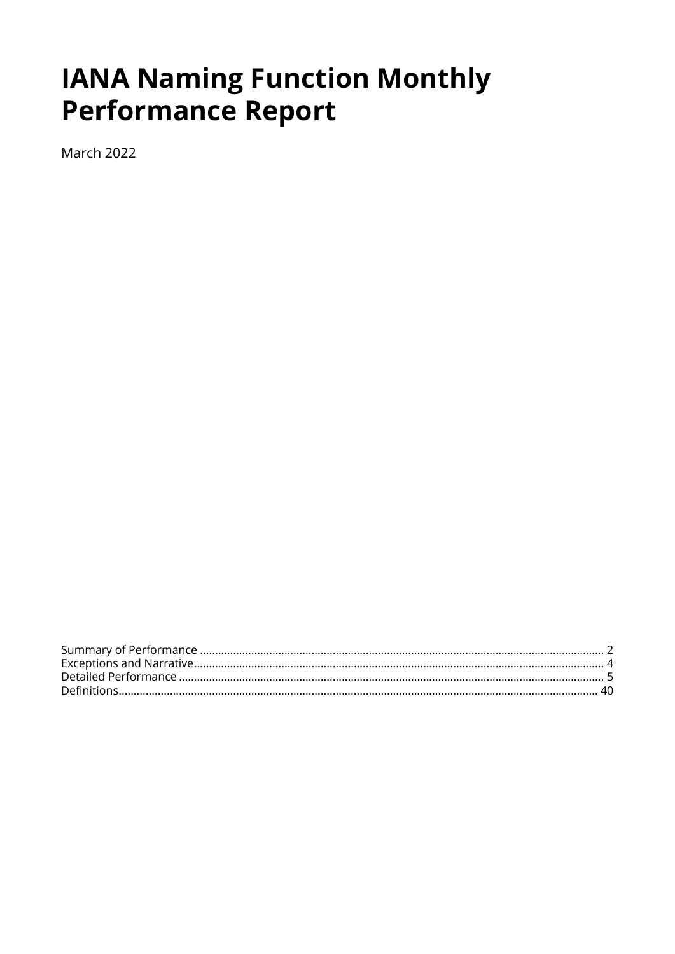# **IANA Naming Function Monthly Performance Report**

March 2022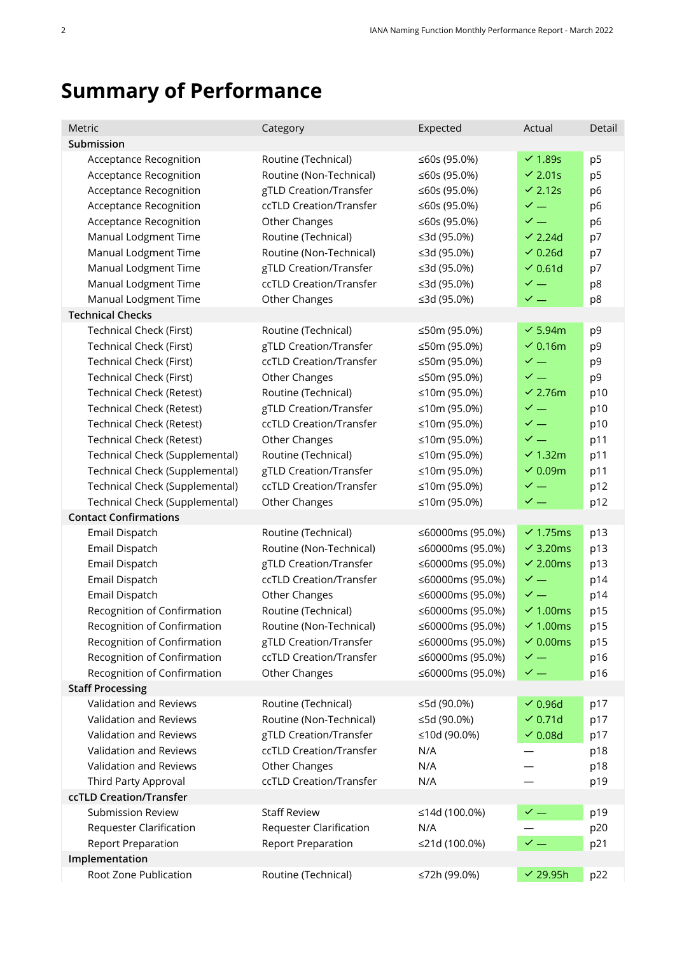# <span id="page-1-0"></span>**Summary of Performance**

| Metric                                                                                                                                                                                                                                                                                                                                 | Category                                                                                                                                                                                                                                     | Expected                                                                                                                                                                                             | Actual                                                                                                                                                                                  | Detail                                                                                 |
|----------------------------------------------------------------------------------------------------------------------------------------------------------------------------------------------------------------------------------------------------------------------------------------------------------------------------------------|----------------------------------------------------------------------------------------------------------------------------------------------------------------------------------------------------------------------------------------------|------------------------------------------------------------------------------------------------------------------------------------------------------------------------------------------------------|-----------------------------------------------------------------------------------------------------------------------------------------------------------------------------------------|----------------------------------------------------------------------------------------|
| Submission                                                                                                                                                                                                                                                                                                                             |                                                                                                                                                                                                                                              |                                                                                                                                                                                                      |                                                                                                                                                                                         |                                                                                        |
| Acceptance Recognition<br><b>Acceptance Recognition</b><br>Acceptance Recognition<br><b>Acceptance Recognition</b><br><b>Acceptance Recognition</b><br>Manual Lodgment Time<br>Manual Lodgment Time<br>Manual Lodgment Time<br>Manual Lodgment Time                                                                                    | Routine (Technical)<br>Routine (Non-Technical)<br>gTLD Creation/Transfer<br>ccTLD Creation/Transfer<br>Other Changes<br>Routine (Technical)<br>Routine (Non-Technical)<br>gTLD Creation/Transfer<br>ccTLD Creation/Transfer                  | ≤60s (95.0%)<br>≤60s (95.0%)<br>≤60s (95.0%)<br>≤60s (95.0%)<br>≤60s (95.0%)<br>≤3d (95.0%)<br>≤3d (95.0%)<br>≤3d (95.0%)<br>≤3d (95.0%)                                                             | $\vee$ 1.89s<br>$\vee$ 2.01s<br>$\vee$ 2.12s<br>$\checkmark$ $-$<br>$\checkmark$ $=$<br>$\vee$ 2.24d<br>$\vee$ 0.26d<br>$\vee$ 0.61d<br>$\checkmark$ $-$                                | p <sub>5</sub><br>p <sub>5</sub><br>p6<br>p <sub>6</sub><br>p6<br>p7<br>p7<br>p7<br>p8 |
| Manual Lodgment Time                                                                                                                                                                                                                                                                                                                   | Other Changes                                                                                                                                                                                                                                | ≤3d (95.0%)                                                                                                                                                                                          | $\checkmark$ $-$                                                                                                                                                                        | p8                                                                                     |
| <b>Technical Checks</b>                                                                                                                                                                                                                                                                                                                |                                                                                                                                                                                                                                              |                                                                                                                                                                                                      |                                                                                                                                                                                         |                                                                                        |
| <b>Technical Check (First)</b><br><b>Technical Check (First)</b><br>Technical Check (First)<br>Technical Check (First)<br><b>Technical Check (Retest)</b><br><b>Technical Check (Retest)</b><br><b>Technical Check (Retest)</b><br><b>Technical Check (Retest)</b><br>Technical Check (Supplemental)<br>Technical Check (Supplemental) | Routine (Technical)<br>gTLD Creation/Transfer<br>ccTLD Creation/Transfer<br>Other Changes<br>Routine (Technical)<br>gTLD Creation/Transfer<br>ccTLD Creation/Transfer<br>Other Changes<br>Routine (Technical)<br>gTLD Creation/Transfer      | ≤50m (95.0%)<br>≤50m (95.0%)<br>≤50m (95.0%)<br>≤50m (95.0%)<br>≤10m (95.0%)<br>≤10m (95.0%)<br>≤10m (95.0%)<br>≤10m (95.0%)<br>≤10m (95.0%)<br>≤10m (95.0%)                                         | $\checkmark$ 5.94m<br>$\sim$ 0.16m<br>$\checkmark$ $-$<br>$\checkmark$ $=$<br>$\sim$ 2.76m<br>$\checkmark$ $-$<br>$\checkmark$ $-$<br>$\checkmark$ $=$<br>$\vee$ 1.32m<br>$\sim 0.09$ m | p9<br>p9<br>p9<br>p9<br>p10<br>p10<br>p10<br>p11<br>p11<br>p11                         |
| Technical Check (Supplemental)<br>Technical Check (Supplemental)                                                                                                                                                                                                                                                                       | ccTLD Creation/Transfer<br>Other Changes                                                                                                                                                                                                     | ≤10m (95.0%)<br>≤10m (95.0%)                                                                                                                                                                         | $\checkmark$ $=$<br>$\checkmark$ $=$                                                                                                                                                    | p12<br>p12                                                                             |
| <b>Contact Confirmations</b>                                                                                                                                                                                                                                                                                                           |                                                                                                                                                                                                                                              |                                                                                                                                                                                                      |                                                                                                                                                                                         |                                                                                        |
| Email Dispatch<br>Email Dispatch<br>Email Dispatch<br>Email Dispatch<br>Email Dispatch<br>Recognition of Confirmation<br>Recognition of Confirmation<br>Recognition of Confirmation<br>Recognition of Confirmation<br>Recognition of Confirmation                                                                                      | Routine (Technical)<br>Routine (Non-Technical)<br>gTLD Creation/Transfer<br>ccTLD Creation/Transfer<br>Other Changes<br>Routine (Technical)<br>Routine (Non-Technical)<br>gTLD Creation/Transfer<br>ccTLD Creation/Transfer<br>Other Changes | ≤60000ms (95.0%)<br>≤60000ms (95.0%)<br>≤60000ms (95.0%)<br>≤60000ms (95.0%)<br>≤60000ms (95.0%)<br>≤60000ms (95.0%)<br>≤60000ms (95.0%)<br>≤60000ms (95.0%)<br>≤60000ms (95.0%)<br>≤60000ms (95.0%) | $\sim$ 1.75ms<br>$\sim$ 3.20ms<br>$\sim$ 2.00ms<br>$\checkmark$ $-$<br>$\checkmark$ $-$<br>$\sim$ 1.00ms<br>$\sim$ 1.00ms<br>$\sim$ 0.00ms<br>$\checkmark$ $-$<br>$\checkmark$ $-$      | p13<br>p13<br>p13<br>p14<br>p14<br>p15<br>p15<br>p15<br>p16<br>p16                     |
| <b>Staff Processing</b>                                                                                                                                                                                                                                                                                                                |                                                                                                                                                                                                                                              |                                                                                                                                                                                                      |                                                                                                                                                                                         |                                                                                        |
| <b>Validation and Reviews</b><br>Validation and Reviews<br>Validation and Reviews<br>Validation and Reviews<br>Validation and Reviews<br>Third Party Approval                                                                                                                                                                          | Routine (Technical)<br>Routine (Non-Technical)<br>gTLD Creation/Transfer<br>ccTLD Creation/Transfer<br>Other Changes<br>ccTLD Creation/Transfer                                                                                              | ≤5d (90.0%)<br>≤5d (90.0%)<br>≤10d (90.0%)<br>N/A<br>N/A<br>N/A                                                                                                                                      | $\vee$ 0.96d<br>$\vee$ 0.71d<br>$\sim$ 0.08d                                                                                                                                            | p17<br>p17<br>p17<br>p18<br>p18<br>p19                                                 |
| ccTLD Creation/Transfer                                                                                                                                                                                                                                                                                                                |                                                                                                                                                                                                                                              |                                                                                                                                                                                                      |                                                                                                                                                                                         |                                                                                        |
| <b>Submission Review</b><br>Requester Clarification<br><b>Report Preparation</b><br>Implementation                                                                                                                                                                                                                                     | <b>Staff Review</b><br><b>Requester Clarification</b><br><b>Report Preparation</b>                                                                                                                                                           | ≤14d (100.0%)<br>N/A<br>≤21d (100.0%)                                                                                                                                                                | $\checkmark$ $-$<br>$\checkmark$ —                                                                                                                                                      | p19<br>p20<br>p21                                                                      |
| Root Zone Publication                                                                                                                                                                                                                                                                                                                  | Routine (Technical)                                                                                                                                                                                                                          | ≤72h (99.0%)                                                                                                                                                                                         | $\sim$ 29.95h                                                                                                                                                                           | p22                                                                                    |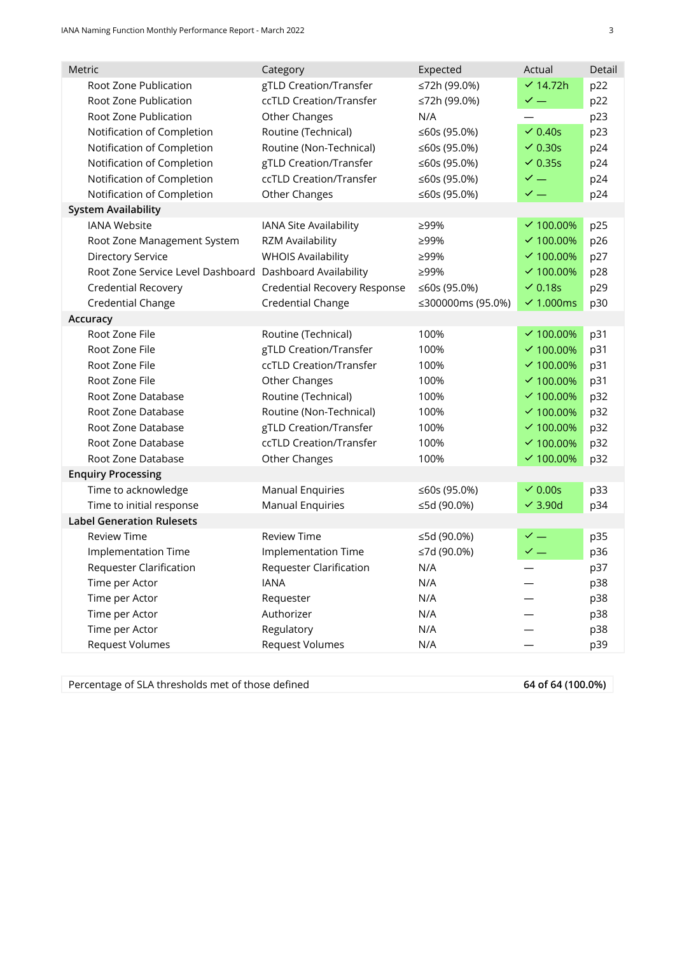| gTLD Creation/Transfer<br>≤72h (99.0%)<br>$\times$ 14.72h<br>Root Zone Publication<br>p22<br>ccTLD Creation/Transfer<br>$\checkmark$ $-$<br>Root Zone Publication<br>≤72h (99.0%)<br>p22<br>Root Zone Publication<br>p23<br>Other Changes<br>N/A<br>$\vee$ 0.40s<br>Notification of Completion<br>Routine (Technical)<br>p23<br>≤60s (95.0%)<br>$\vee$ 0.30s<br>p24<br>Notification of Completion<br>Routine (Non-Technical)<br>≤60s (95.0%)<br>Notification of Completion<br>gTLD Creation/Transfer<br>$\vee$ 0.35s<br>p24<br>≤60s (95.0%)<br>$\checkmark$ —<br>Notification of Completion<br>ccTLD Creation/Transfer<br>p24<br>≤60s (95.0%)<br>Notification of Completion<br>Other Changes<br>$\checkmark$ $-$<br>≤60s (95.0%)<br>p24<br><b>System Availability</b><br><b>IANA Website</b><br>IANA Site Availability<br>≥99%<br>$\times$ 100.00%<br>p25<br>$\times$ 100.00%<br>Root Zone Management System<br>RZM Availability<br>≥99%<br>p26<br><b>WHOIS Availability</b><br>$\times$ 100.00%<br>p27<br><b>Directory Service</b><br>≥99%<br>Root Zone Service Level Dashboard Dashboard Availability<br>p28<br>≥99%<br>$×100.00\%$<br>$\sqrt{0.18s}$<br>p29<br><b>Credential Recovery</b><br>Credential Recovery Response<br>≤60s (95.0%)<br>Credential Change<br>$\sim$ 1.000ms<br>Credential Change<br>≤300000ms (95.0%)<br>p30<br>Accuracy<br>Root Zone File<br>Routine (Technical)<br>100%<br>$×100.00\%$<br>p31<br>Root Zone File<br>gTLD Creation/Transfer<br>$\times$ 100.00%<br>100%<br>p31<br>Root Zone File<br>ccTLD Creation/Transfer<br>$\times$ 100.00%<br>p31<br>100%<br>Root Zone File<br>Other Changes<br>$\times$ 100.00%<br>p31<br>100%<br>Routine (Technical)<br>Root Zone Database<br>$×100.00\%$<br>p32<br>100%<br>Root Zone Database<br>Routine (Non-Technical)<br>$\times$ 100.00%<br>p32<br>100%<br>Root Zone Database<br>gTLD Creation/Transfer<br>100%<br>$×100.00\%$<br>p32<br>ccTLD Creation/Transfer<br>$\times$ 100.00%<br>p32<br>Root Zone Database<br>100%<br>Root Zone Database<br>$\times$ 100.00%<br>Other Changes<br>100%<br>p32<br><b>Enquiry Processing</b><br>Time to acknowledge<br><b>Manual Enquiries</b><br>$\sqrt{0.00s}$<br>p33<br>≤60s (95.0%)<br>Time to initial response<br><b>Manual Enquiries</b><br>$\overline{\smash{\sim}}$ 3.90d<br>≤5d (90.0%)<br>p34<br><b>Label Generation Rulesets</b><br>$\checkmark$ $-$<br><b>Review Time</b><br><b>Review Time</b><br>≤5d (90.0%)<br>p35<br>$\checkmark$ $-$<br>≤7d (90.0%)<br>Implementation Time<br><b>Implementation Time</b><br>p36<br><b>Requester Clarification</b><br><b>Requester Clarification</b><br>N/A<br>p37<br><b>IANA</b><br>N/A<br>p38<br>Time per Actor<br>Time per Actor<br>N/A<br>p38<br>Requester<br>Time per Actor<br>Authorizer<br>N/A<br>p38<br>Time per Actor<br>Regulatory<br>N/A<br>p38<br>Request Volumes<br>Request Volumes<br>N/A<br>p39 | Metric | Category | Expected | Actual | Detail |
|------------------------------------------------------------------------------------------------------------------------------------------------------------------------------------------------------------------------------------------------------------------------------------------------------------------------------------------------------------------------------------------------------------------------------------------------------------------------------------------------------------------------------------------------------------------------------------------------------------------------------------------------------------------------------------------------------------------------------------------------------------------------------------------------------------------------------------------------------------------------------------------------------------------------------------------------------------------------------------------------------------------------------------------------------------------------------------------------------------------------------------------------------------------------------------------------------------------------------------------------------------------------------------------------------------------------------------------------------------------------------------------------------------------------------------------------------------------------------------------------------------------------------------------------------------------------------------------------------------------------------------------------------------------------------------------------------------------------------------------------------------------------------------------------------------------------------------------------------------------------------------------------------------------------------------------------------------------------------------------------------------------------------------------------------------------------------------------------------------------------------------------------------------------------------------------------------------------------------------------------------------------------------------------------------------------------------------------------------------------------------------------------------------------------------------------------------------------------------------------------------------------------------------------------------------------------------------------------------------------------------------------------------------------------------------------------------------------------------------------------------------------------------------------------------------------------------------------------------------------------|--------|----------|----------|--------|--------|
|                                                                                                                                                                                                                                                                                                                                                                                                                                                                                                                                                                                                                                                                                                                                                                                                                                                                                                                                                                                                                                                                                                                                                                                                                                                                                                                                                                                                                                                                                                                                                                                                                                                                                                                                                                                                                                                                                                                                                                                                                                                                                                                                                                                                                                                                                                                                                                                                                                                                                                                                                                                                                                                                                                                                                                                                                                                                        |        |          |          |        |        |
|                                                                                                                                                                                                                                                                                                                                                                                                                                                                                                                                                                                                                                                                                                                                                                                                                                                                                                                                                                                                                                                                                                                                                                                                                                                                                                                                                                                                                                                                                                                                                                                                                                                                                                                                                                                                                                                                                                                                                                                                                                                                                                                                                                                                                                                                                                                                                                                                                                                                                                                                                                                                                                                                                                                                                                                                                                                                        |        |          |          |        |        |
|                                                                                                                                                                                                                                                                                                                                                                                                                                                                                                                                                                                                                                                                                                                                                                                                                                                                                                                                                                                                                                                                                                                                                                                                                                                                                                                                                                                                                                                                                                                                                                                                                                                                                                                                                                                                                                                                                                                                                                                                                                                                                                                                                                                                                                                                                                                                                                                                                                                                                                                                                                                                                                                                                                                                                                                                                                                                        |        |          |          |        |        |
|                                                                                                                                                                                                                                                                                                                                                                                                                                                                                                                                                                                                                                                                                                                                                                                                                                                                                                                                                                                                                                                                                                                                                                                                                                                                                                                                                                                                                                                                                                                                                                                                                                                                                                                                                                                                                                                                                                                                                                                                                                                                                                                                                                                                                                                                                                                                                                                                                                                                                                                                                                                                                                                                                                                                                                                                                                                                        |        |          |          |        |        |
|                                                                                                                                                                                                                                                                                                                                                                                                                                                                                                                                                                                                                                                                                                                                                                                                                                                                                                                                                                                                                                                                                                                                                                                                                                                                                                                                                                                                                                                                                                                                                                                                                                                                                                                                                                                                                                                                                                                                                                                                                                                                                                                                                                                                                                                                                                                                                                                                                                                                                                                                                                                                                                                                                                                                                                                                                                                                        |        |          |          |        |        |
|                                                                                                                                                                                                                                                                                                                                                                                                                                                                                                                                                                                                                                                                                                                                                                                                                                                                                                                                                                                                                                                                                                                                                                                                                                                                                                                                                                                                                                                                                                                                                                                                                                                                                                                                                                                                                                                                                                                                                                                                                                                                                                                                                                                                                                                                                                                                                                                                                                                                                                                                                                                                                                                                                                                                                                                                                                                                        |        |          |          |        |        |
|                                                                                                                                                                                                                                                                                                                                                                                                                                                                                                                                                                                                                                                                                                                                                                                                                                                                                                                                                                                                                                                                                                                                                                                                                                                                                                                                                                                                                                                                                                                                                                                                                                                                                                                                                                                                                                                                                                                                                                                                                                                                                                                                                                                                                                                                                                                                                                                                                                                                                                                                                                                                                                                                                                                                                                                                                                                                        |        |          |          |        |        |
|                                                                                                                                                                                                                                                                                                                                                                                                                                                                                                                                                                                                                                                                                                                                                                                                                                                                                                                                                                                                                                                                                                                                                                                                                                                                                                                                                                                                                                                                                                                                                                                                                                                                                                                                                                                                                                                                                                                                                                                                                                                                                                                                                                                                                                                                                                                                                                                                                                                                                                                                                                                                                                                                                                                                                                                                                                                                        |        |          |          |        |        |
|                                                                                                                                                                                                                                                                                                                                                                                                                                                                                                                                                                                                                                                                                                                                                                                                                                                                                                                                                                                                                                                                                                                                                                                                                                                                                                                                                                                                                                                                                                                                                                                                                                                                                                                                                                                                                                                                                                                                                                                                                                                                                                                                                                                                                                                                                                                                                                                                                                                                                                                                                                                                                                                                                                                                                                                                                                                                        |        |          |          |        |        |
|                                                                                                                                                                                                                                                                                                                                                                                                                                                                                                                                                                                                                                                                                                                                                                                                                                                                                                                                                                                                                                                                                                                                                                                                                                                                                                                                                                                                                                                                                                                                                                                                                                                                                                                                                                                                                                                                                                                                                                                                                                                                                                                                                                                                                                                                                                                                                                                                                                                                                                                                                                                                                                                                                                                                                                                                                                                                        |        |          |          |        |        |
|                                                                                                                                                                                                                                                                                                                                                                                                                                                                                                                                                                                                                                                                                                                                                                                                                                                                                                                                                                                                                                                                                                                                                                                                                                                                                                                                                                                                                                                                                                                                                                                                                                                                                                                                                                                                                                                                                                                                                                                                                                                                                                                                                                                                                                                                                                                                                                                                                                                                                                                                                                                                                                                                                                                                                                                                                                                                        |        |          |          |        |        |
|                                                                                                                                                                                                                                                                                                                                                                                                                                                                                                                                                                                                                                                                                                                                                                                                                                                                                                                                                                                                                                                                                                                                                                                                                                                                                                                                                                                                                                                                                                                                                                                                                                                                                                                                                                                                                                                                                                                                                                                                                                                                                                                                                                                                                                                                                                                                                                                                                                                                                                                                                                                                                                                                                                                                                                                                                                                                        |        |          |          |        |        |
|                                                                                                                                                                                                                                                                                                                                                                                                                                                                                                                                                                                                                                                                                                                                                                                                                                                                                                                                                                                                                                                                                                                                                                                                                                                                                                                                                                                                                                                                                                                                                                                                                                                                                                                                                                                                                                                                                                                                                                                                                                                                                                                                                                                                                                                                                                                                                                                                                                                                                                                                                                                                                                                                                                                                                                                                                                                                        |        |          |          |        |        |
|                                                                                                                                                                                                                                                                                                                                                                                                                                                                                                                                                                                                                                                                                                                                                                                                                                                                                                                                                                                                                                                                                                                                                                                                                                                                                                                                                                                                                                                                                                                                                                                                                                                                                                                                                                                                                                                                                                                                                                                                                                                                                                                                                                                                                                                                                                                                                                                                                                                                                                                                                                                                                                                                                                                                                                                                                                                                        |        |          |          |        |        |
|                                                                                                                                                                                                                                                                                                                                                                                                                                                                                                                                                                                                                                                                                                                                                                                                                                                                                                                                                                                                                                                                                                                                                                                                                                                                                                                                                                                                                                                                                                                                                                                                                                                                                                                                                                                                                                                                                                                                                                                                                                                                                                                                                                                                                                                                                                                                                                                                                                                                                                                                                                                                                                                                                                                                                                                                                                                                        |        |          |          |        |        |
|                                                                                                                                                                                                                                                                                                                                                                                                                                                                                                                                                                                                                                                                                                                                                                                                                                                                                                                                                                                                                                                                                                                                                                                                                                                                                                                                                                                                                                                                                                                                                                                                                                                                                                                                                                                                                                                                                                                                                                                                                                                                                                                                                                                                                                                                                                                                                                                                                                                                                                                                                                                                                                                                                                                                                                                                                                                                        |        |          |          |        |        |
|                                                                                                                                                                                                                                                                                                                                                                                                                                                                                                                                                                                                                                                                                                                                                                                                                                                                                                                                                                                                                                                                                                                                                                                                                                                                                                                                                                                                                                                                                                                                                                                                                                                                                                                                                                                                                                                                                                                                                                                                                                                                                                                                                                                                                                                                                                                                                                                                                                                                                                                                                                                                                                                                                                                                                                                                                                                                        |        |          |          |        |        |
|                                                                                                                                                                                                                                                                                                                                                                                                                                                                                                                                                                                                                                                                                                                                                                                                                                                                                                                                                                                                                                                                                                                                                                                                                                                                                                                                                                                                                                                                                                                                                                                                                                                                                                                                                                                                                                                                                                                                                                                                                                                                                                                                                                                                                                                                                                                                                                                                                                                                                                                                                                                                                                                                                                                                                                                                                                                                        |        |          |          |        |        |
|                                                                                                                                                                                                                                                                                                                                                                                                                                                                                                                                                                                                                                                                                                                                                                                                                                                                                                                                                                                                                                                                                                                                                                                                                                                                                                                                                                                                                                                                                                                                                                                                                                                                                                                                                                                                                                                                                                                                                                                                                                                                                                                                                                                                                                                                                                                                                                                                                                                                                                                                                                                                                                                                                                                                                                                                                                                                        |        |          |          |        |        |
|                                                                                                                                                                                                                                                                                                                                                                                                                                                                                                                                                                                                                                                                                                                                                                                                                                                                                                                                                                                                                                                                                                                                                                                                                                                                                                                                                                                                                                                                                                                                                                                                                                                                                                                                                                                                                                                                                                                                                                                                                                                                                                                                                                                                                                                                                                                                                                                                                                                                                                                                                                                                                                                                                                                                                                                                                                                                        |        |          |          |        |        |
|                                                                                                                                                                                                                                                                                                                                                                                                                                                                                                                                                                                                                                                                                                                                                                                                                                                                                                                                                                                                                                                                                                                                                                                                                                                                                                                                                                                                                                                                                                                                                                                                                                                                                                                                                                                                                                                                                                                                                                                                                                                                                                                                                                                                                                                                                                                                                                                                                                                                                                                                                                                                                                                                                                                                                                                                                                                                        |        |          |          |        |        |
|                                                                                                                                                                                                                                                                                                                                                                                                                                                                                                                                                                                                                                                                                                                                                                                                                                                                                                                                                                                                                                                                                                                                                                                                                                                                                                                                                                                                                                                                                                                                                                                                                                                                                                                                                                                                                                                                                                                                                                                                                                                                                                                                                                                                                                                                                                                                                                                                                                                                                                                                                                                                                                                                                                                                                                                                                                                                        |        |          |          |        |        |
|                                                                                                                                                                                                                                                                                                                                                                                                                                                                                                                                                                                                                                                                                                                                                                                                                                                                                                                                                                                                                                                                                                                                                                                                                                                                                                                                                                                                                                                                                                                                                                                                                                                                                                                                                                                                                                                                                                                                                                                                                                                                                                                                                                                                                                                                                                                                                                                                                                                                                                                                                                                                                                                                                                                                                                                                                                                                        |        |          |          |        |        |
|                                                                                                                                                                                                                                                                                                                                                                                                                                                                                                                                                                                                                                                                                                                                                                                                                                                                                                                                                                                                                                                                                                                                                                                                                                                                                                                                                                                                                                                                                                                                                                                                                                                                                                                                                                                                                                                                                                                                                                                                                                                                                                                                                                                                                                                                                                                                                                                                                                                                                                                                                                                                                                                                                                                                                                                                                                                                        |        |          |          |        |        |
|                                                                                                                                                                                                                                                                                                                                                                                                                                                                                                                                                                                                                                                                                                                                                                                                                                                                                                                                                                                                                                                                                                                                                                                                                                                                                                                                                                                                                                                                                                                                                                                                                                                                                                                                                                                                                                                                                                                                                                                                                                                                                                                                                                                                                                                                                                                                                                                                                                                                                                                                                                                                                                                                                                                                                                                                                                                                        |        |          |          |        |        |
|                                                                                                                                                                                                                                                                                                                                                                                                                                                                                                                                                                                                                                                                                                                                                                                                                                                                                                                                                                                                                                                                                                                                                                                                                                                                                                                                                                                                                                                                                                                                                                                                                                                                                                                                                                                                                                                                                                                                                                                                                                                                                                                                                                                                                                                                                                                                                                                                                                                                                                                                                                                                                                                                                                                                                                                                                                                                        |        |          |          |        |        |
|                                                                                                                                                                                                                                                                                                                                                                                                                                                                                                                                                                                                                                                                                                                                                                                                                                                                                                                                                                                                                                                                                                                                                                                                                                                                                                                                                                                                                                                                                                                                                                                                                                                                                                                                                                                                                                                                                                                                                                                                                                                                                                                                                                                                                                                                                                                                                                                                                                                                                                                                                                                                                                                                                                                                                                                                                                                                        |        |          |          |        |        |
|                                                                                                                                                                                                                                                                                                                                                                                                                                                                                                                                                                                                                                                                                                                                                                                                                                                                                                                                                                                                                                                                                                                                                                                                                                                                                                                                                                                                                                                                                                                                                                                                                                                                                                                                                                                                                                                                                                                                                                                                                                                                                                                                                                                                                                                                                                                                                                                                                                                                                                                                                                                                                                                                                                                                                                                                                                                                        |        |          |          |        |        |
|                                                                                                                                                                                                                                                                                                                                                                                                                                                                                                                                                                                                                                                                                                                                                                                                                                                                                                                                                                                                                                                                                                                                                                                                                                                                                                                                                                                                                                                                                                                                                                                                                                                                                                                                                                                                                                                                                                                                                                                                                                                                                                                                                                                                                                                                                                                                                                                                                                                                                                                                                                                                                                                                                                                                                                                                                                                                        |        |          |          |        |        |
|                                                                                                                                                                                                                                                                                                                                                                                                                                                                                                                                                                                                                                                                                                                                                                                                                                                                                                                                                                                                                                                                                                                                                                                                                                                                                                                                                                                                                                                                                                                                                                                                                                                                                                                                                                                                                                                                                                                                                                                                                                                                                                                                                                                                                                                                                                                                                                                                                                                                                                                                                                                                                                                                                                                                                                                                                                                                        |        |          |          |        |        |
|                                                                                                                                                                                                                                                                                                                                                                                                                                                                                                                                                                                                                                                                                                                                                                                                                                                                                                                                                                                                                                                                                                                                                                                                                                                                                                                                                                                                                                                                                                                                                                                                                                                                                                                                                                                                                                                                                                                                                                                                                                                                                                                                                                                                                                                                                                                                                                                                                                                                                                                                                                                                                                                                                                                                                                                                                                                                        |        |          |          |        |        |
|                                                                                                                                                                                                                                                                                                                                                                                                                                                                                                                                                                                                                                                                                                                                                                                                                                                                                                                                                                                                                                                                                                                                                                                                                                                                                                                                                                                                                                                                                                                                                                                                                                                                                                                                                                                                                                                                                                                                                                                                                                                                                                                                                                                                                                                                                                                                                                                                                                                                                                                                                                                                                                                                                                                                                                                                                                                                        |        |          |          |        |        |
|                                                                                                                                                                                                                                                                                                                                                                                                                                                                                                                                                                                                                                                                                                                                                                                                                                                                                                                                                                                                                                                                                                                                                                                                                                                                                                                                                                                                                                                                                                                                                                                                                                                                                                                                                                                                                                                                                                                                                                                                                                                                                                                                                                                                                                                                                                                                                                                                                                                                                                                                                                                                                                                                                                                                                                                                                                                                        |        |          |          |        |        |
|                                                                                                                                                                                                                                                                                                                                                                                                                                                                                                                                                                                                                                                                                                                                                                                                                                                                                                                                                                                                                                                                                                                                                                                                                                                                                                                                                                                                                                                                                                                                                                                                                                                                                                                                                                                                                                                                                                                                                                                                                                                                                                                                                                                                                                                                                                                                                                                                                                                                                                                                                                                                                                                                                                                                                                                                                                                                        |        |          |          |        |        |
|                                                                                                                                                                                                                                                                                                                                                                                                                                                                                                                                                                                                                                                                                                                                                                                                                                                                                                                                                                                                                                                                                                                                                                                                                                                                                                                                                                                                                                                                                                                                                                                                                                                                                                                                                                                                                                                                                                                                                                                                                                                                                                                                                                                                                                                                                                                                                                                                                                                                                                                                                                                                                                                                                                                                                                                                                                                                        |        |          |          |        |        |
|                                                                                                                                                                                                                                                                                                                                                                                                                                                                                                                                                                                                                                                                                                                                                                                                                                                                                                                                                                                                                                                                                                                                                                                                                                                                                                                                                                                                                                                                                                                                                                                                                                                                                                                                                                                                                                                                                                                                                                                                                                                                                                                                                                                                                                                                                                                                                                                                                                                                                                                                                                                                                                                                                                                                                                                                                                                                        |        |          |          |        |        |
|                                                                                                                                                                                                                                                                                                                                                                                                                                                                                                                                                                                                                                                                                                                                                                                                                                                                                                                                                                                                                                                                                                                                                                                                                                                                                                                                                                                                                                                                                                                                                                                                                                                                                                                                                                                                                                                                                                                                                                                                                                                                                                                                                                                                                                                                                                                                                                                                                                                                                                                                                                                                                                                                                                                                                                                                                                                                        |        |          |          |        |        |

Percentage of SLA thresholds met of those defined **64 of 64 (100.0%)**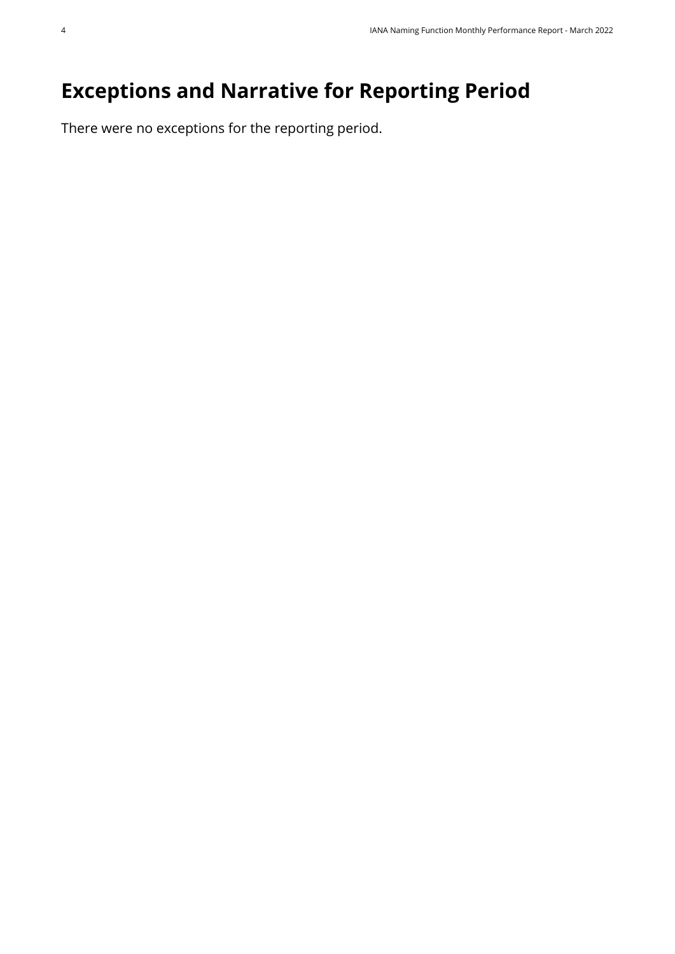## <span id="page-3-0"></span>**Exceptions and Narrative for Reporting Period**

There were no exceptions for the reporting period.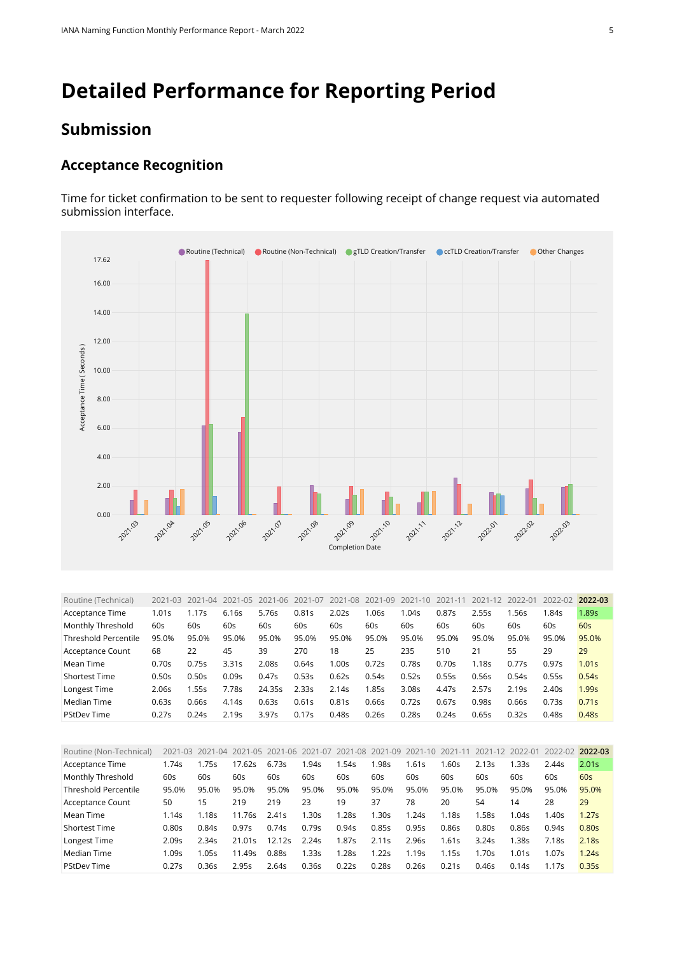## <span id="page-4-0"></span>**Detailed Performance for Reporting Period**

#### **Submission**

#### **Acceptance Recognition**

Time for ticket confirmation to be sent to requester following receipt of change request via automated submission interface.



<span id="page-4-1"></span>

| Routine (Technical)         | 2021-03 | 2021-04 | 2021-05           | 2021-06 | 2021-07 | 2021-08 | 2021-09 | 2021-10 | 2021-11 | 2021-12 | 2022-01           | 2022-02 | 2022-03           |
|-----------------------------|---------|---------|-------------------|---------|---------|---------|---------|---------|---------|---------|-------------------|---------|-------------------|
| Acceptance Time             | 1.01s   | 1.17s   | 6.16s             | 5.76s   | 0.81s   | 2.02s   | .06s    | 1.04s   | 0.87s   | 2.55s   | l.56s             | 1.84s   | 1.89s             |
| Monthly Threshold           | 60s     | 60s     | 60s               | 60s     | 60s     | 60s     | 60s     | 60s     | 60s     | 60s     | 60s               | 60s     | 60s               |
| <b>Threshold Percentile</b> | 95.0%   | 95.0%   | 95.0%             | 95.0%   | 95.0%   | 95.0%   | 95.0%   | 95.0%   | 95.0%   | 95.0%   | 95.0%             | 95.0%   | 95.0%             |
| Acceptance Count            | 68      | 22      | 45                | 39      | 270     | 18      | 25      | 235     | 510     | 21      | 55                | 29      | 29                |
| Mean Time                   | 0.70s   | 0.75s   | 3.31s             | 2.085   | 0.64s   | 1.00s   | 0.72s   | 0.78s   | 0.70s   | 1.18s   | 0.77s             | 0.97s   | 1.01 <sub>S</sub> |
| <b>Shortest Time</b>        | 0.50s   | 0.50s   | 0.09s             | 0.47s   | 0.53s   | 0.62s   | 0.54s   | 0.52s   | 0.55s   | 0.56s   | 0.54s             | 0.55s   | 0.54s             |
| Longest Time                | 2.06s   | 1.55s   | 7.78s             | 24.35s  | 2.33s   | 2.14s   | 1.85s   | 3.08s   | 4.47s   | 2.57s   | 2.19 <sub>S</sub> | 2.40s   | 1.99s             |
| Median Time                 | 0.63s   | 0.66s   | 4.14s             | 0.63s   | 0.61s   | 0.81s   | 0.66s   | 0.72s   | 0.67s   | 0.98s   | 0.66s             | 0.73s   | 0.71s             |
| <b>PStDev Time</b>          | 0.27s   | 0.24s   | 2.19 <sub>S</sub> | 3.97s   | 0.17s   | 0.48s   | 0.26s   | 0.28s   | 0.24s   | 0.65s   | 0.32s             | 0.48s   | 0.48s             |

<span id="page-4-2"></span>

| Routine (Non-Technical) |       | 2021-03 2021-04 |        | 2021-05 2021-06 | 2021-07 | 2021-08 2021-09 |       | 2021-10           | 2021-11 | 2021-12 | 2022-01 | 2022-02 2022-03 |                   |
|-------------------------|-------|-----------------|--------|-----------------|---------|-----------------|-------|-------------------|---------|---------|---------|-----------------|-------------------|
| Acceptance Time         | 1.74s | .75s            | 17.62s | 6.73s           | 1.94s   | .54s            | .98s  | 1.61s             | .60s    | 2.13s   | l.33s   | 2.44s           | 2.01 <sub>S</sub> |
| Monthly Threshold       | 60s   | 60s             | 60s    | 60s             | 60s     | 60s             | 60s   | 60s               | 60s     | 60s     | 60s     | 60s             | 60s               |
| Threshold Percentile    | 95.0% | 95.0%           | 95.0%  | 95.0%           | 95.0%   | 95.0%           | 95.0% | 95.0%             | 95.0%   | 95.0%   | 95.0%   | 95.0%           | 95.0%             |
| Acceptance Count        | 50    | 15              | 219    | 219             | 23      | 19              | 37    | 78                | 20      | 54      | 14      | 28              | 29                |
| Mean Time               | 1.14s | 1.18s           | 11.76s | 2.41s           | 1.30s   | 1.28s           | 1.30s | 1.24s             | 1.18s   | 1.58s   | 1.04s   | 1.40s           | 1.27s             |
| <b>Shortest Time</b>    | 0.80s | 0.84s           | 0.97s  | 0.74s           | 0.79s   | 0.94s           | 0.85s | 0.95s             | 0.86s   | 0.80s   | 0.86s   | 0.94s           | 0.80s             |
| Longest Time            | 2.09s | 2.34s           | 21.01s | 12.12s          | 2.24s   | 1.87s           | 2.11s | 2.96s             | .61s    | 3.24s   | 1.38s   | 7.18s           | 2.18 <sub>S</sub> |
| Median Time             | 1.09s | .05s            | 11.49s | 0.885           | 1.33s   | l.28s           | 1.22s | 1.19 <sub>S</sub> | 1.15s   | 1.70s   | 1.01s   | 1.07s           | 1.24s             |
| <b>PStDev Time</b>      | 0.27s | 0.36s           | 2.95s  | 2.64s           | 0.36s   | 0.22s           | 0.28s | 0.26s             | 0.21s   | 0.46s   | 0.14s   | 1.17s           | 0.35s             |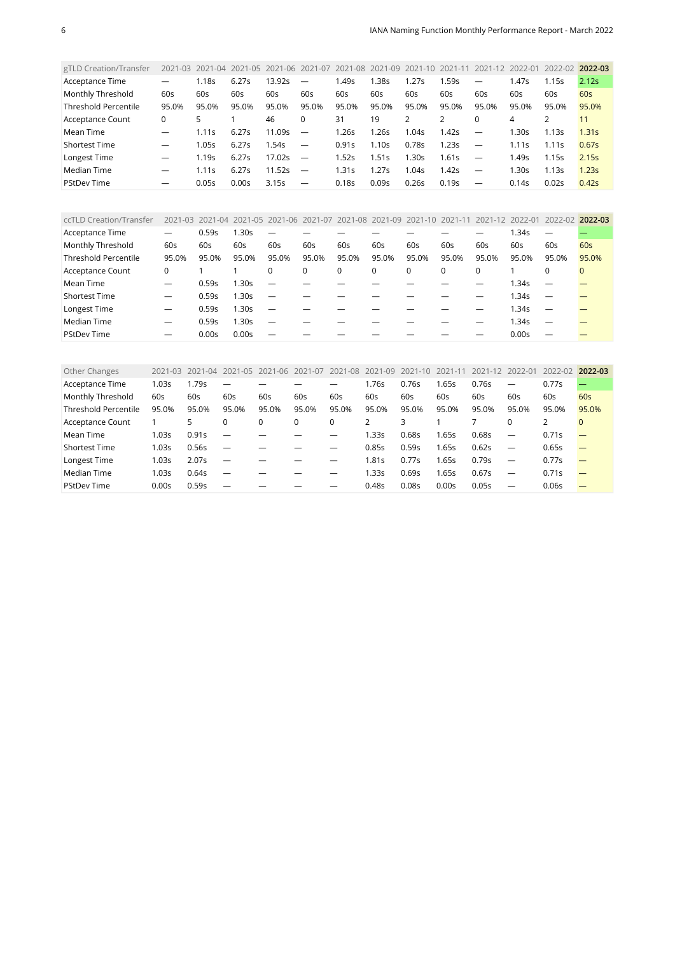<span id="page-5-0"></span>

| gTLD Creation/Transfer      | $2021 - 03$              | 2021-04           | 2021-05 | 2021-06 2021-07 |                          | 2021-08 | 2021-09 | 2021-10 | $2021 - 11$ | 2021-12 2022-01          |       | 2022-02 | 2022-03 |
|-----------------------------|--------------------------|-------------------|---------|-----------------|--------------------------|---------|---------|---------|-------------|--------------------------|-------|---------|---------|
| Acceptance Time             |                          | 1.18s             | 6.27s   | 13.92s          |                          | 1.49s   | 1.38s   | 1.27s   | 1.59s       | $\overline{\phantom{0}}$ | 1.47s | 1.15s   | 2.12s   |
| Monthly Threshold           | 60s                      | 60s               | 60s     | 60s             | 60s                      | 60s     | 60s     | 60s     | 60s         | 60s                      | 60s   | 60s     | 60s     |
| <b>Threshold Percentile</b> | 95.0%                    | 95.0%             | 95.0%   | 95.0%           | 95.0%                    | 95.0%   | 95.0%   | 95.0%   | 95.0%       | 95.0%                    | 95.0% | 95.0%   | 95.0%   |
| Acceptance Count            | 0                        | 5                 |         | 46              | 0                        | 31      | 19      |         |             | 0                        | 4     |         | 11      |
| Mean Time                   |                          | 1.11s             | 6.27s   | 11.09s          | $\overline{\phantom{a}}$ | 1.26s   | 1.26s   | 1.04s   | 1.42s       |                          | 1.30s | 1.13s   | 1.31s   |
| Shortest Time               |                          | 1.05s             | 6.27s   | 1.54s           | $\overline{\phantom{a}}$ | 0.91s   | 1.10s   | 0.78s   | 1.23s       | $\overline{\phantom{a}}$ | 1.11s | 1.11s   | 0.67s   |
| Longest Time                |                          | 1.19 <sub>S</sub> | 6.27s   | 17.02s          | $\overline{\phantom{m}}$ | 1.52s   | 1.51s   | 1.30s   | 1.61s       | $\overline{\phantom{0}}$ | 1.49s | 1.15s   | 2.15s   |
| Median Time                 | $\overline{\phantom{0}}$ | 1.11s             | 6.27s   | 11.52s          | $\overline{\phantom{0}}$ | 1.31s   | 1.27s   | 1.04s   | 1.42s       | $\overline{\phantom{a}}$ | 1.30s | 1.13s   | 1.23s   |
| <b>PStDev Time</b>          |                          | 0.05s             | 0.00s   | 3.15s           |                          | 0.18s   | 0.09s   | 0.26s   | 0.19s       |                          | 0.14s | 0.02s   | 0.42s   |

<span id="page-5-1"></span>

| ccTLD Creation/Transfer     |                          |       | 2021-03 2021-04 2021-05 2021-06 2021-07 2021-08 2021-09 2021-10 2021-11 2021-12 2022-01 |                          |       |          |       |       |          |          |       | 2022-02                  | 2022-03  |
|-----------------------------|--------------------------|-------|-----------------------------------------------------------------------------------------|--------------------------|-------|----------|-------|-------|----------|----------|-------|--------------------------|----------|
|                             |                          |       |                                                                                         |                          |       |          |       |       |          |          |       |                          |          |
| Acceptance Time             | $\overline{\phantom{0}}$ | 0.59s | 1.30s                                                                                   | $\overline{\phantom{0}}$ |       |          |       |       |          |          | 1.34s |                          |          |
| Monthly Threshold           | 60s                      | 60s   | 60s                                                                                     | 60s                      | 60s   | 60s      | 60s   | 60s   | 60s      | 60s      | 60s   | 60s                      | 60s      |
| <b>Threshold Percentile</b> | 95.0%                    | 95.0% | 95.0%                                                                                   | 95.0%                    | 95.0% | 95.0%    | 95.0% | 95.0% | 95.0%    | 95.0%    | 95.0% | 95.0%                    | 95.0%    |
| Acceptance Count            | 0                        |       |                                                                                         | 0                        | 0     | $\Omega$ | 0     | 0     | $\Omega$ | $\Omega$ |       | 0                        | $\Omega$ |
| Mean Time                   |                          | 0.59s | 1.30s                                                                                   | $\overline{\phantom{0}}$ |       |          |       |       |          |          | 1.34s |                          |          |
| <b>Shortest Time</b>        | $\overline{\phantom{0}}$ | 0.59s | 1.30s                                                                                   | $\overline{\phantom{m}}$ |       |          |       |       |          |          | 1.34s | $\overline{\phantom{0}}$ |          |
| Longest Time                | —                        | 0.59s | 1.30s                                                                                   | $\overline{\phantom{0}}$ |       |          |       |       |          |          | 1.34s | $\overline{\phantom{0}}$ |          |
| Median Time                 | –                        | 0.59s | .30s                                                                                    | $\overline{\phantom{0}}$ |       |          |       |       |          |          | 1.34s | $\overline{\phantom{0}}$ |          |
| <b>PStDev Time</b>          | –                        | 0.00s | 0.00s                                                                                   |                          |       |          |       |       |          |          | 0.00s |                          |          |

<span id="page-5-2"></span>

| Other Changes               | 2021-03 | $-04$<br>2021 | 2021-05                  | 2021-06 | 2021-07  | -08<br>2021 | $-09$<br>2021 | 2021-10 | 2021-11 | 2021-12 | 2022-01                  | 2022-02 | 2022-03  |
|-----------------------------|---------|---------------|--------------------------|---------|----------|-------------|---------------|---------|---------|---------|--------------------------|---------|----------|
| Acceptance Time             | 1.03s   | 1.79s         | -                        |         |          |             | .76s          | 0.76s   | 1.65s   | 0.76s   |                          | 0.77s   |          |
| Monthly Threshold           | 60s     | 60s           | 60s                      | 60s     | 60s      | 60s         | 60s           | 60s     | 60s     | 60s     | 60s                      | 60s     | 60s      |
| <b>Threshold Percentile</b> | 95.0%   | 95.0%         | 95.0%                    | 95.0%   | 95.0%    | 95.0%       | 95.0%         | 95.0%   | 95.0%   | 95.0%   | 95.0%                    | 95.0%   | 95.0%    |
| Acceptance Count            |         | 5.            | 0                        |         | $\Omega$ | 0           |               |         |         |         | $\Omega$                 | 2       | $\Omega$ |
| Mean Time                   | 1.03s   | 0.91s         | $\overline{\phantom{m}}$ |         |          |             | .33s          | 0.68s   | 1.65s   | 0.68s   |                          | 0.71s   |          |
| <b>Shortest Time</b>        | 1.03s   | 0.56s         | $\overline{\phantom{m}}$ |         |          |             | 0.85s         | 0.59s   | 1.65s   | 0.62s   | $\overline{\phantom{m}}$ | 0.65s   |          |
| Longest Time                | 1.03s   | 2.07s         | $\overline{\phantom{m}}$ |         |          |             | 1.81s         | 0.77s   | 1.65s   | 0.79s   | $\overline{\phantom{m}}$ | 0.77s   |          |
| Median Time                 | 1.03s   | 0.64s         | $\overline{\phantom{0}}$ |         |          |             | .33s          | 0.69s   | 1.65s   | 0.67s   | $\overline{\phantom{0}}$ | 0.71s   |          |
| <b>PStDev Time</b>          | 0.00s   | 0.59s         |                          |         |          |             | 0.48s         | 0.08s   | 0.00s   | 0.05s   |                          | 0.06s   |          |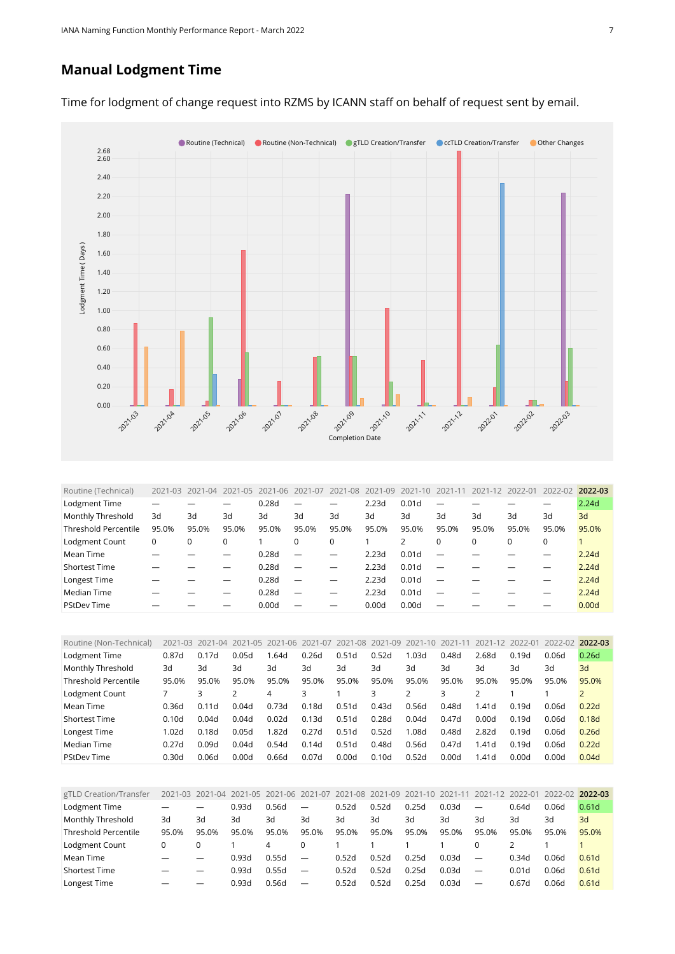#### **Manual Lodgment Time**



Time for lodgment of change request into RZMS by ICANN staff on behalf of request sent by email.

<span id="page-6-0"></span>

| Routine (Technical)         | $2021 - 03$ | $2021 - 04$ | 2021-05 | $2021 - 06$ | 2021-07  | 2021-08 | 2021-09 | 2021-10 | 2021-11 | 2021-12 | 2022-01 | 2022-02  | 2022-03 |
|-----------------------------|-------------|-------------|---------|-------------|----------|---------|---------|---------|---------|---------|---------|----------|---------|
| Lodgment Time               |             |             |         | 0.28d       |          |         | 2.23d   | 0.01d   |         |         |         |          | 2.24d   |
| Monthly Threshold           | 3d          | 3d          | 3d      | 3d          | 3d       | 3d      | 3d      | 3d      | 3d      | 3d      | 3d      | 3d       | 3d      |
| <b>Threshold Percentile</b> | 95.0%       | 95.0%       | 95.0%   | 95.0%       | 95.0%    | 95.0%   | 95.0%   | 95.0%   | 95.0%   | 95.0%   | 95.0%   | 95.0%    | 95.0%   |
| Lodgment Count              | 0           | 0           | 0       |             | $\Omega$ | 0       |         | 2       | 0       | 0       |         | $\Omega$ |         |
| Mean Time                   |             |             |         | 0.28d       |          |         | 2.23d   | 0.01d   |         |         |         |          | 2.24d   |
| <b>Shortest Time</b>        |             |             |         | 0.28d       |          |         | 2.23d   | 0.01d   |         |         |         |          | 2.24d   |
| Longest Time                |             |             |         | 0.28d       |          |         | 2.23d   | 0.01d   |         |         |         |          | 2.24d   |
| Median Time                 |             |             |         | 0.28d       |          |         | 2.23d   | 0.01d   |         |         |         |          | 2.24d   |
| <b>PStDev Time</b>          |             |             |         | 0.00d       |          |         | 0.00d   | 0.00d   |         |         |         |          | 0.00d   |

<span id="page-6-1"></span>

| Routine (Non-Technical)     | 2021-03           | 2021-04 |       | 2021-05 2021-06 | 2021-07 | 2021-08 2021-09 |                   | 2021-10 | $2021 - 1$ | 2021-12 2022-01   |       | 2022-02 | 2022-03 |
|-----------------------------|-------------------|---------|-------|-----------------|---------|-----------------|-------------------|---------|------------|-------------------|-------|---------|---------|
| Lodgment Time               | 0.87d             | 0.17d   | 0.05d | .64d            | 0.26d   | 0.51d           | 0.52d             | 1.03d   | 0.48d      | 2.68d             | 0.19d | 0.06d   | 0.26d   |
| Monthly Threshold           | 3d                | Зd      | Зd    | 3d              | 3d      | 3d              | 3d                | Зd      | 3d         | Зd                | 3d    | 3d      | 3d      |
| <b>Threshold Percentile</b> | 95.0%             | 95.0%   | 95.0% | 95.0%           | 95.0%   | 95.0%           | 95.0%             | 95.0%   | 95.0%      | 95.0%             | 95.0% | 95.0%   | 95.0%   |
| Lodgment Count              |                   |         |       | 4               |         |                 | 3                 |         |            |                   |       |         |         |
| Mean Time                   | 0.36d             | 0.11d   | 0.04d | 0.73d           | 0.18d   | 0.51d           | 0.43d             | 0.56d   | 0.48d      | 1.41 <sub>d</sub> | 0.19d | 0.06d   | 0.22d   |
| <b>Shortest Time</b>        | 0.10 <sub>d</sub> | 0.04d   | 0.04d | 0.02d           | 0.13d   | 0.51d           | 0.28d             | 0.04d   | 0.47d      | 0.00d             | 0.19d | 0.06d   | 0.18d   |
| Longest Time                | 1.02d             | 0.18d   | 0.05d | 1.82d           | 0.27d   | 0.51d           | 0.52d             | 1.08d   | 0.48d      | 2.82d             | 0.19d | 0.06d   | 0.26d   |
| Median Time                 | 0.27d             | 0.09d   | 0.04d | 0.54d           | 0.14d   | 0.51d           | 0.48d             | 0.56d   | 0.47d      | 1.41d             | 0.19d | 0.06d   | 0.22d   |
| <b>PStDev Time</b>          | 0.30d             | 0.06d   | 0.00d | 0.66d           | 0.07d   | 0.00d           | 0.10 <sub>d</sub> | 0.52d   | 0.00d      | 1.41d             | 0.00d | 0.00d   | 0.04d   |

<span id="page-6-2"></span>

| gTLD Creation/Transfer      |       |                          | 2021-03 2021-04 2021-05 2021-06 2021-07 2021-08 2021-09 |       |                          |       |       | 2021-10 2021-11 |       |                          | 2021-12 2022-01 | 2022-02 2022-03 |                   |
|-----------------------------|-------|--------------------------|---------------------------------------------------------|-------|--------------------------|-------|-------|-----------------|-------|--------------------------|-----------------|-----------------|-------------------|
| Lodgment Time               |       | –                        | 0.93d                                                   | 0.56d | $\overline{\phantom{0}}$ | 0.52d | 0.52d | 0.25d           | 0.03d | $\overline{\phantom{m}}$ | 0.64d           | 0.06d           | 0.61d             |
| Monthly Threshold           | 3d    | Зd                       | 3d                                                      | 3d    | 3d                       | 3d    | Зd    | 3d              | 3d    | 3d                       | 3d              | 3d              | 3d                |
| <b>Threshold Percentile</b> | 95.0% | 95.0%                    | 95.0%                                                   | 95.0% | 95.0%                    | 95.0% | 95.0% | 95.0%           | 95.0% | 95.0%                    | 95.0%           | 95.0%           | 95.0%             |
| Lodgment Count              |       |                          |                                                         | 4     |                          |       |       |                 |       | 0                        |                 |                 |                   |
| Mean Time                   |       | $\overline{\phantom{0}}$ | 0.93d                                                   | 0.55d | $\overline{\phantom{0}}$ | 0.52d | 0.52d | 0.25d           | 0.03d | $\overline{\phantom{m}}$ | 0.34d           | 0.06d           | 0.61 <sub>d</sub> |
| <b>Shortest Time</b>        |       | —                        | 0.93d                                                   | 0.55d | $\overline{\phantom{m}}$ | 0.52d | 0.52d | 0.25d           | 0.03d | $\overline{\phantom{m}}$ | 0.01d           | 0.06d           | 0.61 <sub>d</sub> |
| Longest Time                |       | $\overline{\phantom{0}}$ | 0.93d                                                   | 0.56d |                          | 0.52d | 0.52d | 0.25d           | 0.03d | $\overline{\phantom{m}}$ | 0.67d           | 0.06d           | 0.61d             |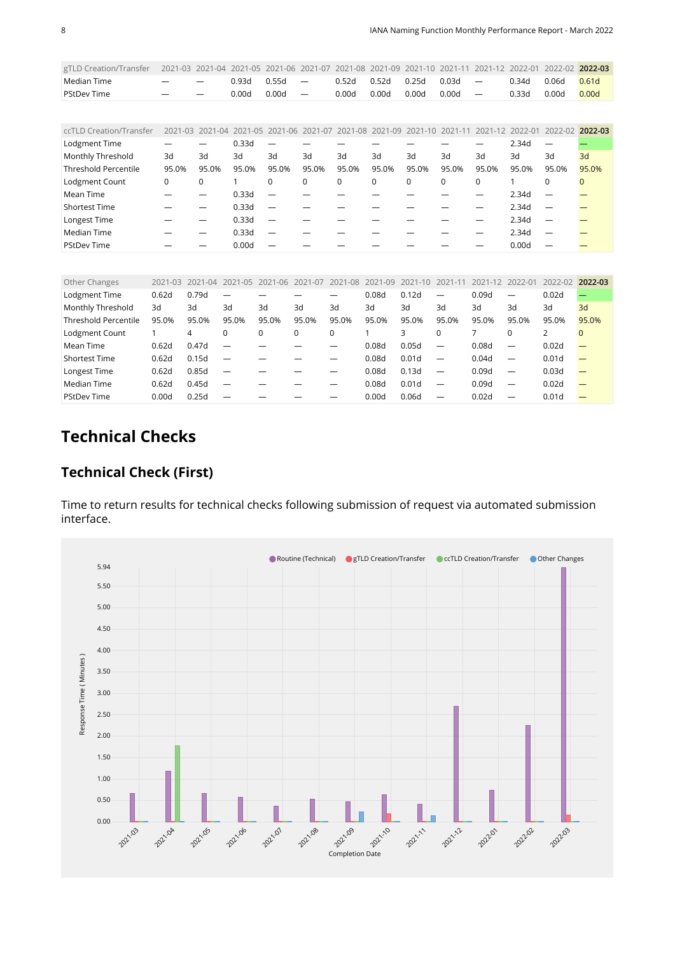<span id="page-7-0"></span>

| gTLD Creation/Transfer      | 2021-03     | 2021-04     | 2021-05     | 2021-06                  | 2021-07                  | 2021-08         | 2021-09 | 2021-10     | 2021-11     | 2021-12                  | 2022-01 | 2022-02 2022-03          |              |
|-----------------------------|-------------|-------------|-------------|--------------------------|--------------------------|-----------------|---------|-------------|-------------|--------------------------|---------|--------------------------|--------------|
| Median Time                 |             |             | 0.93d       | 0.55d                    | $\overline{\phantom{m}}$ | 0.52d           | 0.52d   | 0.25d       | 0.03d       | $\overline{\phantom{m}}$ | 0.34d   | 0.06d                    | 0.61d        |
| <b>PStDev Time</b>          |             |             | 0.00d       | 0.00d                    | $\overline{\phantom{m}}$ | 0.00d           | 0.00d   | 0.00d       | 0.00d       | $\overline{\phantom{m}}$ | 0.33d   | 0.00d                    | 0.00d        |
|                             |             |             |             |                          |                          |                 |         |             |             |                          |         |                          |              |
| ccTLD Creation/Transfer     | $2021 - 03$ | $2021 - 04$ | $2021 - 05$ | 2021-06                  |                          | 2021-07 2021-08 | 2021-09 | $2021 - 10$ | $2021 - 11$ | 2021-12 2022-01          |         | 2022-02 2022-03          |              |
| Lodgment Time               |             |             | 0.33d       |                          |                          |                 |         |             |             |                          | 2.34d   | $\overline{\phantom{m}}$ |              |
| Monthly Threshold           | 3d          | 3d          | 3d          | 3d                       | 3d                       | 3d              | 3d      | 3d          | 3d          | 3d                       | 3d      | 3d                       | 3d           |
| <b>Threshold Percentile</b> | 95.0%       | 95.0%       | 95.0%       | 95.0%                    | 95.0%                    | 95.0%           | 95.0%   | 95.0%       | 95.0%       | 95.0%                    | 95.0%   | 95.0%                    | 95.0%        |
| Lodgment Count              | 0           | 0           |             | $\mathbf 0$              | $\Omega$                 | $\mathbf 0$     | 0       | $\Omega$    | $\mathbf 0$ | 0                        |         | $\mathbf 0$              | $\mathbf{0}$ |
| Mean Time                   |             |             | 0.33d       |                          |                          |                 |         |             |             |                          | 2.34d   |                          |              |
| <b>Shortest Time</b>        |             |             | 0.33d       | —                        |                          |                 |         |             |             |                          | 2.34d   | $\overline{\phantom{0}}$ |              |
| Longest Time                |             |             | 0.33d       | $\overline{\phantom{0}}$ |                          |                 |         |             |             |                          | 2.34d   |                          |              |
| Median Time                 |             |             | 0.33d       |                          |                          |                 |         |             |             |                          | 2.34d   |                          |              |
| <b>PStDev Time</b>          |             |             | 0.00d       |                          |                          |                 |         |             |             |                          | 0.00d   |                          |              |
|                             |             |             |             |                          |                          |                 |         |             |             |                          |         |                          |              |

<span id="page-7-1"></span>

| Other Changes               | 2021-03 | 2021-04 | 2021-05                  | $2021 - 06$ | 2021-07  | -08<br>2021 | 2021-09 | $2021 - 10$ | $2021 - 1$               | 2021<br>$-12$ | 2022-01                  | 2022-02           | 2022-03  |
|-----------------------------|---------|---------|--------------------------|-------------|----------|-------------|---------|-------------|--------------------------|---------------|--------------------------|-------------------|----------|
| Lodgment Time               | 0.62d   | 0.79d   |                          |             |          |             | 0.08d   | 0.12d       | $\overline{\phantom{0}}$ | 0.09d         | —                        | 0.02d             |          |
| Monthly Threshold           | 3d      | 3d      | 3d                       | 3d          | 3d       | 3d          | 3d      | 3d          | 3d                       | 3d            | 3d                       | 3d                | 3d       |
| <b>Threshold Percentile</b> | 95.0%   | 95.0%   | 95.0%                    | 95.0%       | 95.0%    | 95.0%       | 95.0%   | 95.0%       | 95.0%                    | 95.0%         | 95.0%                    | 95.0%             | 95.0%    |
| Lodgment Count              |         | 4       | 0                        | 0           | $\Omega$ | 0           |         | 3           |                          |               |                          |                   | $\Omega$ |
| Mean Time                   | 0.62d   | 0.47d   |                          |             |          |             | 0.08d   | 0.05d       |                          | 0.08d         |                          | 0.02d             |          |
| <b>Shortest Time</b>        | 0.62d   | 0.15d   | $\overline{\phantom{0}}$ |             |          |             | 0.08d   | 0.01d       | $\overline{\phantom{0}}$ | 0.04d         | $\overline{\phantom{0}}$ | 0.01 <sub>d</sub> |          |
| Longest Time                | 0.62d   | 0.85d   | -                        |             |          |             | 0.08d   | 0.13d       | $\overline{\phantom{0}}$ | 0.09d         | —                        | 0.03d             |          |
| Median Time                 | 0.62d   | 0.45d   | -                        |             |          |             | 0.08d   | 0.01d       | —                        | 0.09d         |                          | 0.02d             |          |
| <b>PStDev Time</b>          | 0.00d   | 0.25d   |                          |             |          |             | 0.00d   | 0.06d       |                          | 0.02d         |                          | 0.01 <sub>d</sub> |          |

## **Technical Checks**

#### **Technical Check (First)**

Time to return results for technical checks following submission of request via automated submission interface.

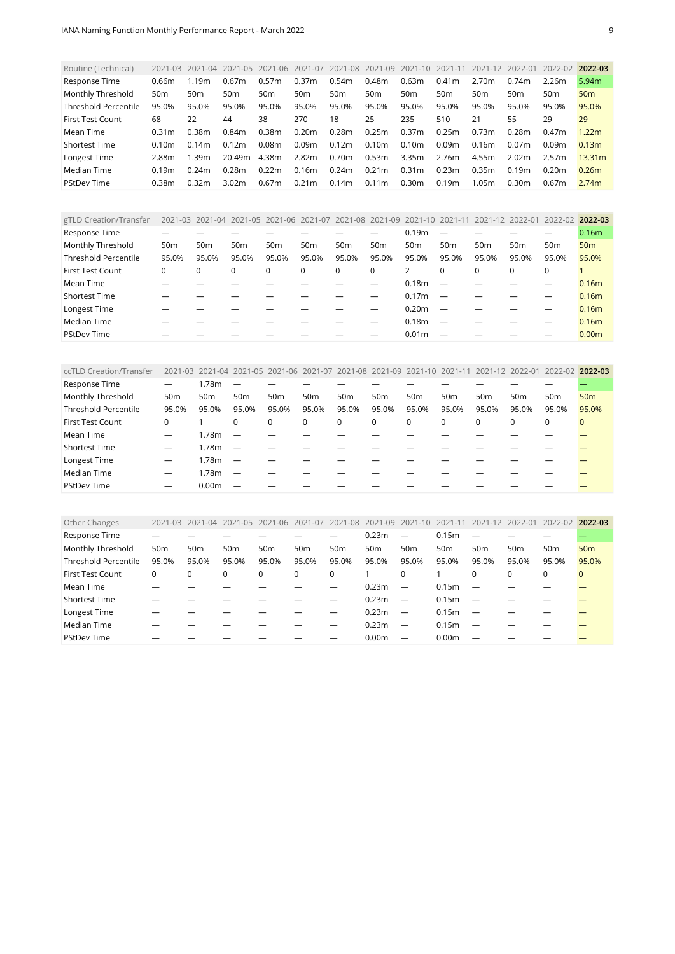<span id="page-8-0"></span>

| Routine (Technical)         | 2021-03         | 2021-04         | 2021-05           | 2021-06         | 2021-07           |                   | 2021-08 2021-09   | 2021-10 2021-11   |       | 2021-12         | 2022-01           | 2022-02           | 2022-03           |
|-----------------------------|-----------------|-----------------|-------------------|-----------------|-------------------|-------------------|-------------------|-------------------|-------|-----------------|-------------------|-------------------|-------------------|
| Response Time               | 0.66m           | 1.19m           | 0.67 <sub>m</sub> | 0.57m           | 0.37 <sub>m</sub> | 0.54m             | 0.48m             | 0.63m             | 0.41m | 2.70m           | 0.74m             | 2.26m             | 5.94 <sub>m</sub> |
| Monthly Threshold           | 50 <sub>m</sub> | 50 <sub>m</sub> | 50 <sub>m</sub>   | 50 <sub>m</sub> | 50 <sub>m</sub>   | 50 <sub>m</sub>   | 50 <sub>m</sub>   | 50 <sub>m</sub>   | 50m   | 50 <sub>m</sub> | 50 <sub>m</sub>   | 50 <sub>m</sub>   | 50 <sub>m</sub>   |
| <b>Threshold Percentile</b> | 95.0%           | 95.0%           | 95.0%             | 95.0%           | 95.0%             | 95.0%             | 95.0%             | 95.0%             | 95.0% | 95.0%           | 95.0%             | 95.0%             | 95.0%             |
| <b>First Test Count</b>     | 68              | 22              | 44                | 38              | 270               | 18                | 25                | 235               | 510   | 21              | 55                | 29                | 29                |
| Mean Time                   | 0.31m           | 0.38m           | 0.84m             | 0.38m           | 0.20 <sub>m</sub> | 0.28m             | 0.25m             | 0.37m             | 0.25m | 0.73m           | 0.28m             | 0.47m             | 1.22 <sub>m</sub> |
| <b>Shortest Time</b>        | 0.10m           | 0.14m           | 0.12m             | 0.08m           | 0.09m             | 0.12 <sub>m</sub> | 0.10 <sub>m</sub> | 0.10 <sub>m</sub> | 0.09m | 0.16m           | 0.07 <sub>m</sub> | 0.09 <sub>m</sub> | 0.13 <sub>m</sub> |
| Longest Time                | 2.88m           | 1.39m           | 20.49m            | 4.38m           | 2.82m             | 0.70 <sub>m</sub> | 0.53m             | 3.35m             | 2.76m | 4.55m           | 2.02m             | 2.57m             | 13.31m            |
| Median Time                 | 0.19m           | 0.24m           | 0.28m             | 0.22m           | 0.16m             | 0.24m             | 0.21 <sub>m</sub> | 0.31 <sub>m</sub> | 0.23m | 0.35m           | 0.19m             | 0.20 <sub>m</sub> | 0.26m             |
| <b>PStDev Time</b>          | 0.38m           | 0.32m           | 3.02 <sub>m</sub> | 0.67m           | 0.21m             | 0.14m             | 0.11 <sub>m</sub> | 0.30 <sub>m</sub> | 0.19m | 1.05m           | 0.30 <sub>m</sub> | 0.67 <sub>m</sub> | 2.74m             |

<span id="page-8-1"></span>

| gTLD Creation/Transfer      |                 |                 | 2021-03 2021-04 2021-05 2021-06 2021-07 2021-08 2021-09 |                 |                 |                 |                 | 2021-10 2021-11   |                          | 2021-12 2022-01 |                 | 2022-02 2022-03 |                   |
|-----------------------------|-----------------|-----------------|---------------------------------------------------------|-----------------|-----------------|-----------------|-----------------|-------------------|--------------------------|-----------------|-----------------|-----------------|-------------------|
| Response Time               |                 |                 |                                                         |                 |                 |                 |                 | 0.19 <sub>m</sub> |                          |                 |                 |                 | 0.16 <sub>m</sub> |
| Monthly Threshold           | 50 <sub>m</sub> | 50 <sub>m</sub> | 50 <sub>m</sub>                                         | 50 <sub>m</sub> | 50 <sub>m</sub> | 50 <sub>m</sub> | 50 <sub>m</sub> | 50 <sub>m</sub>   | 50 <sub>m</sub>          | 50 <sub>m</sub> | 50 <sub>m</sub> | 50 <sub>m</sub> | 50 <sub>m</sub>   |
| <b>Threshold Percentile</b> | 95.0%           | 95.0%           | 95.0%                                                   | 95.0%           | 95.0%           | 95.0%           | 95.0%           | 95.0%             | 95.0%                    | 95.0%           | 95.0%           | 95.0%           | 95.0%             |
| <b>First Test Count</b>     | 0               |                 | 0                                                       | $\Omega$        | 0               | $\Omega$        | 0               |                   | $\Omega$                 | $\Omega$        | $\Omega$        | $\Omega$        |                   |
| Mean Time                   |                 |                 |                                                         |                 |                 |                 |                 | 0.18 <sub>m</sub> |                          |                 |                 |                 | 0.16 <sub>m</sub> |
| <b>Shortest Time</b>        |                 |                 |                                                         |                 |                 |                 |                 | 0.17 <sub>m</sub> |                          |                 |                 |                 | 0.16 <sub>m</sub> |
| Longest Time                |                 |                 |                                                         |                 |                 |                 |                 | 0.20 <sub>m</sub> | $\overline{\phantom{0}}$ |                 |                 |                 | 0.16 <sub>m</sub> |
| Median Time                 |                 |                 |                                                         |                 |                 |                 |                 | 0.18 <sub>m</sub> |                          |                 |                 |                 | 0.16 <sub>m</sub> |
| <b>PStDev Time</b>          |                 |                 |                                                         |                 |                 |                 |                 | 0.01 <sub>m</sub> |                          |                 |                 |                 | 0.00 <sub>m</sub> |

<span id="page-8-2"></span>

| ccTLD Creation/Transfer     |                 |                   |                          | 2021-03 2021-04 2021-05 2021-06 2021-07 2021-08 2021-09 2021-10 2021-11 2021-12 2022-01 |                 |                 |                 |                 |                 |                 |                 | 2022-02 2022-03 |                 |
|-----------------------------|-----------------|-------------------|--------------------------|-----------------------------------------------------------------------------------------|-----------------|-----------------|-----------------|-----------------|-----------------|-----------------|-----------------|-----------------|-----------------|
| Response Time               |                 | 1.78m             | $\overline{\phantom{0}}$ |                                                                                         |                 |                 |                 |                 |                 |                 |                 |                 |                 |
| Monthly Threshold           | 50 <sub>m</sub> | 50m               | 50 <sub>m</sub>          | 50 <sub>m</sub>                                                                         | 50 <sub>m</sub> | 50 <sub>m</sub> | 50 <sub>m</sub> | 50 <sub>m</sub> | 50 <sub>m</sub> | 50 <sub>m</sub> | 50 <sub>m</sub> | 50 <sub>m</sub> | 50 <sub>m</sub> |
| <b>Threshold Percentile</b> | 95.0%           | 95.0%             | 95.0%                    | 95.0%                                                                                   | 95.0%           | 95.0%           | 95.0%           | 95.0%           | 95.0%           | 95.0%           | 95.0%           | 95.0%           | 95.0%           |
| <b>First Test Count</b>     | 0               |                   | 0                        | 0                                                                                       | 0               | 0               | 0               | 0               | $\Omega$        | 0               | 0               | $\Omega$        | $\Omega$        |
| Mean Time                   |                 | 1.78 <sub>m</sub> | $\overline{\phantom{a}}$ |                                                                                         |                 |                 |                 |                 |                 |                 |                 |                 |                 |
| Shortest Time               | —               | 1.78 <sub>m</sub> | $\sim$                   |                                                                                         |                 |                 |                 |                 |                 |                 |                 |                 |                 |
| Longest Time                | —               | 1.78m             | $\overline{\phantom{a}}$ |                                                                                         |                 |                 |                 |                 |                 |                 |                 |                 |                 |
| Median Time                 | —               | 1.78m             | $\sim$                   |                                                                                         |                 |                 |                 |                 |                 |                 |                 |                 |                 |
| <b>PStDev Time</b>          | –               | 0.00 <sub>m</sub> |                          |                                                                                         |                 |                 |                 |                 |                 |                 |                 |                 |                 |

<span id="page-8-3"></span>

| Other Changes               | 2021-03         | 2021-04         | 2021-05         | 2021-06         | 2021-07         |                 | 2021-08 2021-09 2021-10 |                          | 2021-11           | 2021-12                  | 2022-01         | 2022-02 2022-03 |                 |
|-----------------------------|-----------------|-----------------|-----------------|-----------------|-----------------|-----------------|-------------------------|--------------------------|-------------------|--------------------------|-----------------|-----------------|-----------------|
| Response Time               |                 |                 |                 |                 |                 |                 | 0.23m                   | $\overline{\phantom{m}}$ | 0.15m             |                          |                 |                 |                 |
| Monthly Threshold           | 50 <sub>m</sub> | 50 <sub>m</sub> | 50 <sub>m</sub> | 50 <sub>m</sub> | 50 <sub>m</sub> | 50 <sub>m</sub> | 50 <sub>m</sub>         | 50 <sub>m</sub>          | 50 <sub>m</sub>   | 50 <sub>m</sub>          | 50 <sub>m</sub> | 50 <sub>m</sub> | 50 <sub>m</sub> |
| <b>Threshold Percentile</b> | 95.0%           | 95.0%           | 95.0%           | 95.0%           | 95.0%           | 95.0%           | 95.0%                   | 95.0%                    | 95.0%             | 95.0%                    | 95.0%           | 95.0%           | 95.0%           |
| <b>First Test Count</b>     | 0               | $\Omega$        | 0               | 0               | $\Omega$        | 0               |                         | $\Omega$                 |                   | $\Omega$                 | $\Omega$        | 0               | $\mathbf{0}$    |
| Mean Time                   |                 |                 |                 |                 |                 |                 | 0.23m                   | $\overline{\phantom{m}}$ | 0.15m             |                          |                 |                 |                 |
| <b>Shortest Time</b>        |                 |                 |                 |                 |                 |                 | 0.23m                   | $\overline{\phantom{m}}$ | 0.15m             |                          |                 |                 |                 |
| Longest Time                |                 |                 |                 |                 |                 |                 | 0.23m                   | $\overline{\phantom{m}}$ | 0.15m             |                          |                 |                 |                 |
| Median Time                 |                 |                 |                 |                 |                 |                 | 0.23m                   | $\overline{\phantom{m}}$ | 0.15m             | $\overline{\phantom{0}}$ |                 |                 |                 |
| <b>PStDev Time</b>          |                 |                 |                 |                 |                 |                 | 0.00 <sub>m</sub>       |                          | 0.00 <sub>m</sub> |                          |                 |                 |                 |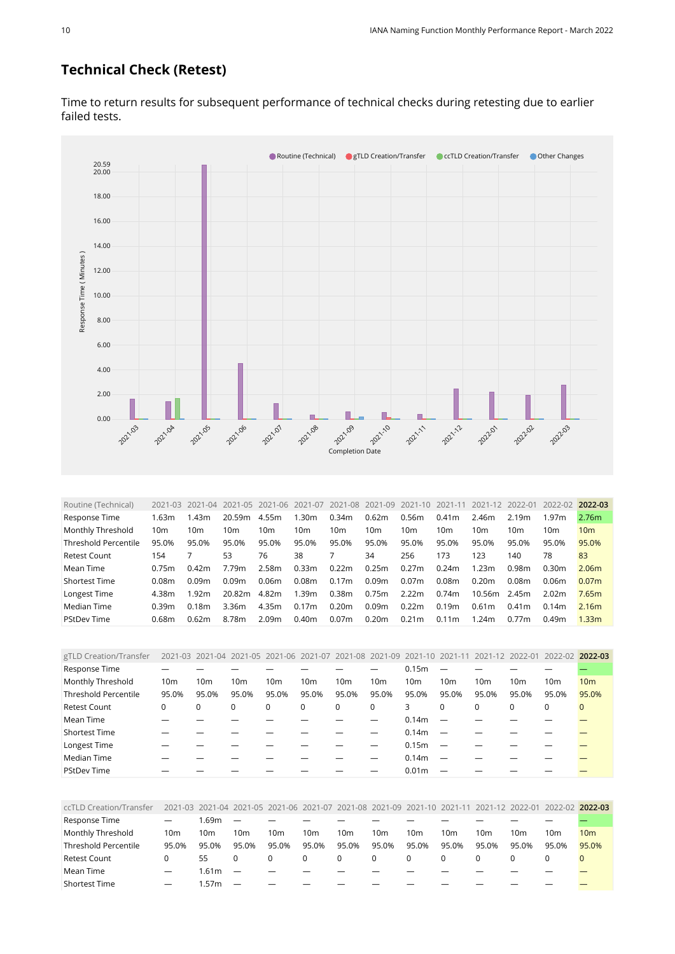#### **Technical Check (Retest)**

● Routine (Technical) ● gTLD Creation/Transfer ● ccTLD Creation/Transfer ● Other Changes 20.00 20.59 18.00 16.00 14.00 Response Time (Minutes) [Response Time \( Minutes \)](https://sle-dashboard.iana.org/chart/technical-test-retest/?granularity=monthly&start=2021-03-01&end=2022-04-01) 12.00 10.00 8.00 6.00 4.00 2.00 Г П  $\blacksquare$ 0.00 2021.04 2021.06 2021.09 2021.03 2021.05 -2021.07 2021-08 **2021-10** 20201 20202 202103 2021-12 [Completion Date](https://sle-dashboard.iana.org/chart/technical-test-retest/?granularity=monthly&start=2021-03-01&end=2022-04-01)

Time to return results for subsequent performance of technical checks during retesting due to earlier failed tests.

<span id="page-9-0"></span>

| Routine (Technical)         |       | 2021-03 2021-04 2021-05 |        | 2021-06 | 2021-07           | 2021-08 2021-09   |                   | 2021-10           | 2021-11         | 2021-12           |                   | 2022-01 2022-02 2022-03 |                   |
|-----------------------------|-------|-------------------------|--------|---------|-------------------|-------------------|-------------------|-------------------|-----------------|-------------------|-------------------|-------------------------|-------------------|
| Response Time               | 1.63m | l.43m                   | 20.59m | 4.55m   | 1.30 <sub>m</sub> | 0.34m             | 0.62m             | 0.56m             | 0.41m           | 2.46m             | 2.19m             | 1.97m                   | 2.76m             |
| Monthly Threshold           | 10m   | 10 <sub>m</sub>         | 10m    | 10m     | 10m               | 10m               | 10m               | 10 <sub>m</sub>   | 10 <sub>m</sub> | 10m               | 10m               | 10 <sub>m</sub>         | 10 <sub>m</sub>   |
| <b>Threshold Percentile</b> | 95.0% | 95.0%                   | 95.0%  | 95.0%   | 95.0%             | 95.0%             | 95.0%             | 95.0%             | 95.0%           | 95.0%             | 95.0%             | 95.0%                   | 95.0%             |
| <b>Retest Count</b>         | 154   |                         | 53     | 76      | 38                |                   | 34                | 256               | 173             | 123               | 140               | 78                      | 83                |
| Mean Time                   | 0.75m | 0.42m                   | 7.79m  | 2.58m   | 0.33m             | 0.22m             | 0.25m             | 0.27m             | 0.24m           | 1.23m             | 0.98m             | 0.30 <sub>m</sub>       | 2.06 <sub>m</sub> |
| <b>Shortest Time</b>        | 0.08m | 0.09m                   | 0.09m  | 0.06m   | 0.08m             | 0.17m             | 0.09m             | 0.07 <sub>m</sub> | 0.08m           | 0.20 <sub>m</sub> | 0.08 <sub>m</sub> | 0.06m                   | 0.07 <sub>m</sub> |
| Longest Time                | 4.38m | 1.92m                   | 20.82m | 4.82m   | 1.39 <sub>m</sub> | 0.38 <sub>m</sub> | 0.75m             | 2.22m             | 0.74m           | 10.56m            | 2.45m             | 2.02m                   | 7.65m             |
| Median Time                 | 0.39m | 0.18m                   | 3.36m  | 4.35m   | 0.17m             | 0.20 <sub>m</sub> | 0.09 <sub>m</sub> | 0.22m             | 0.19m           | 0.61m             | 0.41 <sub>m</sub> | 0.14m                   | 2.16m             |
| <b>PStDev Time</b>          | 0.68m | 0.62m                   | 8.78m  | 2.09m   | 0.40 <sub>m</sub> | 0.07 <sub>m</sub> | 0.20m             | 0.21 <sub>m</sub> | 0.11m           | .24m              | 0.77m             | 0.49 <sub>m</sub>       | 1.33 <sub>m</sub> |

<span id="page-9-1"></span>

| gTLD Creation/Transfer      |       |                 | 2021-03 2021-04 2021-05 2021-06 2021-07 2021-08 2021-09 |       |          |                 |                 |                   | 2021-10 2021-11 2021-12 2022-01 |                 |                 | 2022-02 2022-03 |                 |
|-----------------------------|-------|-----------------|---------------------------------------------------------|-------|----------|-----------------|-----------------|-------------------|---------------------------------|-----------------|-----------------|-----------------|-----------------|
| Response Time               |       |                 |                                                         |       |          |                 |                 | 0.15m             |                                 |                 |                 |                 |                 |
| Monthly Threshold           | 10m   | 10 <sub>m</sub> | 10 <sub>m</sub>                                         | 10m   | 10m      | 10 <sub>m</sub> | 10 <sub>m</sub> | 10 <sub>m</sub>   | 10 <sub>m</sub>                 | 10 <sub>m</sub> | 10 <sub>m</sub> | 10m             | 10 <sub>m</sub> |
| <b>Threshold Percentile</b> | 95.0% | 95.0%           | 95.0%                                                   | 95.0% | 95.0%    | 95.0%           | 95.0%           | 95.0%             | 95.0%                           | 95.0%           | 95.0%           | 95.0%           | 95.0%           |
| <b>Retest Count</b>         | 0     |                 | 0                                                       | 0     | $\Omega$ | $\Omega$        | 0               | 3                 | $\Omega$                        | $\Omega$        | $\Omega$        | $\Omega$        | $\mathbf{0}$    |
| Mean Time                   |       |                 |                                                         |       |          |                 |                 | 0.14m             |                                 |                 |                 |                 |                 |
| <b>Shortest Time</b>        |       |                 |                                                         |       |          |                 |                 | 0.14m             |                                 |                 |                 |                 |                 |
| Longest Time                |       |                 |                                                         |       |          |                 |                 | 0.15 <sub>m</sub> |                                 |                 |                 |                 |                 |
| Median Time                 |       |                 |                                                         |       |          |                 |                 | 0.14m             |                                 |                 |                 |                 |                 |
| <b>PStDev Time</b>          |       |                 |                                                         |       |          |                 |                 | 0.01 <sub>m</sub> |                                 |                 |                 |                 |                 |

<span id="page-9-2"></span>

| ccTLD Creation/Transfer |                          |       |                          | 2021-03 2021-04 2021-05 2021-06 2021-07 2021-08 2021-09 2021-10 2021-11 2021-12 2022-01 2022-02 2022-03 |       |       |                 |                 |       |       |                 |       |                 |
|-------------------------|--------------------------|-------|--------------------------|---------------------------------------------------------------------------------------------------------|-------|-------|-----------------|-----------------|-------|-------|-----------------|-------|-----------------|
| Response Time           |                          | .69m  |                          |                                                                                                         |       |       |                 |                 |       |       |                 |       |                 |
| Monthly Threshold       | 10 <sub>m</sub>          | 10m   | 10m                      | 10m                                                                                                     | 10m   | 10m   | 10 <sub>m</sub> | 10 <sub>m</sub> | 10m   | 10m   | 10 <sub>m</sub> | 10m   | 10 <sub>m</sub> |
| Threshold Percentile    | 95.0%                    | 95.0% | 95.0%                    | 95.0%                                                                                                   | 95.0% | 95.0% | 95.0%           | 95.0%           | 95.0% | 95.0% | 95.0%           | 95.0% | 95.0%           |
| <b>Retest Count</b>     |                          | 55    |                          | 0                                                                                                       |       |       | 0               |                 |       |       |                 |       |                 |
| Mean Time               | $\overline{\phantom{0}}$ | 1.61m | $\overline{\phantom{0}}$ |                                                                                                         |       |       |                 |                 |       |       |                 |       |                 |
| <b>Shortest Time</b>    | —                        | .57m  | $\overline{\phantom{0}}$ |                                                                                                         |       |       |                 |                 |       |       |                 |       |                 |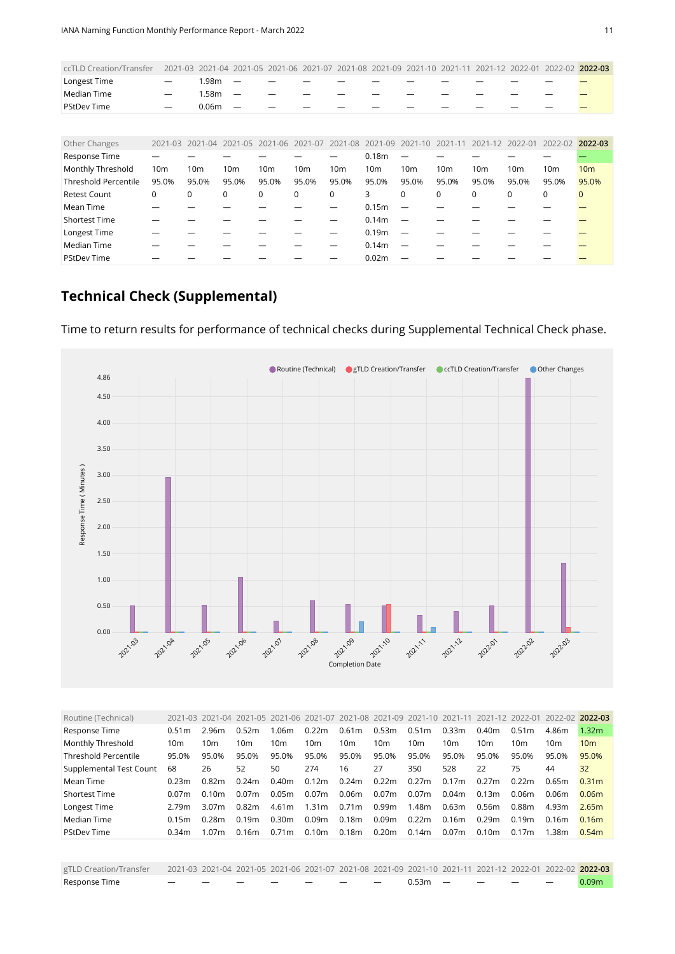| ccTLD Creation/Transfer     |                          |                   |                          | 2021-03 2021-04 2021-05 2021-06 2021-07 2021-08 2021-09 2021-10 2021-11 2021-12 2022-01 2022-02 2022-03 |       |       |                 |                 |       |       |       |                 |                 |
|-----------------------------|--------------------------|-------------------|--------------------------|---------------------------------------------------------------------------------------------------------|-------|-------|-----------------|-----------------|-------|-------|-------|-----------------|-----------------|
| Longest Time                |                          | l.98m             | $\overline{\phantom{0}}$ |                                                                                                         |       |       |                 |                 |       |       |       |                 |                 |
| Median Time                 | $\overline{\phantom{0}}$ | l.58m             | $\overline{\phantom{a}}$ |                                                                                                         |       |       |                 |                 |       |       |       |                 |                 |
| <b>PStDev Time</b>          |                          | 0.06 <sub>m</sub> |                          |                                                                                                         |       |       |                 |                 |       |       |       |                 |                 |
|                             |                          |                   |                          |                                                                                                         |       |       |                 |                 |       |       |       |                 |                 |
|                             |                          |                   |                          |                                                                                                         |       |       |                 |                 |       |       |       |                 |                 |
| Other Changes               |                          |                   |                          | 2021-03 2021-04 2021-05 2021-06 2021-07 2021-08 2021-09 2021-10 2021-11 2021-12 2022-01 2022-02 2022-03 |       |       |                 |                 |       |       |       |                 |                 |
| Response Time               |                          |                   |                          |                                                                                                         |       |       | 0.18m           |                 |       |       |       |                 |                 |
| Monthly Threshold           | 10 <sub>m</sub>          | 10 <sub>m</sub>   | 10 <sub>m</sub>          | 10 <sub>m</sub>                                                                                         | 10m   | 10m   | 10 <sub>m</sub> | 10 <sub>m</sub> | 10m   | 10m   | 10m   | 10 <sub>m</sub> | 10 <sub>m</sub> |
| <b>Threshold Percentile</b> | 95.0%                    | 95.0%             | 95.0%                    | 95.0%                                                                                                   | 95.0% | 95.0% | 95.0%           | 95.0%           | 95.0% | 95.0% | 95.0% | 95.0%           | 95.0%           |

<span id="page-10-0"></span>Retest Count 0 0 0 0 0 3 0 0 0 0 <mark>C</mark> Mean Time — — — — — 0.15m — — — — — <mark>—</mark>

Shortest Time — — — — — — 0.14m — — — — — — Longest Time — — — — — 0.19m — — — — — <mark>—</mark> Median Time — — — — — 0.14m — — — — — <mark>—</mark> PStDev Time — — — — 0.02m — — — <mark>—</mark>

#### **Technical Check (Supplemental)**

Time to return results for performance of technical checks during Supplemental Technical Check phase.

● Routine (Technical) ● gTLD Creation/Transfer ● ccTLD Creation/Transfer ● Other Changes



<span id="page-10-1"></span>

| Routine (Technical)         |                   |                   |                   |                   |                   |                   |                   | 2021-03 2021-04 2021-05 2021-06 2021-07 2021-08 2021-09 2021-10 2021-11 2021-12 2022-01 |                 |                   |                   | 2022-02 2022-03 |                   |
|-----------------------------|-------------------|-------------------|-------------------|-------------------|-------------------|-------------------|-------------------|-----------------------------------------------------------------------------------------|-----------------|-------------------|-------------------|-----------------|-------------------|
| Response Time               | 0.51 <sub>m</sub> | 2.96m             | 0.52m             | 1.06m             | 0.22m             | 0.61m             | 0.53m             | 0.51 <sub>m</sub>                                                                       | 0.33m           | 0.40 <sub>m</sub> | 0.51 <sub>m</sub> | 4.86m           | 1.32 <sub>m</sub> |
| Monthly Threshold           | 10m               | 10 <sub>m</sub>   | 10 <sub>m</sub>   | 10m               | 10 <sub>m</sub>   | 10 <sub>m</sub>   | 10 <sub>m</sub>   | 10 <sub>m</sub>                                                                         | 10 <sub>m</sub> | 10 <sub>m</sub>   | 10m               | 10 <sub>m</sub> | 10 <sub>m</sub>   |
| <b>Threshold Percentile</b> | 95.0%             | 95.0%             | 95.0%             | 95.0%             | 95.0%             | 95.0%             | 95.0%             | 95.0%                                                                                   | 95.0%           | 95.0%             | 95.0%             | 95.0%           | 95.0%             |
| Supplemental Test Count     | 68                | 26                | 52                | 50                | 274               | 16                | 27                | 350                                                                                     | 528             | 22                | 75                | 44              | 32                |
| Mean Time                   | 0.23m             | 0.82m             | 0.24m             | 0.40 <sub>m</sub> | 0.12 <sub>m</sub> | 0.24m             | 0.22m             | 0.27m                                                                                   | 0.17m           | 0.27m             | 0.22 <sub>m</sub> | 0.65m           | 0.31 <sub>m</sub> |
| <b>Shortest Time</b>        | 0.07m             | 0.10m             | 0.07 <sub>m</sub> | 0.05m             | 0.07m             | 0.06m             | 0.07 <sub>m</sub> | 0.07m                                                                                   | 0.04m           | 0.13m             | 0.06m             | 0.06m           | 0.06 <sub>m</sub> |
| Longest Time                | 2.79m             | 3.07 <sub>m</sub> | 0.82m             | 4.61m             | 1.31 <sub>m</sub> | 0.71 <sub>m</sub> | 0.99m             | 1.48m                                                                                   | 0.63m           | 0.56m             | 0.88m             | 4.93m           | 2.65m             |
| Median Time                 | 0.15m             | 0.28m             | 0.19m             | 0.30m             | 0.09m             | 0.18m             | 0.09m             | 0.22m                                                                                   | 0.16m           | 0.29m             | 0.19m             | 0.16m           | 0.16m             |
| <b>PStDev Time</b>          | 0.34m             | 1.07 <sub>m</sub> | 0.16m             | 0.71 <sub>m</sub> | 0.10 <sub>m</sub> | 0.18m             | 0.20m             | 0.14m                                                                                   | 0.07m           | 0.10 <sub>m</sub> | 0.17m             | 1.38m           | 0.54m             |
|                             |                   |                   |                   |                   |                   |                   |                   |                                                                                         |                 |                   |                   |                 |                   |

<span id="page-10-2"></span>

| gTLD Creation/Transfer 2021-03 2021-04 2021-05 2021-06 2021-07 2021-08 2021-09 2021-10 2021-11 2021-12 2022-01 2022-02 2022-03 |                      |               |                                           |         |  |                 |  |  |                   |
|--------------------------------------------------------------------------------------------------------------------------------|----------------------|---------------|-------------------------------------------|---------|--|-----------------|--|--|-------------------|
| Response Time                                                                                                                  | $\sim$ $\sim$ $\sim$ | $\sim$ $\sim$ | $\sim$ $\sim$ $\sim$ $\sim$ $\sim$ $\sim$ | _______ |  | $0.53m - - - -$ |  |  | 0.09 <sub>m</sub> |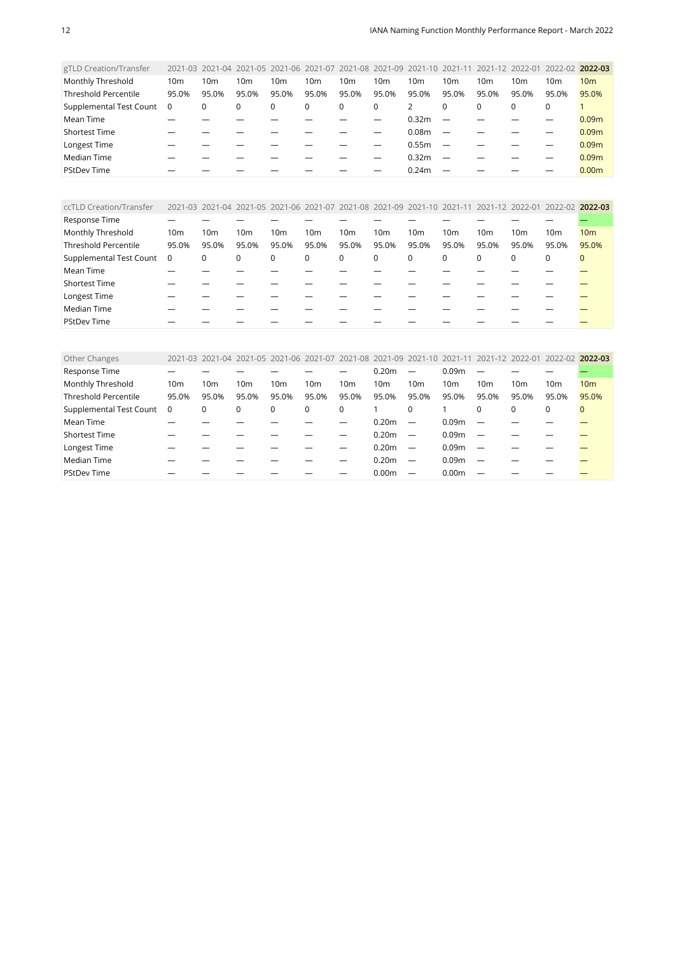| gTLD Creation/Transfer      |                 | 2021-03 2021-04 2021-05 2021-06 2021-07 2021-08 2021-09 2021-10 2021-11 2021-12 2022-01 2022-02 |       |                 |                 |          |       |                   |                          |          |       |                 | 2022-03           |
|-----------------------------|-----------------|-------------------------------------------------------------------------------------------------|-------|-----------------|-----------------|----------|-------|-------------------|--------------------------|----------|-------|-----------------|-------------------|
| Monthly Threshold           | 10 <sub>m</sub> | 10 <sub>m</sub>                                                                                 | 10m   | 10 <sub>m</sub> | 10 <sub>m</sub> | 10m      | 10m   | 10 <sub>m</sub>   | 10m                      | 10m      | 10m   | 10 <sub>m</sub> | 10 <sub>m</sub>   |
| <b>Threshold Percentile</b> | 95.0%           | 95.0%                                                                                           | 95.0% | 95.0%           | 95.0%           | 95.0%    | 95.0% | 95.0%             | 95.0%                    | 95.0%    | 95.0% | 95.0%           | 95.0%             |
| Supplemental Test Count     | 0               | 0                                                                                               | 0     | 0               | 0               | $\Omega$ | 0     | 2                 | $\Omega$                 | $\Omega$ | 0     | 0               |                   |
| Mean Time                   |                 |                                                                                                 |       |                 |                 |          |       | 0.32 <sub>m</sub> |                          |          |       |                 | 0.09 <sub>m</sub> |
| <b>Shortest Time</b>        |                 |                                                                                                 |       |                 |                 |          |       | 0.08 <sub>m</sub> |                          |          |       |                 | 0.09 <sub>m</sub> |
| Longest Time                |                 |                                                                                                 |       |                 |                 |          |       | 0.55m             | $\overline{\phantom{0}}$ |          |       |                 | 0.09 <sub>m</sub> |
| Median Time                 |                 |                                                                                                 |       |                 |                 |          |       | 0.32 <sub>m</sub> |                          |          |       |                 | 0.09 <sub>m</sub> |
| <b>PStDev Time</b>          |                 |                                                                                                 |       |                 |                 |          |       | 0.24m             |                          |          |       |                 | 0.00 <sub>m</sub> |
|                             |                 |                                                                                                 |       |                 |                 |          |       |                   |                          |          |       |                 |                   |

<span id="page-11-0"></span>

| ccTLD Creation/Transfer     |                 |                 |       |       |                 |       |                 |                 |       |          |                 | 2021-03 2021-04 2021-05 2021-06 2021-07 2021-08 2021-09 2021-10 2021-11 2021-12 2022-01 2022-02 2022-03 |                 |
|-----------------------------|-----------------|-----------------|-------|-------|-----------------|-------|-----------------|-----------------|-------|----------|-----------------|---------------------------------------------------------------------------------------------------------|-----------------|
| Response Time               |                 |                 |       |       |                 |       |                 |                 |       |          |                 |                                                                                                         |                 |
| Monthly Threshold           | 10 <sub>m</sub> | 10 <sub>m</sub> | 10m   | 10m   | 10 <sub>m</sub> | 10m   | 10 <sub>m</sub> | 10 <sub>m</sub> | 10m   | 10m      | 10 <sub>m</sub> | 10m                                                                                                     | 10 <sub>m</sub> |
| <b>Threshold Percentile</b> | 95.0%           | 95.0%           | 95.0% | 95.0% | 95.0%           | 95.0% | 95.0%           | 95.0%           | 95.0% | 95.0%    | 95.0%           | 95.0%                                                                                                   | 95.0%           |
| Supplemental Test Count     | $\overline{0}$  | 0               | 0     | 0     | 0               | 0     | 0               | 0               | 0     | $\Omega$ | 0               | 0                                                                                                       | $\mathbf 0$     |
| Mean Time                   |                 |                 |       |       |                 |       |                 |                 |       |          |                 |                                                                                                         |                 |
| <b>Shortest Time</b>        |                 |                 |       |       |                 |       |                 |                 |       |          |                 |                                                                                                         |                 |
| Longest Time                |                 |                 |       |       |                 |       |                 |                 |       |          |                 |                                                                                                         |                 |
| Median Time                 |                 |                 |       |       |                 |       |                 |                 |       |          |                 |                                                                                                         |                 |
| <b>PStDev Time</b>          |                 |                 |       |       |                 |       |                 |                 |       |          |                 |                                                                                                         |                 |

<span id="page-11-1"></span>

| Other Changes               |                 |                 |       |                 |                 |                 |                   |                          |                   |                 |                 | 2021-03 2021-04 2021-05 2021-06 2021-07 2021-08 2021-09 2021-10 2021-11 2021-12 2022-01 2022-02 | 2022-03         |
|-----------------------------|-----------------|-----------------|-------|-----------------|-----------------|-----------------|-------------------|--------------------------|-------------------|-----------------|-----------------|-------------------------------------------------------------------------------------------------|-----------------|
| Response Time               |                 |                 |       |                 |                 |                 | 0.20 <sub>m</sub> | $\overline{\phantom{0}}$ | 0.09 <sub>m</sub> |                 |                 |                                                                                                 |                 |
| Monthly Threshold           | 10 <sub>m</sub> | 10 <sub>m</sub> | 10m   | 10 <sub>m</sub> | 10 <sub>m</sub> | 10 <sub>m</sub> | 10 <sub>m</sub>   | 10 <sub>m</sub>          | 10 <sub>m</sub>   | 10 <sub>m</sub> | 10 <sub>m</sub> | 10 <sub>m</sub>                                                                                 | 10 <sub>m</sub> |
| <b>Threshold Percentile</b> | 95.0%           | 95.0%           | 95.0% | 95.0%           | 95.0%           | 95.0%           | 95.0%             | 95.0%                    | 95.0%             | 95.0%           | 95.0%           | 95.0%                                                                                           | 95.0%           |
| Supplemental Test Count     | $\overline{0}$  | $\mathbf 0$     | 0     | 0               | $\mathbf 0$     | 0               |                   | 0                        |                   | $\Omega$        |                 | 0                                                                                               | $\Omega$        |
| Mean Time                   |                 |                 |       |                 |                 |                 | 0.20 <sub>m</sub> | $\overline{\phantom{0}}$ | 0.09 <sub>m</sub> |                 |                 |                                                                                                 |                 |
| <b>Shortest Time</b>        |                 |                 |       |                 |                 |                 | 0.20 <sub>m</sub> | $\overline{\phantom{m}}$ | 0.09 <sub>m</sub> |                 |                 |                                                                                                 |                 |
| Longest Time                |                 |                 |       |                 |                 |                 | 0.20 <sub>m</sub> | $\overline{\phantom{a}}$ | 0.09 <sub>m</sub> |                 |                 |                                                                                                 |                 |
| Median Time                 |                 |                 |       |                 |                 |                 | 0.20 <sub>m</sub> | $\overline{\phantom{0}}$ | 0.09 <sub>m</sub> |                 |                 |                                                                                                 |                 |
| <b>PStDev Time</b>          |                 |                 |       |                 |                 |                 | 0.00 <sub>m</sub> | $\overline{\phantom{0}}$ | 0.00 <sub>m</sub> |                 |                 |                                                                                                 |                 |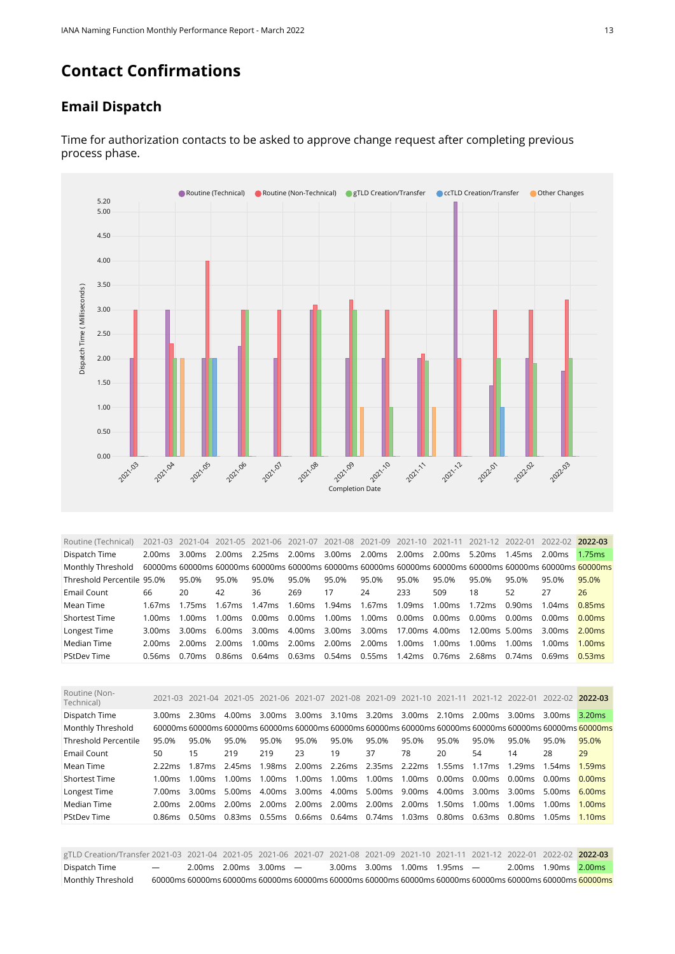### **Contact Confirmations**

#### **Email Dispatch**



Time for authorization contacts to be asked to approve change request after completing previous process phase.

<span id="page-12-0"></span>

| Routine (Technical)        |         |                  |        |        |        |                                                    |        |        |        |        |        | 2021-03 2021-04 2021-05 2021-06 2021-07 2021-08 2021-09 2021-10 2021-11 2021-12 2022-01 2022-02 2022-03 |                    |
|----------------------------|---------|------------------|--------|--------|--------|----------------------------------------------------|--------|--------|--------|--------|--------|---------------------------------------------------------------------------------------------------------|--------------------|
| Dispatch Time              | 2.00ms  | 3.00ms           |        |        |        | 3.00ms 2.00ms 2.00ms 2.00ms                        |        |        |        | 5.20ms | 1.45ms | 2.00 <sub>ms</sub>                                                                                      | 1.75ms             |
| Monthly Threshold          |         |                  |        |        |        |                                                    |        |        |        |        |        | 60000ms 60000ms 60000ms 60000ms 60000ms 60000ms 60000ms 60000ms 60000ms 60000ms 60000ms 60000ms 60000ms |                    |
| Threshold Percentile 95.0% |         | 95.0%            | 95.0%  | 95.0%  | 95.0%  | 95.0%                                              | 95.0%  | 95.0%  | 95.0%  | 95.0%  | 95.0%  | 95.0%                                                                                                   | 95.0%              |
| Email Count                | 66      | 20               | 42     | 36     | 269    | 17                                                 | 24     | 233    | 509    | 18     | 52     | 27                                                                                                      | 26                 |
| Mean Time                  | 1.67ms  | $1.75$ ms        | 1.67ms | 1.47ms | 1.60ms | 1.94ms 1.67ms                                      |        | 1.09ms | 1.00ms | 1.72ms | 0.90ms | 1.04ms                                                                                                  | 0.85ms             |
| <b>Shortest Time</b>       | 1.00 ms | $1.00 \text{ms}$ | 1.00ms | 0.00ms | 0.00ms | 1.00ms                                             | 1.00ms | 0.00ms | 0.00ms | 0.00ms | 0.00ms | 0.00ms                                                                                                  | 0.00ms             |
| Longest Time               | 3.00ms  | 3.00ms           | 6.00ms | 3.00ms |        | 4.00ms 3.00ms 3.00ms 17.00ms 4.00ms 12.00ms 5.00ms |        |        |        |        |        | 3.00ms                                                                                                  | 2.00ms             |
| Median Time                | 2.00 ms | 2.00 ms          | 2.00ms |        |        | 1.00ms 2.00ms 2.00ms 2.00ms 1.00ms 1.00ms          |        |        |        | 1.00ms | 1.00ms | 1.00ms                                                                                                  | 1.00 <sub>ms</sub> |
| <b>PStDev Time</b>         | 0.56ms  | 0.70 ms          | 0.86ms |        |        | 0.64ms 0.63ms 0.54ms 0.55ms 1.42ms 0.76ms          |        |        |        | 2.68ms | 0.74ms | 0.69ms                                                                                                  | 0.53ms             |

<span id="page-12-1"></span>

| Routine (Non-<br>Technical) |         | 2021-03 2021-04 2021-05 2021-06 2021-07 2021-08 2021-09 2021-10 2021-11 |                                        |                             |                         |       |                                                                |        |                                         | 2021-12 2022-01 |                  | 2022-02 2022-03 |                                                                                                         |
|-----------------------------|---------|-------------------------------------------------------------------------|----------------------------------------|-----------------------------|-------------------------|-------|----------------------------------------------------------------|--------|-----------------------------------------|-----------------|------------------|-----------------|---------------------------------------------------------------------------------------------------------|
| Dispatch Time               | 3.00 ms | 2.30ms                                                                  | 4.00ms                                 | 3.00ms 3.00ms 3.10ms 3.20ms |                         |       |                                                                |        | 3.00 ms 2.10 ms 2.00 ms 3.00 ms 3.00 ms |                 |                  |                 | 3.20ms                                                                                                  |
| Monthly Threshold           |         |                                                                         |                                        |                             |                         |       |                                                                |        |                                         |                 |                  |                 | 60000ms 60000ms 60000ms 60000ms 60000ms 60000ms 60000ms 60000ms 60000ms 60000ms 60000ms 60000ms 60000ms |
| Threshold Percentile        | 95.0%   | 95.0%                                                                   | 95.0%                                  | 95.0%                       | 95.0%                   | 95.0% | 95.0%                                                          | 95.0%  | 95.0%                                   | 95.0%           | 95.0%            | 95.0%           | 95.0%                                                                                                   |
| Email Count                 | 50      | 15                                                                      | 219                                    | 219                         | 23                      | 19    | 37                                                             | 78     | 20                                      | 54              | 14               | 28              | 29                                                                                                      |
| Mean Time                   | 2.22ms  | 1.87ms                                                                  | 2.45ms                                 |                             |                         |       | 1.98ms 2.00ms 2.26ms 2.35ms 2.22ms 1.55ms 1.17ms 1.29ms 1.54ms |        |                                         |                 |                  |                 | 1.59ms                                                                                                  |
| <b>Shortest Time</b>        | 1.00ms  | 1.00ms                                                                  | $1.00 \text{ms}$                       |                             | 1.00ms 1.00ms 1.00ms    |       | 1.00ms                                                         | 1.00ms | 0.00ms 0.00ms 0.00ms                    |                 |                  | 0.00ms          | 0.00ms                                                                                                  |
| Longest Time                | 7.00 ms | 3.00ms                                                                  | 5.00ms                                 |                             | 4.00 ms 3.00 ms 4.00 ms |       | 5.00ms                                                         | 9.00ms | 4.00ms                                  | 3.00ms 3.00ms   |                  | 5.00ms          | 6.00ms                                                                                                  |
| Median Time                 | 2.00 ms | 2.00 ms                                                                 | 2.00 ms                                |                             |                         |       | 2.00ms 2.00ms 2.00ms 2.00ms 2.00ms 1.50ms 1.00ms               |        |                                         |                 | $1.00 \text{ms}$ | 1.00 $ms$       | 1.00 <sub>ms</sub>                                                                                      |
| <b>PStDev Time</b>          | 0.86ms  | 0.50 ms                                                                 | 0.83ms  0.55ms  0.66ms  0.64ms  0.74ms |                             |                         |       |                                                                | 1.03ms | 0.80ms 0.63ms 0.80ms                    |                 |                  | 1.05ms          | 1.10 <sub>ms</sub>                                                                                      |
|                             |         |                                                                         |                                        |                             |                         |       |                                                                |        |                                         |                 |                  |                 |                                                                                                         |

<span id="page-12-2"></span>gTLD Creation/Transfer 2021-03 2021-04 2021-05 2021-06 2021-07 2021-08 2021-09 2021-10 2021-11 2021-12 2022-01 2022-02 **2022-03** Dispatch Time — 2.00ms 2.00ms 3.00ms — 3.00ms 3.00ms 1.00ms 1.95ms — 2.00ms 1.90ms 2.00ms Monthly Threshold 60000ms 60000ms 60000ms 60000ms 60000ms 60000ms 60000ms 60000ms 60000ms 60000ms 60000ms 60000ms 60000ms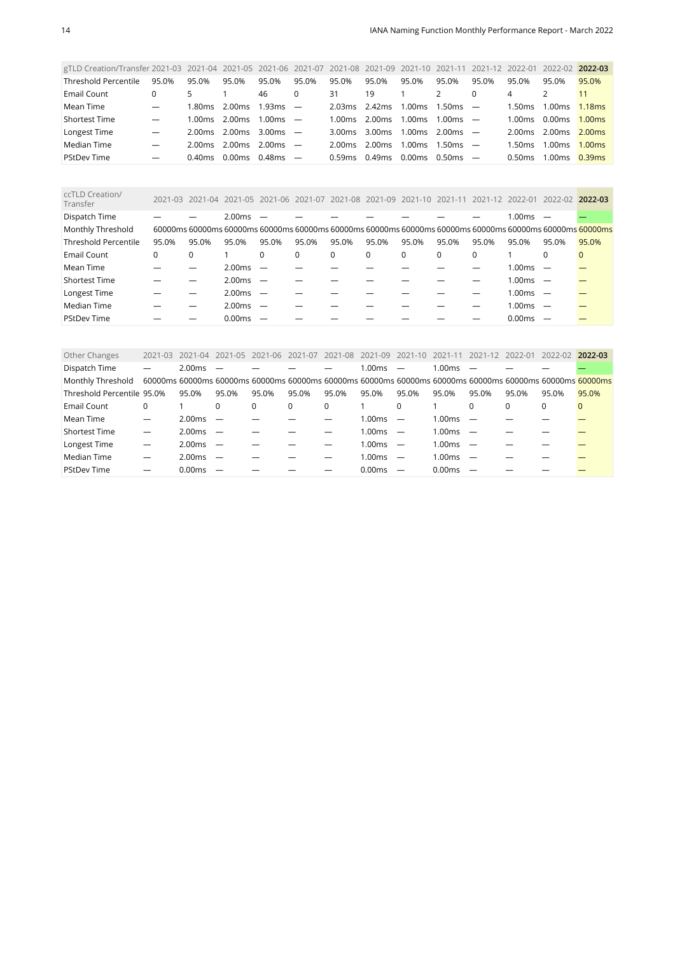| gTLD Creation/Transfer 2021-03 2021-04 2021-05 2021-06 2021-07 2021-08 2021-09 2021-10 |                          |           |                    |            |          |         |                    |        | 2021-11    | 2021-12                  | 2022-01   | 2022-02 | 2022-03            |
|----------------------------------------------------------------------------------------|--------------------------|-----------|--------------------|------------|----------|---------|--------------------|--------|------------|--------------------------|-----------|---------|--------------------|
| Threshold Percentile                                                                   | 95.0%                    | 95.0%     | 95.0%              | 95.0%      | 95.0%    | 95.0%   | 95.0%              | 95.0%  | 95.0%      | 95.0%                    | 95.0%     | 95.0%   | 95.0%              |
| Email Count                                                                            | 0                        | 5         |                    | 46         | $\Omega$ | 31      | 19                 |        | 2          | $\Omega$                 | 4         |         | 11                 |
| Mean Time                                                                              | $\overline{\phantom{0}}$ | 1.80ms    | 2.00ms             | $1.93ms -$ |          | 2.03ms  | 2.42ms             | 1.00ms | 1.50ms     | $\overline{\phantom{a}}$ | 1.50ms    | 1.00ms  | 1.18ms             |
| <b>Shortest Time</b>                                                                   |                          | 1.00ms    | 2.00ms             | $1.00ms$ — |          | l 00 ms | 2.00ms             | 1.00ms | 1.00ms     |                          | 1.00 $ms$ | 0.00ms  | 1.00 <sub>ms</sub> |
| Longest Time                                                                           | $\hspace{0.05cm}$        | 2.00ms    | 2.00ms             | $3.00ms$ – |          | 3.00 ms | 3.00 <sub>ms</sub> | 1.00ms | 2.00 ms    |                          | 2.00ms    | 2.00ms  | 2.00ms             |
| Median Time                                                                            | $\hspace{0.05cm}$        | 2.00ms    | 2.00ms             | $2.00ms$ — |          | 2.00 ms | 2.00ms             | 1.00ms | $1.50ms -$ |                          | 1.50ms.   | 1.00ms  | 1.00 <sub>ms</sub> |
| <b>PStDev Time</b>                                                                     | $\hspace{0.05cm}$        | $0.40$ ms | 0.00 <sub>ms</sub> | $0.48ms =$ |          | 0.59ms  | 0.49 <sub>ms</sub> | 0.00ms | 0.50ms     |                          | 0.50ms    | 1.00ms  | 0.39ms             |

<span id="page-13-0"></span>

| ccTLD Creation/<br>Transfer | 2021-03  |       |        | 2021-04 2021-05 2021-06 2021-07 2021-08 2021-09 2021-10 2021-11 |          |       |       |       |       | 2021-12 2022-01 |            | 2022-02 2022-03                                                                                         |              |
|-----------------------------|----------|-------|--------|-----------------------------------------------------------------|----------|-------|-------|-------|-------|-----------------|------------|---------------------------------------------------------------------------------------------------------|--------------|
| Dispatch Time               |          |       | 2.00ms |                                                                 |          |       |       |       |       |                 | $1.00ms$ - |                                                                                                         |              |
| Monthly Threshold           |          |       |        |                                                                 |          |       |       |       |       |                 |            | 60000ms 60000ms 60000ms 60000ms 60000ms 60000ms 60000ms 60000ms 60000ms 60000ms 60000ms 60000ms 60000ms |              |
| <b>Threshold Percentile</b> | 95.0%    | 95.0% | 95.0%  | 95.0%                                                           | 95.0%    | 95.0% | 95.0% | 95.0% | 95.0% | 95.0%           | 95.0%      | 95.0%                                                                                                   | 95.0%        |
| Email Count                 | $\Omega$ |       |        | 0                                                               | $\Omega$ | 0     | 0     | 0     | 0     | 0               |            | $\Omega$                                                                                                | $\mathbf{0}$ |
| Mean Time                   |          |       | 2.00ms | $\overline{\phantom{0}}$                                        |          |       |       |       |       |                 | $1.00ms$ - |                                                                                                         |              |
| <b>Shortest Time</b>        |          |       | 2.00ms | $\overline{\phantom{0}}$                                        |          |       |       |       |       |                 | $1.00ms$ - |                                                                                                         |              |
| Longest Time                |          |       | 2.00ms | $\overline{\phantom{0}}$                                        |          |       |       |       |       |                 | $1.00ms$ - |                                                                                                         |              |
| Median Time                 |          |       | 2.00ms |                                                                 |          |       |       |       |       |                 | 1.00ms     |                                                                                                         |              |
| <b>PStDev Time</b>          |          |       | 0.00ms |                                                                 |          |       |       |       |       |                 | 0.00ms     |                                                                                                         |              |

<span id="page-13-1"></span>

| Dispatch Time<br>2.00ms<br>1.00ms<br>1.00ms<br>Monthly Threshold<br>60000ms 60000ms 60000ms 60000ms 60000ms 60000ms 60000ms 60000ms 60000ms 60000ms 60000ms 60000ms 60000ms<br>Threshold Percentile 95.0%<br>95.0%<br>95.0%<br>95.0%<br>95.0%<br>95.0%<br>95.0%<br>95.0%<br>95.0%<br>95.0%<br>95.0%<br>95.0%<br>95.0%<br>Email Count<br>$\Omega$<br>$\Omega$<br>$\Omega$<br>0<br>$\Omega$<br>0<br>$\Omega$<br>$\Omega$<br>0<br>$\Omega$ | 2022-03 |
|-----------------------------------------------------------------------------------------------------------------------------------------------------------------------------------------------------------------------------------------------------------------------------------------------------------------------------------------------------------------------------------------------------------------------------------------|---------|
|                                                                                                                                                                                                                                                                                                                                                                                                                                         |         |
|                                                                                                                                                                                                                                                                                                                                                                                                                                         |         |
|                                                                                                                                                                                                                                                                                                                                                                                                                                         |         |
|                                                                                                                                                                                                                                                                                                                                                                                                                                         |         |
| Mean Time<br>2.00ms<br>1.00ms<br>1.00ms<br>$\overline{\phantom{0}}$<br>$\overline{\phantom{m}}$<br>$\overline{\phantom{a}}$                                                                                                                                                                                                                                                                                                             |         |
| <b>Shortest Time</b><br>2.00ms<br>$1.00ms$ -<br>1.00ms<br>$\overline{\phantom{0}}$                                                                                                                                                                                                                                                                                                                                                      |         |
| Longest Time<br>2.00ms<br>1.00ms<br>1.00ms<br>$\overline{\phantom{0}}$<br>$\overline{\phantom{0}}$                                                                                                                                                                                                                                                                                                                                      |         |
| Median Time<br>2.00ms<br>1.00ms<br>1.00ms<br>$\overline{\phantom{0}}$<br>$\overline{\phantom{m}}$                                                                                                                                                                                                                                                                                                                                       |         |
| <b>PStDev Time</b><br>0.00ms<br>0.00ms<br>0.00ms<br>$\overline{\phantom{0}}$<br>$\overline{\phantom{m}}$                                                                                                                                                                                                                                                                                                                                |         |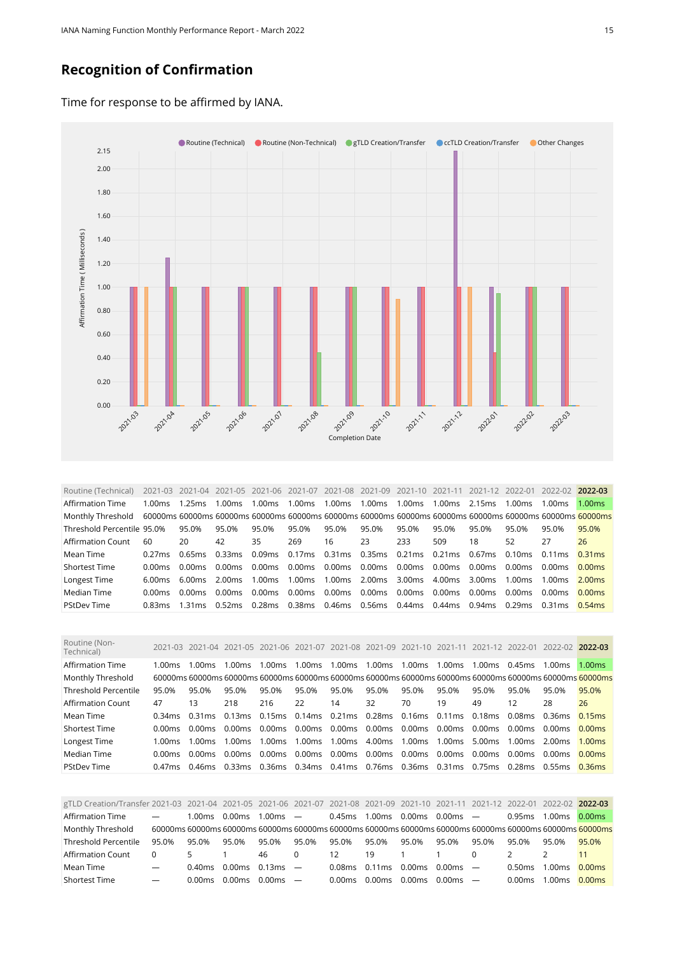#### **Recognition of Confirmation**

Time for response to be affirmed by IANA.



<span id="page-14-0"></span>Routine (Technical) 2021-03 2021-04 2021-05 2021-06 2021-07 2021-08 2021-09 2021-10 2021-11 2021-12 2022-01 2022-02 **2022-03** Affirmation Time 1.00ms 1.25ms 1.00ms 1.00ms 1.00ms 1.00ms 1.00ms 1.00ms 1.00ms 2.15ms 1.00ms 1.00ms 1.00ms Monthly Threshold 60000ms 60000ms 60000ms 60000ms 60000ms 60000ms 60000ms 60000ms 60000ms 60000ms 60000ms 60000ms 60000ms Threshold Percentile 95.0% 95.0% 95.0% 95.0% 95.0% 95.0% 95.0% 95.0% 95.0% 95.0% 95.0% 95.0% 95.0% Affirmation Count 60 20 42 35 269 16 23 233 509 18 52 27 26 Mean Time 0.27ms 0.65ms 0.33ms 0.09ms 0.17ms 0.31ms 0.35ms 0.21ms 0.21ms 0.67ms 0.10ms 0.11ms 0.31ms Shortest Time 0.00ms 0.00ms 0.00ms 0.00ms 0.00ms 0.00ms 0.00ms 0.00ms 0.00ms 0.00ms 0.00ms 0.00ms 0.00ms Longest Time 6.00ms 6.00ms 2.00ms 1.00ms 1.00ms 1.00ms 2.00ms 3.00ms 4.00ms 3.00ms 1.00ms 1.00ms 2.00ms Median Time 0.00ms 0.00ms 0.00ms 0.00ms 0.00ms 0.00ms 0.00ms 0.00ms 0.00ms 0.00ms 0.00ms 0.00ms 0.00ms PStDev Time 0.83ms 1.31ms 0.52ms 0.28ms 0.38ms 0.46ms 0.56ms 0.44ms 0.44ms 0.94ms 0.29ms 0.31ms 0.54ms

<span id="page-14-1"></span>

| Routine (Non-<br>Technical) |           |         | 2021-03 2021-04 2021-05 2021-06 |                                    | 2021-07       |                         | 2021-08 2021-09 2021-10 2021-11                  |               |                    | 2021-12 |                          | 2022-01 2022-02 2022-03                                                                                  |        |
|-----------------------------|-----------|---------|---------------------------------|------------------------------------|---------------|-------------------------|--------------------------------------------------|---------------|--------------------|---------|--------------------------|----------------------------------------------------------------------------------------------------------|--------|
| Affirmation Time            | 1.00ms    | 1.00ms  | l 00ms.                         | 1.00ms                             | 1.00ms        | 1.00ms                  | 1.00ms                                           | 1.00ms        | 1.00 <sub>ms</sub> | 1.00ms  | 0.45ms                   | 1.00 <sub>ms</sub>                                                                                       | 1.00ms |
| Monthly Threshold           |           |         |                                 |                                    |               |                         |                                                  |               |                    |         |                          | .60000ms 60000ms 60000ms 60000ms 60000ms 60000ms 60000ms 60000ms 60000ms 60000ms 60000ms 60000ms 60000ms |        |
| Threshold Percentile        | 95.0%     | 95.0%   | 95.0%                           | 95.0%                              | 95.0%         | 95.0%                   | 95.0%                                            | 95.0%         | 95.0%              | 95.0%   | 95.0%                    | 95.0%                                                                                                    | 95.0%  |
| Affirmation Count           | 47        | 13      | 218                             | 216                                | 22            | 14                      | 32                                               | 70            | 19                 | 49      | 12                       | 28                                                                                                       | 26     |
| Mean Time                   | 0.34ms    | 0.31 ms |                                 | 0.13ms 0.15ms 0.14ms 0.21ms 0.28ms |               |                         |                                                  | 0.16ms 0.11ms |                    | 0.18ms  | 0.08ms  0.36ms           |                                                                                                          | 0.15ms |
| <b>Shortest Time</b>        | 0.00 ms   | 0.00ms  | 0.00ms                          | 0.00ms                             |               | 0.00 ms 0.00 ms 0.00 ms |                                                  | $0.00$ ms     | 0.00ms             | 0.00ms  | 0.00 ms 0.00 ms          |                                                                                                          | 0.00ms |
| Longest Time                | 1.00 $ms$ | 1.00ms  | $1.00 \text{ms}$                | 1.00ms                             | 1.00ms 1.00ms |                         | 4.00ms                                           | 1.00ms        | 1.00ms             | 5.00ms  | $1.00 \text{ms}$ 2.00 ms |                                                                                                          | 1.00ms |
| Median Time                 | 0.00 ms   | 0.00ms  | 0.00 ms                         | 0.00ms                             | 0.00ms 0.00ms |                         | 0.00ms                                           | 0.00ms        | 0.00ms             | 0.00ms  | 0.00ms                   | 0.00ms                                                                                                   | 0.00ms |
| <b>PStDev Time</b>          | 0.47ms    | 0.46ms  |                                 |                                    |               |                         | 0.33ms 0.36ms 0.34ms 0.41ms 0.76ms 0.36ms 0.31ms |               |                    | 0.75ms  | 0.28ms  0.55ms           |                                                                                                          | 0.36ms |

<span id="page-14-2"></span>

| gTLD Creation/Transfer 2021-03 2021-04 2021-05 2021-06 2021-07 2021-08 2021-09 2021-10 2021-11 2021-12 2022-01 2022-02 2022-03 |                          |           |                       |            |          |        |                |        |            |          |        |                    |                                                                                                               |
|--------------------------------------------------------------------------------------------------------------------------------|--------------------------|-----------|-----------------------|------------|----------|--------|----------------|--------|------------|----------|--------|--------------------|---------------------------------------------------------------------------------------------------------------|
| Affirmation Time                                                                                                               | $\overline{\phantom{m}}$ | 1.00 $ms$ | 0.00ms                | $1.00ms$ — |          | 0.45ms | 1.00ms         | 0.00ms | $0.00ms$ — |          | 0.95ms | 1.00ms             | 0.00ms                                                                                                        |
| Monthly Threshold                                                                                                              |                          |           |                       |            |          |        |                |        |            |          |        |                    | 60000ms 60000ms 60000ms 60000ms 60000ms 60000ms 60000ms 60000ms 60000ms 60000ms 60000ms 60000ms 60000ms 60000 |
| Threshold Percentile                                                                                                           | 95.0%                    | 95.0%     | 95.0%                 | 95.0%      | 95.0%    | 95.0%  | 95.0%          | 95.0%  | 95.0%      | 95.0%    | 95.0%  | 95.0%              | 95.0%                                                                                                         |
| Affirmation Count                                                                                                              | $\Omega$                 | 5.        |                       | 46         | $\Omega$ | 12     | 19<br>$\sim$ 1 |        |            | $\Omega$ |        |                    |                                                                                                               |
| Mean Time                                                                                                                      | $\overline{\phantom{a}}$ | 0.40ms    | $0.00$ ms $0.13$ ms — |            |          | 0.08ms | 0.11ms         | 0.00ms | $0.00ms$ — |          | 0.50ms | 1.00 <sub>ms</sub> | 0.00ms                                                                                                        |
| <b>Shortest Time</b>                                                                                                           | $\overline{\phantom{m}}$ | 0.00ms    | 0.00ms                | $0.00ms$ — |          | 0.00ms | 0.00ms         | 0.00ms | $0.00ms$ — |          | 0.00ms | ⊟00ms              | 0.00 <sub>ms</sub>                                                                                            |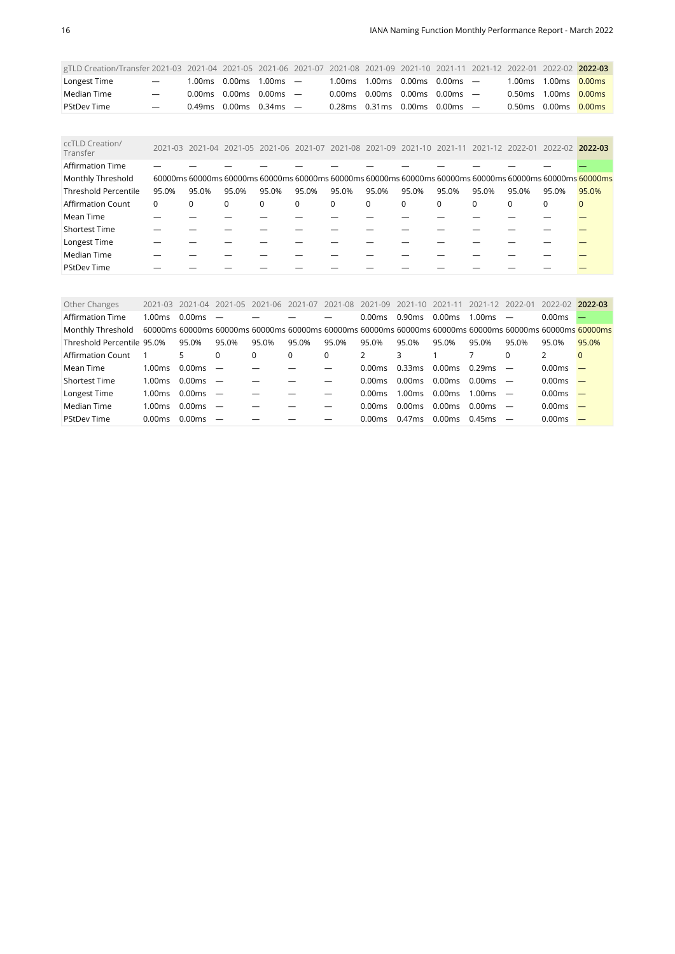| gTLD Creation/Transfer 2021-03 2021-04 2021-05 2021-06 2021-07 2021-08 2021-09 2021-10 2021-11 2021-12 2022-01 2022-02 2022-03 |                          |                                                             |  |  |                                                                             |  |                         |  |
|--------------------------------------------------------------------------------------------------------------------------------|--------------------------|-------------------------------------------------------------|--|--|-----------------------------------------------------------------------------|--|-------------------------|--|
| Longest Time                                                                                                                   | $\overline{\phantom{a}}$ | $1.00\,\text{ms}$ 0.00 $\,\text{ms}$ 1.00 $\,\text{ms}$ $-$ |  |  | $1.00\,\text{ms}$ $1.00\,\text{ms}$ $0.00\,\text{ms}$ $0.00\,\text{ms}$ $-$ |  | 1.00ms 1.00ms 0.00ms    |  |
| Median Time                                                                                                                    | $\overline{\phantom{a}}$ | $0.00 \text{ms}$ 0.00ms 0.00ms $-$                          |  |  | 0.00ms 0.00ms 0.00ms 0.00ms $-$                                             |  | 0.50 ms 1.00 ms 0.00 ms |  |
| <b>PStDev Time</b>                                                                                                             | $\overline{\phantom{m}}$ | 0.49ms 0.00ms 0.34ms $-$                                    |  |  | $0.28\,\mathrm{ms}$ 0.31 ms 0.00 ms 0.00 ms $-$                             |  | 0.50 ms 0.00 ms 0.00 ms |  |

<span id="page-15-0"></span>

| ccTLD Creation/<br>Transfer |          |       |          |          |          | 2021-03 2021-04 2021-05 2021-06 2021-07 2021-08 2021-09 2021-10 2021-11 |          |          |          | 2021-12 2022-01 |          | 2022-02 2022-03                                                                                         |       |
|-----------------------------|----------|-------|----------|----------|----------|-------------------------------------------------------------------------|----------|----------|----------|-----------------|----------|---------------------------------------------------------------------------------------------------------|-------|
| <b>Affirmation Time</b>     |          |       |          |          |          |                                                                         |          |          |          |                 |          |                                                                                                         |       |
| Monthly Threshold           |          |       |          |          |          |                                                                         |          |          |          |                 |          | 60000ms 60000ms 60000ms 60000ms 60000ms 60000ms 60000ms 60000ms 60000ms 60000ms 60000ms 60000ms 60000ms |       |
| <b>Threshold Percentile</b> | 95.0%    | 95.0% | 95.0%    | 95.0%    | 95.0%    | 95.0%                                                                   | 95.0%    | 95.0%    | 95.0%    | 95.0%           | 95.0%    | 95.0%                                                                                                   | 95.0% |
| <b>Affirmation Count</b>    | $\Omega$ | 0     | $\Omega$ | $\Omega$ | $\Omega$ | $\mathbf 0$                                                             | $\Omega$ | $\Omega$ | $\Omega$ | $\Omega$        | $\Omega$ | $\Omega$                                                                                                |       |
| Mean Time                   |          |       |          |          |          |                                                                         |          |          |          |                 |          |                                                                                                         |       |
| <b>Shortest Time</b>        |          |       |          |          |          |                                                                         |          |          |          |                 |          |                                                                                                         |       |
| Longest Time                |          |       |          |          |          |                                                                         |          |          |          |                 |          |                                                                                                         |       |
| Median Time                 |          |       |          |          |          |                                                                         |          |          |          |                 |          |                                                                                                         |       |
| <b>PStDev Time</b>          |          |       |          |          |          |                                                                         |          |          |          |                 |          |                                                                                                         |       |

<span id="page-15-1"></span>

| Other Changes              | $2021 - 03$        | 2021-04 | 2021-05                  | 2021-06  | 2021-07 | 2021-08  | 2021-09 | $2021 - 10$        | 2021-11                                                                                                 | 2021-12            | - 2022-01 | 2022-02            | 2022-03                  |
|----------------------------|--------------------|---------|--------------------------|----------|---------|----------|---------|--------------------|---------------------------------------------------------------------------------------------------------|--------------------|-----------|--------------------|--------------------------|
| <b>Affirmation Time</b>    | 1.00 <sub>ms</sub> | 0.00ms  |                          |          |         |          | 0.00ms  | 0.90ms             | 0.00ms                                                                                                  | 1.00ms             |           | 0.00ms             |                          |
| Monthly Threshold          |                    |         |                          |          |         |          |         |                    | 60000ms 60000ms 60000ms 60000ms 60000ms 60000ms 60000ms 60000ms 60000ms 60000ms 60000ms 60000ms 60000ms |                    |           |                    |                          |
| Threshold Percentile 95.0% |                    | 95.0%   | 95.0%                    | 95.0%    | 95.0%   | 95.0%    | 95.0%   | 95.0%              | 95.0%                                                                                                   | 95.0%              | 95.0%     | 95.0%              | 95.0%                    |
| Affirmation Count          |                    | 5.      | $\Omega$                 | $\Omega$ |         | $\Omega$ |         | 3                  |                                                                                                         |                    |           |                    | $\Omega$                 |
| Mean Time                  | 1.00ms             | 0.00ms  |                          |          |         |          | 0.00ms  | 0.33ms             | 0.00ms                                                                                                  | 0.29ms             |           | 0.00 <sub>ms</sub> |                          |
| Shortest Time              | 1.00ms             | 0.00ms  |                          |          |         |          | 0.00ms  | 0.00ms             | 0.00ms                                                                                                  | 0.00 <sub>ms</sub> |           | 0.00ms             |                          |
| Longest Time               | 1.00ms             | 0.00ms  | $\overline{\phantom{m}}$ |          |         |          | 0.00ms  | 1.00ms             | 0.00ms                                                                                                  | 1.00 <sub>ms</sub> |           | 0.00ms             |                          |
| Median Time                | 1.00ms             | 0.00ms  | $\overline{\phantom{0}}$ |          |         |          | 0.00ms  | 0.00 <sub>ms</sub> | 0.00ms                                                                                                  | 0.00 <sub>ms</sub> |           | 0.00 <sub>ms</sub> | $\overline{\phantom{0}}$ |
| <b>PStDev Time</b>         | 0.00ms             | 0.00ms  |                          |          |         |          | 0.00ms  | 0.47ms             | 0.00ms                                                                                                  | $0.45$ ms          |           | 0.00ms             |                          |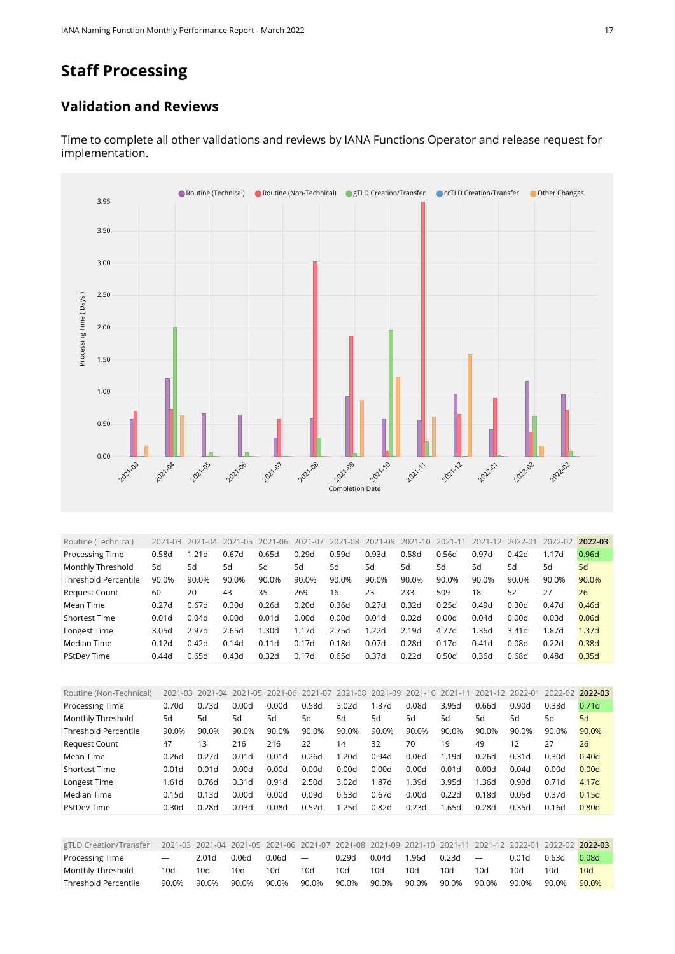## **Staff Processing**

#### **Validation and Reviews**



Time to complete all other validations and reviews by IANA Functions Operator and release request for implementation.

<span id="page-16-0"></span>

| Routine (Technical)         | 2021-03 | 2021<br>$-04$ | $2021 - 05$ | $2021 - 06$ | 2021-07 | 2021-08 | 2021-09 | 2021-10 | 2021-11 | 2021-12 | 2022-01 | 2022-02 | 2022-03 |
|-----------------------------|---------|---------------|-------------|-------------|---------|---------|---------|---------|---------|---------|---------|---------|---------|
| Processing Time             | 0.58d   | 1.21d         | 0.67d       | 0.65d       | 0.29d   | 0.59d   | 0.93d   | 0.58d   | 0.56d   | 0.97d   | 0.42d   | 1.17d   | 0.96d   |
| Monthly Threshold           | 5d      | 5d            | 5d          | 5d          | 5d      | 5d      | 5d      | 5d      | 5d      | 5d      | 5d      | 5d      | 5d      |
| <b>Threshold Percentile</b> | 90.0%   | 90.0%         | 90.0%       | 90.0%       | 90.0%   | 90.0%   | 90.0%   | 90.0%   | 90.0%   | 90.0%   | 90.0%   | 90.0%   | 90.0%   |
| <b>Request Count</b>        | 60      | 20            | 43          | 35          | 269     | 16      | 23      | 233     | 509     | 18      | 52      | 27      | 26      |
| Mean Time                   | 0.27d   | 0.67d         | 0.30d       | 0.26d       | 0.20d   | 0.36d   | 0.27d   | 0.32d   | 0.25d   | 0.49d   | 0.30d   | 0.47d   | 0.46d   |
| <b>Shortest Time</b>        | 0.01d   | 0.04d         | 0.00d       | 0.01d       | 0.00d   | 0.00d   | 0.01d   | 0.02d   | 0.00d   | 0.04d   | 0.00d   | 0.03d   | 0.06d   |
| Longest Time                | 3.05d   | 2.97d         | 2.65d       | 1.30d       | 1.17d   | 2.75d   | 1.22d   | 2.19d   | 4.77d   | l.36d   | 3.41d   | 1.87d   | 1.37d   |
| Median Time                 | 0.12d   | 0.42d         | 0.14d       | 0.11d       | 0.17d   | 0.18d   | 0.07d   | 0.28d   | 0.17d   | 0.41d   | 0.08d   | 0.22d   | 0.38d   |
| <b>PStDev Time</b>          | 0.44d   | 0.65d         | 0.43d       | 0.32d       | 0.17d   | 0.65d   | 0.37d   | 0.22d   | 0.50d   | 0.36d   | 0.68d   | 0.48d   | 0.35d   |

<span id="page-16-1"></span>

| Routine (Non-Technical)     | $2021 - 03$       | $2021 - 04$ | 2021-05 2021-06   |       | 2021-07 | 2021-08 2021-09   |       | 2021-10 | 2021-11 | 2021-12 | 2022-01 | 2022-02           | 2022-03           |
|-----------------------------|-------------------|-------------|-------------------|-------|---------|-------------------|-------|---------|---------|---------|---------|-------------------|-------------------|
| Processing Time             | 0.70d             | 0.73d       | 0.00d             | 0.00d | 0.58d   | 3.02d             | 1.87d | 0.08d   | 3.95d   | 0.66d   | 0.90d   | 0.38d             | 0.71 <sub>d</sub> |
| Monthly Threshold           | 5d                | 5d          | 5d                | 5d    | 5d      | 5d                | 5d    | 5d      | 5d      | 5d      | 5d      | 5d                | 5d                |
| <b>Threshold Percentile</b> | 90.0%             | 90.0%       | 90.0%             | 90.0% | 90.0%   | 90.0%             | 90.0% | 90.0%   | 90.0%   | 90.0%   | 90.0%   | 90.0%             | 90.0%             |
| <b>Request Count</b>        | 47                | 13          | 216               | 216   | 22      | 14                | 32    | 70      | 19      | 49      | 12      | 27                | 26                |
| Mean Time                   | 0.26d             | 0.27d       | 0.01d             | 0.01d | 0.26d   | 1.20d             | 0.94d | 0.06d   | 1.19d   | 0.26d   | 0.31d   | 0.30 <sub>d</sub> | 0.40 <sub>d</sub> |
| <b>Shortest Time</b>        | 0.01d             | 0.01d       | 0.00d             | 0.00d | 0.00d   | 0.00d             | 0.00d | 0.00d   | 0.01d   | 0.00d   | 0.04d   | 0.00d             | 0.00d             |
| Longest Time                | 1.61d             | 0.76d       | 0.31 <sub>d</sub> | 0.91d | 2.50d   | 3.02 <sub>d</sub> | 1.87d | 1.39d   | 3.95d   | 1.36d   | 0.93d   | 0.71d             | 4.17d             |
| Median Time                 | 0.15d             | 0.13d       | 0.00d             | 0.00d | 0.09d   | 0.53d             | 0.67d | 0.00d   | 0.22d   | 0.18d   | 0.05d   | 0.37d             | 0.15d             |
| <b>PStDev Time</b>          | 0.30 <sub>d</sub> | 0.28d       | 0.03d             | 0.08d | 0.52d   | 1.25d             | 0.82d | 0.23d   | 1.65d   | 0.28d   | 0.35d   | 0.16d             | 0.80 <sub>d</sub> |
|                             |                   |             |                   |       |         |                   |       |         |         |         |         |                   |                   |

<span id="page-16-2"></span>

| gTLD Creation/Transfer |                          |                   | 2021-03 2021-04 2021-05 2021-06 2021-07 2021-08 2021-09 2021-10 2021-11 2021-12 2022-01 2022-02 2022-03 |       |                          |       |       |       |       |                          |       |       |       |
|------------------------|--------------------------|-------------------|---------------------------------------------------------------------------------------------------------|-------|--------------------------|-------|-------|-------|-------|--------------------------|-------|-------|-------|
| <b>Processing Time</b> | $\overline{\phantom{m}}$ | 2.01 <sub>d</sub> | 0.06d                                                                                                   | 0.06d | $\overline{\phantom{a}}$ | 0.29d | 0.04d | 1.96d | 0.23d | $\overline{\phantom{a}}$ | 0.01d | 0.63d | 0.08d |
| Monthly Threshold      | 10d                      | 10d               | 10d                                                                                                     | 10d   | 10d                      | 10d   | 10d   | 10d   | 10d   | 10d                      | 10d   | 10d   | 10d   |
| Threshold Percentile   | 90.0%                    | 90.0%             | 90.0%                                                                                                   | 90.0% | 90.0%                    | 90.0% | 90.0% | 90.0% | 90.0% | 90.0%                    | 90.0% | 90.0% | 90.0% |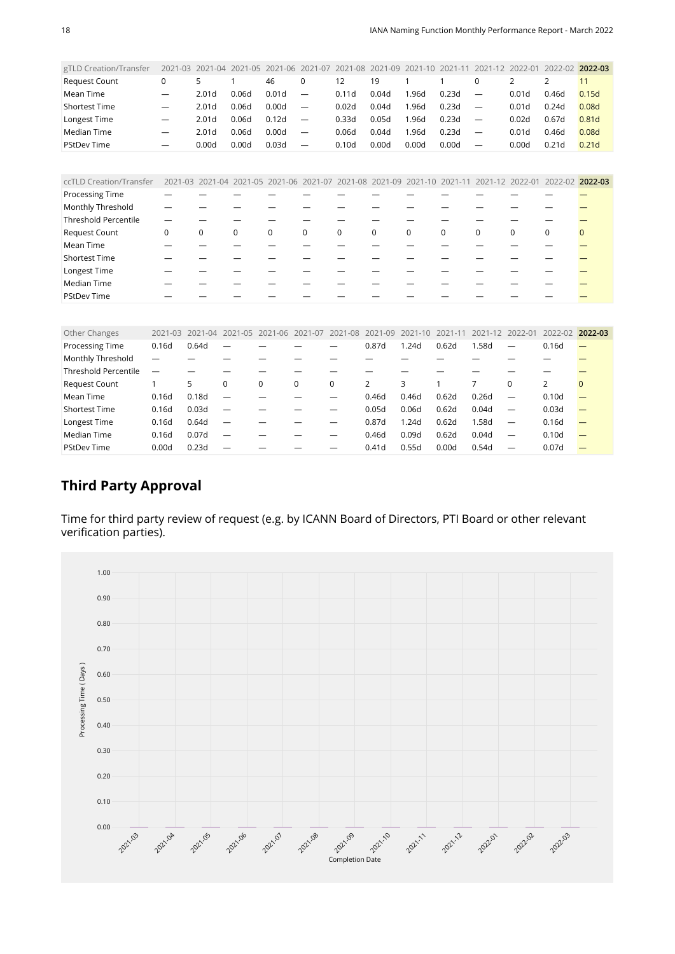<span id="page-17-0"></span>

| gTLD Creation/Transfer      | 2021-03     | 2021-04           |             | 2021-05 2021-06 2021-07                 |          | 2021-08     | 2021-09 | 2021-10                                                         | 2021-11 | 2021-12                  | 2022-01           | 2022-02 2022-03                 |                   |
|-----------------------------|-------------|-------------------|-------------|-----------------------------------------|----------|-------------|---------|-----------------------------------------------------------------|---------|--------------------------|-------------------|---------------------------------|-------------------|
| Request Count               | $\mathbf 0$ | 5                 |             | 46                                      | 0        | 12          | 19      |                                                                 | 1       | $\mathbf 0$              | 2                 | 2                               | 11                |
| Mean Time                   |             | 2.01 <sub>d</sub> | 0.06d       | 0.01 <sub>d</sub>                       | —        | 0.11d       | 0.04d   | 1.96d                                                           | 0.23d   | —                        | 0.01 <sub>d</sub> | 0.46d                           | 0.15d             |
| <b>Shortest Time</b>        |             | 2.01 <sub>d</sub> | 0.06d       | 0.00d                                   | —        | 0.02d       | 0.04d   | 1.96d                                                           | 0.23d   | $\overline{\phantom{0}}$ | 0.01 <sub>d</sub> | 0.24d                           | 0.08d             |
| Longest Time                |             | 2.01 <sub>d</sub> | 0.06d       | 0.12d                                   |          | 0.33d       | 0.05d   | 1.96d                                                           | 0.23d   | $\overline{\phantom{0}}$ | 0.02d             | 0.67d                           | 0.81 <sub>d</sub> |
| <b>Median Time</b>          |             | 2.01 <sub>d</sub> | 0.06d       | 0.00d                                   | —        | 0.06d       | 0.04d   | 1.96d                                                           | 0.23d   |                          | 0.01d             | 0.46d                           | 0.08d             |
| <b>PStDev Time</b>          |             | 0.00d             | 0.00d       | 0.03d                                   |          | 0.10d       | 0.00d   | 0.00d                                                           | 0.00d   |                          | 0.00d             | 0.21d                           | 0.21 <sub>d</sub> |
|                             |             |                   |             |                                         |          |             |         |                                                                 |         |                          |                   |                                 |                   |
|                             |             |                   |             |                                         |          |             |         |                                                                 |         |                          |                   |                                 |                   |
| ccTLD Creation/Transfer     | 2021-03     |                   |             |                                         |          |             |         | 2021-04 2021-05 2021-06 2021-07 2021-08 2021-09 2021-10 2021-11 |         |                          |                   | 2021-12 2022-01 2022-02 2022-03 |                   |
| Processing Time             |             |                   |             |                                         |          |             |         |                                                                 |         |                          |                   |                                 |                   |
| Monthly Threshold           |             |                   |             |                                         |          |             |         |                                                                 |         |                          |                   |                                 |                   |
| <b>Threshold Percentile</b> | --          |                   |             |                                         |          |             |         |                                                                 |         |                          |                   |                                 |                   |
| Request Count               | 0           | 0                 | $\mathbf 0$ | $\mathbf 0$                             | $\Omega$ | $\mathbf 0$ | 0       | $\Omega$                                                        | 0       | $\mathbf 0$              | 0                 | $\mathbf 0$                     | $\Omega$          |
| Mean Time                   |             |                   |             |                                         |          |             |         |                                                                 |         |                          |                   |                                 |                   |
| <b>Shortest Time</b>        |             |                   |             |                                         |          |             |         |                                                                 |         |                          |                   |                                 |                   |
| Longest Time                |             |                   |             |                                         |          |             |         |                                                                 |         |                          |                   |                                 |                   |
| <b>Median Time</b>          |             |                   |             |                                         |          |             |         |                                                                 |         |                          |                   |                                 |                   |
| <b>PStDev Time</b>          |             |                   |             |                                         |          |             |         |                                                                 |         |                          |                   |                                 |                   |
|                             |             |                   |             |                                         |          |             |         |                                                                 |         |                          |                   |                                 |                   |
| Other Changes               | 2021-03     | 2021-04           |             | 2021-05 2021-06 2021-07 2021-08 2021-09 |          |             |         | 2021-10                                                         | 2021-11 | 2021-12                  | 2022-01           | 2022-02 2022-03                 |                   |
| Processing Time             | 0.16d       | 0.64d             |             |                                         |          |             | 0.87d   | 1.24d                                                           | 0.62d   | 1.58d                    |                   | 0.16d                           |                   |
| Monthly Threshold           |             |                   |             |                                         |          |             |         |                                                                 |         |                          |                   |                                 |                   |

<span id="page-17-1"></span>

| . <del>.</del> <del>.</del> |                          |       |                          |   |   |       |       |       |       |                          |                   |  |
|-----------------------------|--------------------------|-------|--------------------------|---|---|-------|-------|-------|-------|--------------------------|-------------------|--|
| Threshold Percentile        | $\overline{\phantom{0}}$ |       |                          |   |   |       |       |       |       |                          |                   |  |
| <b>Request Count</b>        |                          |       | 0                        | 0 |   | 2     |       |       |       |                          |                   |  |
| Mean Time                   | 0.16d                    | 0.18d | $\overline{\phantom{0}}$ |   | - | 0.46d | 0.46d | 0.62d | 0.26d | $\overline{\phantom{m}}$ | 0.10 <sub>d</sub> |  |
| <b>Shortest Time</b>        | 0.16d                    | 0.03d | $\overline{\phantom{0}}$ |   |   | 0.05d | 0.06d | 0.62d | 0.04d | $\overline{\phantom{a}}$ | 0.03d             |  |
| Longest Time                | 0.16d                    | 0.64d | $\overline{\phantom{0}}$ |   |   | 0.87d | 1.24d | 0.62d | 1.58d | $\overline{\phantom{m}}$ | 0.16d             |  |
| Median Time                 | 0.16d                    | 0.07d | $\overline{\phantom{0}}$ |   |   | 0.46d | 0.09d | 0.62d | 0.04d | $\overline{\phantom{0}}$ | 0.10 <sub>d</sub> |  |
| <b>PStDev Time</b>          | 0.00d                    | 0.23d |                          |   |   | 0.41d | 0.55d | 0.00d | 0.54d |                          | 0.07d             |  |
|                             |                          |       |                          |   |   |       |       |       |       |                          |                   |  |

#### **Third Party Approval**

Time for third party review of request (e.g. by ICANN Board of Directors, PTI Board or other relevant verification parties).

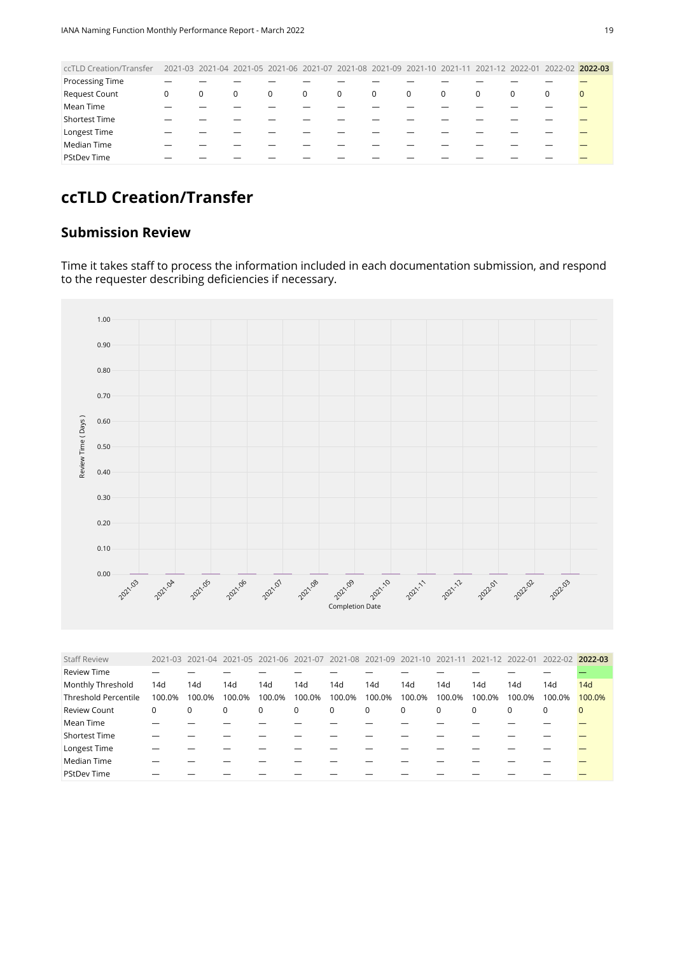<span id="page-18-0"></span>

| ccTLD Creation/Transfer |          |   |   |             |              |              |             |              |                |   |          | 2021-03 2021-04 2021-05 2021-06 2021-07 2021-08 2021-09 2021-10 2021-11 2021-12 2022-01 2022-02 2022-03 |          |
|-------------------------|----------|---|---|-------------|--------------|--------------|-------------|--------------|----------------|---|----------|---------------------------------------------------------------------------------------------------------|----------|
| <b>Processing Time</b>  |          |   |   |             |              |              |             |              |                |   |          |                                                                                                         |          |
| Request Count           | $\Omega$ | 0 | 0 | $\mathbf 0$ | $\mathbf{0}$ | $\mathbf{0}$ | $\mathbf 0$ | $\mathbf{0}$ | $\overline{0}$ | 0 | $\Omega$ | 0                                                                                                       | $\Omega$ |
| Mean Time               |          |   |   |             |              |              |             |              |                |   |          |                                                                                                         |          |
| <b>Shortest Time</b>    |          |   |   |             |              |              |             |              |                |   |          |                                                                                                         |          |
| Longest Time            |          |   |   |             |              |              |             |              |                |   |          |                                                                                                         |          |
| Median Time             |          |   |   |             |              |              |             |              |                |   |          |                                                                                                         |          |
| <b>PStDev Time</b>      |          |   |   |             |              |              |             |              |                |   |          |                                                                                                         |          |
|                         |          |   |   |             |              |              |             |              |                |   |          |                                                                                                         |          |

## **ccTLD Creation/Transfer**

#### **Submission Review**

Time it takes staff to process the information included in each documentation submission, and respond to the requester describing deficiencies if necessary.



<span id="page-18-1"></span>

| <b>Staff Review</b>         |        |        |             |        | 2021-03 2021-04 2021-05 2021-06 2021-07 2021-08 2021-09 2021-10 2021-11 |        |        |             |        |             |          | 2021-12 2022-01 2022-02 2022-03 |             |
|-----------------------------|--------|--------|-------------|--------|-------------------------------------------------------------------------|--------|--------|-------------|--------|-------------|----------|---------------------------------|-------------|
| <b>Review Time</b>          |        |        |             |        |                                                                         |        |        |             |        |             |          |                                 |             |
| Monthly Threshold           | 14d    | 14d    | 14d         | 14d    | 14d                                                                     | 14d    | 14d    | 14d         | 14d    | 14d         | 14d      | 14d                             | 14d         |
| <b>Threshold Percentile</b> | 100.0% | 100.0% | 100.0%      | 100.0% | 100.0%                                                                  | 100.0% | 100.0% | 100.0%      | 100.0% | 100.0%      | 100.0%   | 100.0%                          | 100.0%      |
| <b>Review Count</b>         | 0      | 0      | $\mathbf 0$ | 0      | $\mathbf{0}$                                                            | 0      | 0      | $\mathbf 0$ | 0      | $\mathbf 0$ | $\Omega$ | 0                               | $\mathbf 0$ |
| Mean Time                   |        |        |             |        |                                                                         |        |        |             |        |             |          |                                 |             |
| Shortest Time               |        |        |             |        |                                                                         |        |        |             |        |             |          |                                 |             |
| Longest Time                |        |        |             |        |                                                                         |        |        |             |        |             |          |                                 |             |
| Median Time                 |        |        |             |        |                                                                         |        |        |             |        |             |          |                                 |             |
| <b>PStDev Time</b>          |        |        |             |        |                                                                         |        |        |             |        |             |          |                                 |             |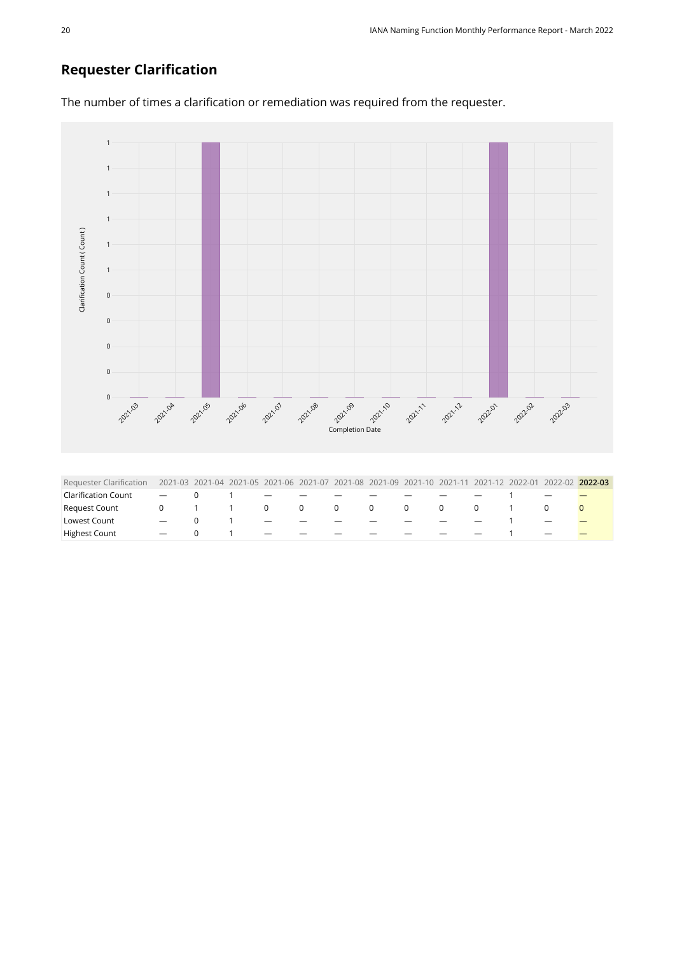#### **Requester Clarification**

1 1 1 1 Clarification Count (Count) [Clarification Count \( Count \)](https://sle-dashboard.iana.org/chart/cat4-requester-clarification/?granularity=monthly&start=2021-03-01&end=2022-04-01) 1 1 0 0 0 0 0 2021.04 2021.05 **2021**03 2021-10 2021.09 2021.09 2021.08 zann pana panak panas [Completion Date](https://sle-dashboard.iana.org/chart/cat4-requester-clarification/?granularity=monthly&start=2021-03-01&end=2022-04-01) Requester Clarification 2021-03 2021-04 2021-05 2021-06 2021-07 2021-08 2021-09 2021-10 2021-11 2021-12 2022-01 2022-02 **2022-03**  $\text{Clarification} \text{ Count } \quad - \quad 0 \qquad 1 \qquad - \quad - \quad - \quad - \quad - \quad - \quad - \quad - \quad 1$ Request Count 0 1 1 0 0 0 0 0 0 0 1 0 0 Lowest Count - 0 1 - - - - - - - 1 - <mark>-</mark>

<span id="page-19-0"></span>Highest Count - 0 1 - - - - - - - 1 -

The number of times a clarification or remediation was required from the requester.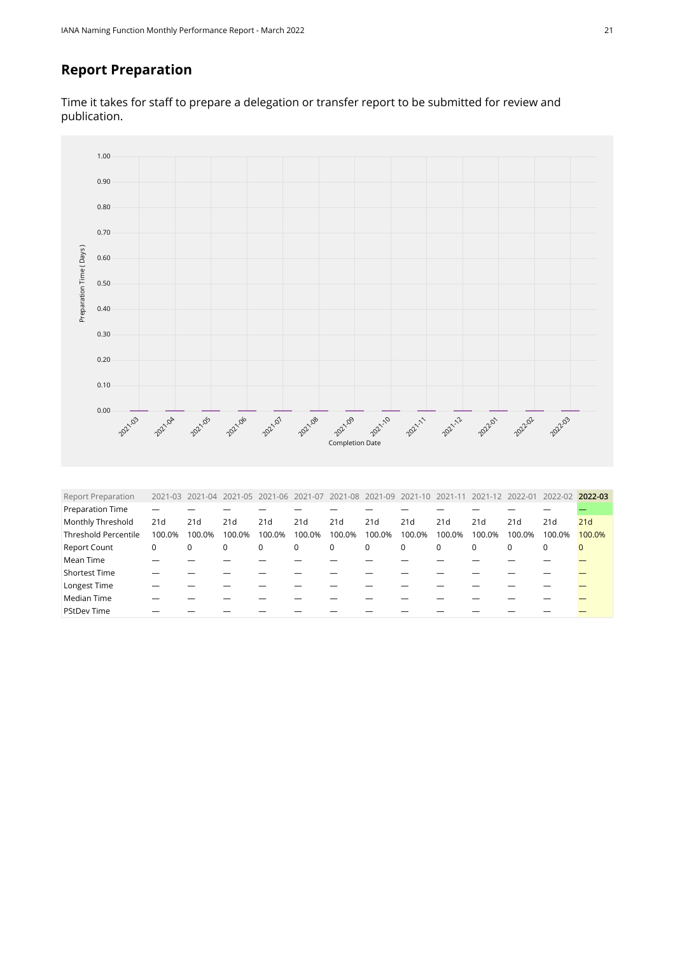#### **Report Preparation**

Time it takes for staff to prepare a delegation or transfer report to be submitted for review and publication.



<span id="page-20-0"></span>

| <b>Report Preparation</b>   |        |        |        |        |             |             |        | 2021-03 2021-04 2021-05 2021-06 2021-07 2021-08 2021-09 2021-10 2021-11 2021-12 2022-01 |             |             |          | 2022-02     | 2022-03      |
|-----------------------------|--------|--------|--------|--------|-------------|-------------|--------|-----------------------------------------------------------------------------------------|-------------|-------------|----------|-------------|--------------|
| Preparation Time            |        |        |        |        |             |             |        |                                                                                         |             |             |          |             |              |
| Monthly Threshold           | 21d    | 21d    | 21d    | 21d    | 21d         | 21d         | 21d    | 21d                                                                                     | 21d         | 21d         | 21d      | 21d         | 21d          |
| <b>Threshold Percentile</b> | 100.0% | 100.0% | 100.0% | 100.0% | 100.0%      | 100.0%      | 100.0% | 100.0%                                                                                  | 100.0%      | 100.0%      | 100.0%   | 100.0%      | 100.0%       |
| <b>Report Count</b>         | 0      | 0      | 0      | 0      | $\mathbf 0$ | $\mathbf 0$ | 0      | 0                                                                                       | $\mathbf 0$ | $\mathbf 0$ | $\Omega$ | $\mathbf 0$ | $\mathbf{0}$ |
| Mean Time                   |        |        |        |        |             |             |        |                                                                                         |             |             |          |             |              |
| <b>Shortest Time</b>        |        |        |        |        |             |             |        |                                                                                         |             |             |          |             |              |
| Longest Time                |        |        |        |        |             |             |        |                                                                                         |             |             |          |             |              |
| Median Time                 |        |        |        |        |             |             |        |                                                                                         |             |             |          |             |              |
| <b>PStDev Time</b>          |        |        |        |        |             |             |        |                                                                                         |             |             |          |             |              |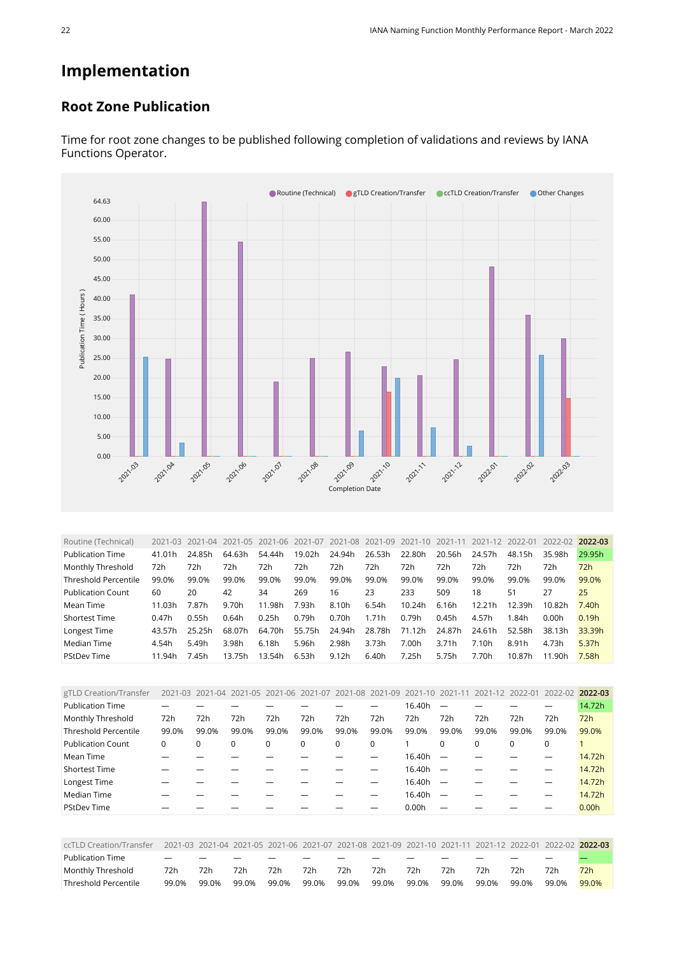## **Implementation**

#### **Root Zone Publication**



Time for root zone changes to be published following completion of validations and reviews by IANA Functions Operator.

<span id="page-21-0"></span>

| Routine (Technical)         | 2021-03 | 2021-04 | 2021-05 | 2021-06 | 2021-07 | 2021-08 2021-09 |        | 2021-10 | 2021-11 | 2021-12 | 2022-01 | 2022-02 | 2022-03           |
|-----------------------------|---------|---------|---------|---------|---------|-----------------|--------|---------|---------|---------|---------|---------|-------------------|
| <b>Publication Time</b>     | 41.01h  | 24.85h  | 64.63h  | 54.44h  | 19.02h  | 24.94h          | 26.53h | 22.80h  | 20.56h  | 24.57h  | 48.15h  | 35.98h  | 29.95h            |
| Monthly Threshold           | 72h     | 72h     | 72h     | 72h     | 72h     | 72h             | 72h    | 72h     | 72h     | 72h     | 72h     | 72h     | 72h               |
| <b>Threshold Percentile</b> | 99.0%   | 99.0%   | 99.0%   | 99.0%   | 99.0%   | 99.0%           | 99.0%  | 99.0%   | 99.0%   | 99.0%   | 99.0%   | 99.0%   | 99.0%             |
| <b>Publication Count</b>    | 60      | 20      | 42      | 34      | 269     | 16              | 23     | 233     | 509     | 18      | 51      | 27      | 25                |
| Mean Time                   | 11.03h  | 7.87h   | 9.70h   | 11.98h  | 7.93h   | 8.10h           | 6.54h  | 10.24h  | 6.16h   | 12.21h  | 12.39h  | 10.82h  | 7.40h             |
| <b>Shortest Time</b>        | 0.47h   | 0.55h   | 0.64h   | 0.25h   | 0.79h   | 0.70h           | 1.71h  | 0.79h   | 0.45h   | 4.57h   | 1.84h   | 0.00h   | 0.19h             |
| Longest Time                | 43.57h  | 25.25h  | 68.07h  | 64.70h  | 55.75h  | 24.94h          | 28.78h | 71.12h  | 24.87h  | 24.61h  | 52.58h  | 38.13h  | 33.39h            |
| Median Time                 | 4.54h   | 5.49h   | 3.98h   | 6.18h   | 5.96h   | 2.98h           | 3.73h  | 7.00h   | 3.71h   | 7.10h   | 8.91h   | 4.73h   | 5.37 <sub>h</sub> |
| <b>PStDev Time</b>          | 11.94h  | 7.45h   | 13.75h  | 13.54h  | 6.53h   | 9.12h           | 6.40h  | 7.25h   | 5.75h   | 7.70h   | 10.87h  | 11.90h  | 7.58h             |

<span id="page-21-1"></span>

| gTLD Creation/Transfer      |          |          | 2021-03 2021-04 2021-05 | 2021-06 2021-07 2021-08 2021-09 |       |       |       | 2021-10 | 2021-11  | 2021-12 2022-01 |       | 2022-02     | 2022-03 |
|-----------------------------|----------|----------|-------------------------|---------------------------------|-------|-------|-------|---------|----------|-----------------|-------|-------------|---------|
| <b>Publication Time</b>     |          |          |                         |                                 |       |       |       | 16.40h  |          |                 |       |             | 14.72h  |
| Monthly Threshold           | 72h      | 72h      | 72h                     | 72h                             | 72h   | 72h   | 72h   | 72h     | 72h      | 72h             | 72h   | 72h         | 72h     |
| <b>Threshold Percentile</b> | 99.0%    | 99.0%    | 99.0%                   | 99.0%                           | 99.0% | 99.0% | 99.0% | 99.0%   | 99.0%    | 99.0%           | 99.0% | 99.0%       | 99.0%   |
| <b>Publication Count</b>    | $\Omega$ | $\Omega$ | 0                       | 0                               | 0     | 0     | 0     |         | $\Omega$ | $\mathbf 0$     | 0     | $\mathbf 0$ |         |
| Mean Time                   |          |          |                         |                                 |       |       |       | 16.40h  |          |                 |       |             | 14.72h  |
| <b>Shortest Time</b>        |          |          |                         |                                 |       |       |       | 16.40h  |          |                 |       |             | 14.72h  |
| Longest Time                |          |          |                         |                                 |       |       |       | 16.40h  |          |                 |       |             | 14.72h  |
| Median Time                 |          |          |                         |                                 |       |       |       | 16.40h  |          |                 |       |             | 14.72h  |
| <b>PStDev Time</b>          |          |          |                         |                                 |       |       |       | 0.00h   |          |                 |       |             | 0.00h   |

<span id="page-21-2"></span>

| ccTLD Creation/Transfer |                          |       |       |       |       |       |       |       |       |       |       |       | 2021-03 2021-04 2021-05 2021-06 2021-07 2021-08 2021-09 2021-10 2021-11 2021-12 2022-01 2022-02 2022-03 |
|-------------------------|--------------------------|-------|-------|-------|-------|-------|-------|-------|-------|-------|-------|-------|---------------------------------------------------------------------------------------------------------|
| <b>Publication Time</b> | $\overline{\phantom{0}}$ |       |       |       |       |       |       |       |       |       |       |       |                                                                                                         |
| Monthly Threshold       | 72h                      | 72h   | 72h   | 72h   | 72h   | 72h   | 72h   | 72h   | 72h   | 72h   | 72h   | 72h   | 72h                                                                                                     |
| Threshold Percentile    | 99.0%                    | 99.0% | 99.0% | 99.0% | 99.0% | 99.0% | 99.0% | 99.0% | 99.0% | 99.0% | 99.0% | 99.0% | 99.0%                                                                                                   |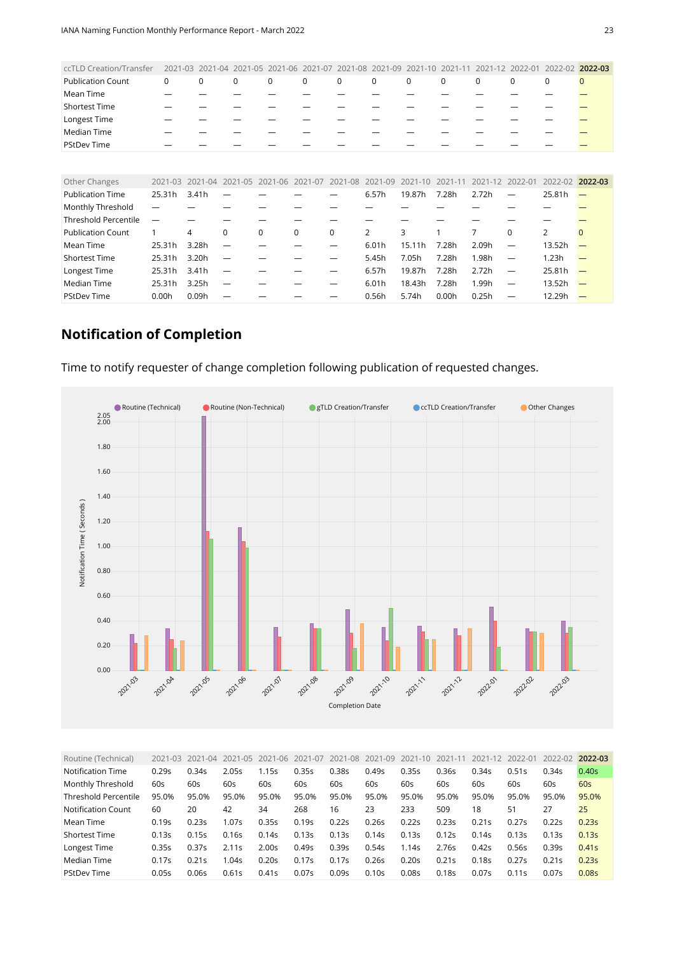<span id="page-22-0"></span>

| ccTLD Creation/Transfer     | 2021-03 | $2021 - 04$ | $2021 - 05$ | 2021-06  | $2021 - 07$ | $-08$<br>2021 | $2021 - 09$    | 2021        |             |             | $2022 - 01$              | 2022-02         | 2022-03        |
|-----------------------------|---------|-------------|-------------|----------|-------------|---------------|----------------|-------------|-------------|-------------|--------------------------|-----------------|----------------|
| <b>Publication Count</b>    | 0       | $\mathbf 0$ | $\mathbf 0$ | 0        | 0           | $\mathbf 0$   | $\mathbf 0$    | $\mathbf 0$ | $\mathbf 0$ | $\mathbf 0$ | 0                        | $\mathbf 0$     | $\overline{0}$ |
| Mean Time                   |         |             |             |          |             |               |                |             |             |             |                          |                 |                |
| <b>Shortest Time</b>        |         |             |             |          |             |               |                |             |             |             |                          |                 |                |
| Longest Time                |         |             |             |          |             |               |                |             |             |             |                          |                 |                |
| Median Time                 |         |             |             |          |             |               |                |             |             |             |                          |                 |                |
| <b>PStDev Time</b>          |         |             |             |          |             |               |                |             |             |             |                          |                 |                |
|                             |         |             |             |          |             |               |                |             |             |             |                          |                 |                |
| Other Changes               | 2021-03 | $2021 - 04$ | $2021 - 05$ | 2021-06  | 2021-07     | 2021-08       | 2021-09        | $2021 - 10$ | 2021-11     | $2021 - 12$ | 2022-01                  | 2022-02 2022-03 |                |
| <b>Publication Time</b>     | 25.31h  | 3.41h       |             |          |             |               | 6.57h          | 19.87h      | 7.28h       | 2.72h       | $\overline{\phantom{0}}$ | 25.81h          |                |
| Monthly Threshold           |         |             |             |          |             |               |                |             |             |             |                          |                 |                |
| <b>Threshold Percentile</b> |         |             |             |          |             |               |                |             |             |             |                          |                 |                |
| <b>Publication Count</b>    |         | 4           | 0           | $\Omega$ | $\mathbf 0$ | $\mathbf 0$   | $\overline{2}$ | 3           | 1           | 7           | $\Omega$                 | $\overline{2}$  | $\Omega$       |
| Mean Time                   | 25.31h  | 3.28h       |             |          |             |               | 6.01h          | 15.11h      | 7.28h       | 2.09h       |                          | 13.52h          |                |
| <b>Shortest Time</b>        | 25.31h  | 3.20h       |             |          |             |               | 5.45h          | 7.05h       | 7.28h       | 1.98h       |                          | 1.23h           |                |
| Longest Time                | 25.31h  | 3.41h       | -           |          |             |               | 6.57h          | 19.87h      | 7.28h       | 2.72h       |                          | 25.81h          |                |
| Median Time                 | 25.31h  | 3.25h       |             |          |             |               | 6.01h          | 18.43h      | 7.28h       | 1.99h       |                          | 13.52h          |                |
| <b>PStDev Time</b>          | 0.00h   | 0.09h       |             |          |             |               | 0.56h          | 5.74h       | 0.00h       | 0.25h       |                          | 12.29h          |                |

#### **Notification of Completion**

Time to notify requester of change completion following publication of requested changes.



<span id="page-22-1"></span>

| Routine (Technical)  | 2021-03 | 2021-04 | 2021-05 | 2021-06 | 2021-07 | 2021-08 | 2021-09 | 2021-10 | $2021 - 11$ | 2021-12 | 2022-01 | 2022-02 | 2022-03           |
|----------------------|---------|---------|---------|---------|---------|---------|---------|---------|-------------|---------|---------|---------|-------------------|
| Notification Time    | 0.29s   | 0.34s   | 2.05s   | 1.15s   | 0.35s   | 0.38s   | 0.49s   | 0.35s   | 0.36s       | 0.34s   | 0.51s   | 0.34s   | 0.40 <sub>S</sub> |
| Monthly Threshold    | 60s     | 60s     | 60s     | 60s     | 60s     | 60s     | 60s     | 60s     | 60s         | 60s     | 60s     | 60s     | 60s               |
| Threshold Percentile | 95.0%   | 95.0%   | 95.0%   | 95.0%   | 95.0%   | 95.0%   | 95.0%   | 95.0%   | 95.0%       | 95.0%   | 95.0%   | 95.0%   | 95.0%             |
| Notification Count   | 60      | 20      | 42      | 34      | 268     | 16      | 23      | 233     | 509         | 18      | 51      | 27      | 25                |
| Mean Time            | 0.19s   | 0.23s   | 1.07s   | 0.35s   | 0.19s   | 0.22s   | 0.26s   | 0.22s   | 0.23s       | 0.21s   | 0.27s   | 0.22s   | 0.23s             |
| <b>Shortest Time</b> | 0.13s   | 0.15s   | 0.16s   | 0.14s   | 0.13s   | 0.13s   | 0.14s   | 0.13s   | 0.12s       | 0.14s   | 0.13s   | 0.13s   | 0.13s             |
| Longest Time         | 0.35s   | 0.37s   | 2.11s   | 2.00s   | 0.49s   | 0.39s   | 0.54s   | 1.14s   | 2.76s       | 0.42s   | 0.56s   | 0.39s   | 0.41s             |
| Median Time          | 0.17s   | 0.21s   | 1.04s   | 0.20s   | 0.17s   | 0.17s   | 0.26s   | 0.20s   | 0.21s       | 0.18s   | 0.27s   | 0.21s   | 0.23s             |
| <b>PStDev Time</b>   | 0.05s   | 0.06s   | 0.61s   | 0.41s   | 0.07s   | 0.09s   | 0.10s   | 0.08s   | 0.18s       | 0.07s   | 0.11s   | 0.07s   | 0.08s             |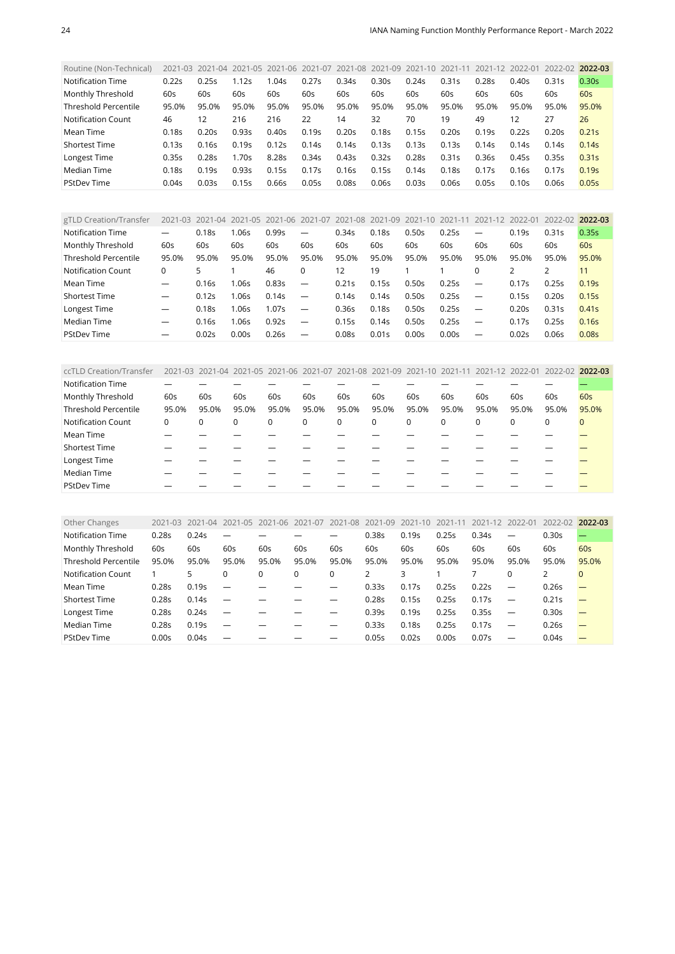<span id="page-23-0"></span>

| Routine (Non-Technical)     |       | 2021-03 2021-04 | 2021-05 2021-06 2021-07 2021-08 2021-09 |       |       |       |       | 2021-10 | 2021-11 2021-12 2022-01 |       |       | 2022-02 | 2022-03 |
|-----------------------------|-------|-----------------|-----------------------------------------|-------|-------|-------|-------|---------|-------------------------|-------|-------|---------|---------|
| Notification Time           | 0.22s | 0.25s           | 1.12s                                   | 1.04s | 0.27s | 0.34s | 0.30s | 0.24s   | 0.31s                   | 0.28s | 0.40s | 0.31s   | 0.30s   |
| Monthly Threshold           | 60s   | 60s             | 60s                                     | 60s   | 60s   | 60s   | 60s   | 60s     | 60s                     | 60s   | 60s   | 60s     | 60s     |
| <b>Threshold Percentile</b> | 95.0% | 95.0%           | 95.0%                                   | 95.0% | 95.0% | 95.0% | 95.0% | 95.0%   | 95.0%                   | 95.0% | 95.0% | 95.0%   | 95.0%   |
| <b>Notification Count</b>   | 46    | 12              | 216                                     | 216   | 22    | 14    | 32    | 70      | 19                      | 49    | 12    | 27      | 26      |
| Mean Time                   | 0.18s | 0.20s           | 0.93s                                   | 0.40s | 0.19s | 0.20s | 0.18s | 0.15s   | 0.20s                   | 0.19s | 0.22s | 0.20s   | 0.21s   |
| <b>Shortest Time</b>        | 0.13s | 0.16s           | 0.19s                                   | 0.12s | 0.14s | 0.14s | 0.13s | 0.13s   | 0.13s                   | 0.14s | 0.14s | 0.14s   | 0.14s   |
| Longest Time                | 0.35s | 0.28s           | 1.70s                                   | 8.285 | 0.34s | 0.43s | 0.32s | 0.28s   | 0.31s                   | 0.36s | 0.45s | 0.35s   | 0.31s   |
| Median Time                 | 0.18s | 0.19s           | 0.93s                                   | 0.15s | 0.17s | 0.16s | 0.15s | 0.14s   | 0.18s                   | 0.17s | 0.16s | 0.17s   | 0.19s   |
| <b>PStDev Time</b>          | 0.04s | 0.03s           | 0.15s                                   | 0.66s | 0.05s | 0.08s | 0.06s | 0.03s   | 0.06s                   | 0.05s | 0.10s | 0.06s   | 0.05s   |

<span id="page-23-1"></span>

| gTLD Creation/Transfer      | $2021 - 03$ | 2021-04 | 2021-05 | 2021-06 2021-07 |                          | 2021-08 2021-09 |       | 2021-10 | $2021 - 1$ | 2021-12                  | 2022-01 | 2022-02 | 2022-03           |
|-----------------------------|-------------|---------|---------|-----------------|--------------------------|-----------------|-------|---------|------------|--------------------------|---------|---------|-------------------|
| Notification Time           |             | 0.18s   | 1.06s   | 0.99s           | $\overline{\phantom{0}}$ | 0.34s           | 0.18s | 0.50s   | 0.25s      | $\overline{\phantom{0}}$ | 0.19s   | 0.31s   | 0.35s             |
| Monthly Threshold           | 60s         | 60s     | 60s     | 60s             | 60s                      | 60s             | 60s   | 60s     | 60s        | 60s                      | 60s     | 60s     | 60s               |
| <b>Threshold Percentile</b> | 95.0%       | 95.0%   | 95.0%   | 95.0%           | 95.0%                    | 95.0%           | 95.0% | 95.0%   | 95.0%      | 95.0%                    | 95.0%   | 95.0%   | 95.0%             |
| <b>Notification Count</b>   | 0           | 5       |         | 46              | 0                        | 12              | 19    |         |            |                          | 2       |         | 11                |
| Mean Time                   |             | 0.16s   | 1.06s   | 0.83s           | $\overline{\phantom{a}}$ | 0.21s           | 0.15s | 0.50s   | 0.25s      |                          | 0.17s   | 0.25s   | 0.19s             |
| <b>Shortest Time</b>        |             | 0.12s   | 1.06s   | 0.14s           | $\overline{\phantom{m}}$ | 0.14s           | 0.14s | 0.50s   | 0.25s      | $\overline{\phantom{m}}$ | 0.15s   | 0.20s   | 0.15s             |
| Longest Time                |             | 0.18s   | 1.06s   | 1.07s           |                          | 0.36s           | 0.18s | 0.50s   | 0.25s      |                          | 0.20s   | 0.31s   | 0.41s             |
| Median Time                 | –           | 0.16s   | 1.06s   | 0.92s           | $\overline{\phantom{m}}$ | 0.15s           | 0.14s | 0.50s   | 0.25s      |                          | 0.17s   | 0.25s   | 0.16s             |
| <b>PStDev Time</b>          |             | 0.02s   | 0.00s   | 0.26s           |                          | 0.08s           | 0.01s | 0.00s   | 0.00s      |                          | 0.02s   | 0.06s   | 0.08 <sub>S</sub> |

<span id="page-23-2"></span>

| ccTLD Creation/Transfer     |       |       |       | 2021-03 2021-04 2021-05 2021-06 2021-07 2021-08 2021-09 2021-10 2021-11 2021-12 2022-01 |          |       |             |       |          |             |       | 2022-02 2022-03 |              |
|-----------------------------|-------|-------|-------|-----------------------------------------------------------------------------------------|----------|-------|-------------|-------|----------|-------------|-------|-----------------|--------------|
| <b>Notification Time</b>    |       |       |       |                                                                                         |          |       |             |       |          |             |       |                 |              |
| Monthly Threshold           | 60s   | 60s   | 60s   | 60s                                                                                     | 60s      | 60s   | 60s         | 60s   | 60s      | 60s         | 60s   | 60s             | 60s          |
| <b>Threshold Percentile</b> | 95.0% | 95.0% | 95.0% | 95.0%                                                                                   | 95.0%    | 95.0% | 95.0%       | 95.0% | 95.0%    | 95.0%       | 95.0% | 95.0%           | 95.0%        |
| <b>Notification Count</b>   | 0     | 0     |       | 0                                                                                       | $\Omega$ | 0     | $\mathbf 0$ | 0     | $\Omega$ | $\mathbf 0$ | 0     | 0               | $\mathbf{0}$ |
| Mean Time                   |       |       |       |                                                                                         |          |       |             |       |          |             |       |                 |              |
| <b>Shortest Time</b>        |       |       |       |                                                                                         |          |       |             |       |          |             |       |                 |              |
| Longest Time                |       |       |       |                                                                                         |          |       |             |       |          |             |       |                 |              |
| Median Time                 |       |       |       |                                                                                         |          |       |             |       |          |             |       |                 |              |
| <b>PStDev Time</b>          |       |       |       |                                                                                         |          |       |             |       |          |             |       |                 |              |

<span id="page-23-3"></span>

| Other Changes               | 2021-03           | $-04$<br>2021 | $2021 - 05$              | $2021 - 06$ | 2021-07  | 2021-08 | 2021-09 | 2021-10 | 2021-11 | 2021-12 | 2022-01                  | 2022-02 | 2022-03  |
|-----------------------------|-------------------|---------------|--------------------------|-------------|----------|---------|---------|---------|---------|---------|--------------------------|---------|----------|
| <b>Notification Time</b>    | 0.28 <sub>S</sub> | 0.24s         | -                        |             |          |         | 0.38s   | 0.19s   | 0.25s   | 0.34s   | $\overline{\phantom{0}}$ | 0.30s   |          |
| Monthly Threshold           | 60s               | 60s           | 60s                      | 60s         | 60s      | 60s     | 60s     | 60s     | 60s     | 60s     | 60s                      | 60s     | 60s      |
| <b>Threshold Percentile</b> | 95.0%             | 95.0%         | 95.0%                    | 95.0%       | 95.0%    | 95.0%   | 95.0%   | 95.0%   | 95.0%   | 95.0%   | 95.0%                    | 95.0%   | 95.0%    |
| Notification Count          |                   | 5             | 0                        |             | $\Omega$ | 0       |         | 3       |         |         | $\Omega$                 | 2       | $\Omega$ |
| Mean Time                   | 0.28 <sub>S</sub> | 0.19s         |                          |             |          |         | 0.33s   | 0.17s   | 0.25s   | 0.22s   |                          | 0.26s   |          |
| <b>Shortest Time</b>        | 0.28 <sub>S</sub> | 0.14s         | $\overline{\phantom{0}}$ |             |          |         | 0.28s   | 0.15s   | 0.25s   | 0.17s   | $\overline{\phantom{0}}$ | 0.21s   |          |
| Longest Time                | 0.28 <sub>S</sub> | 0.24s         | $\overline{\phantom{0}}$ |             |          |         | 0.39s   | 0.19s   | 0.25s   | 0.35s   |                          | 0.30s   |          |
| Median Time                 | 0.28 <sub>S</sub> | 0.19s         | $\overline{\phantom{m}}$ |             |          |         | 0.33s   | 0.18s   | 0.25s   | 0.17s   |                          | 0.26s   |          |
| <b>PStDev Time</b>          | 0.00s             | 0.04s         |                          |             |          |         | 0.05s   | 0.02s   | 0.00s   | 0.07s   |                          | 0.04s   |          |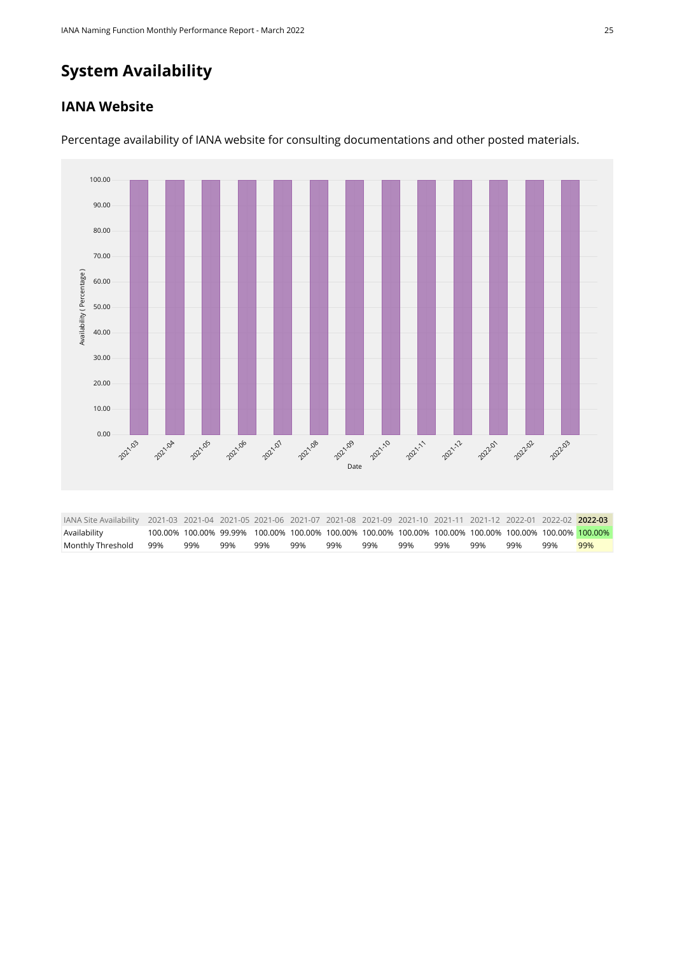## **System Availability**

#### **IANA Website**



Percentage availability of IANA website for consulting documentations and other posted materials.

<span id="page-24-0"></span>

| IANA Site Availability 2021-03 2021-04 2021-05 2021-06 2021-07 2021-08 2021-09 2021-10 2021-11 2021-12 2022-01 2022-02 2022-03 |     |     |     |     |     |     |                                                                                                        |     |     |     |     |     |
|--------------------------------------------------------------------------------------------------------------------------------|-----|-----|-----|-----|-----|-----|--------------------------------------------------------------------------------------------------------|-----|-----|-----|-----|-----|
| Availability                                                                                                                   |     |     |     |     |     |     | 100.00% 100.00% 99.99% 100.00% 100.00% 100.00% 100.00% 100.00% 100.00% 100.00% 100.00% 100.00% 100.00% |     |     |     |     |     |
| Monthly Threshold 99%                                                                                                          | 99% | 99% | 99% | 99% | 99% | 99% | 99%                                                                                                    | 99% | 99% | 99% | 99% | 99% |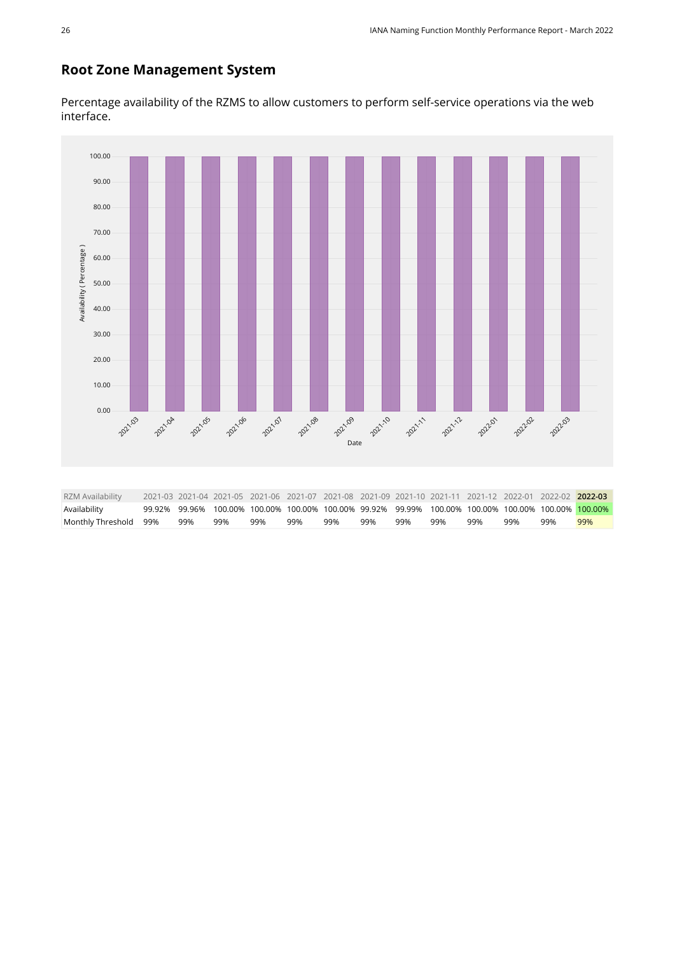#### **Root Zone Management System**

Percentage availability of the RZMS to allow customers to perform self-service operations via the web interface.

<span id="page-25-0"></span>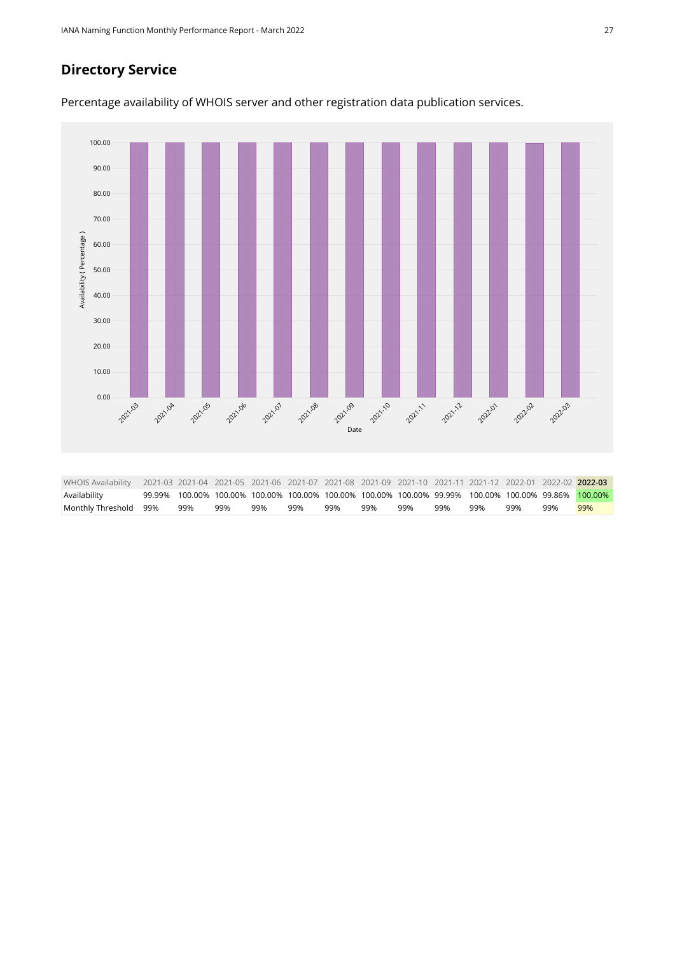#### **Directory Service**



<span id="page-26-0"></span>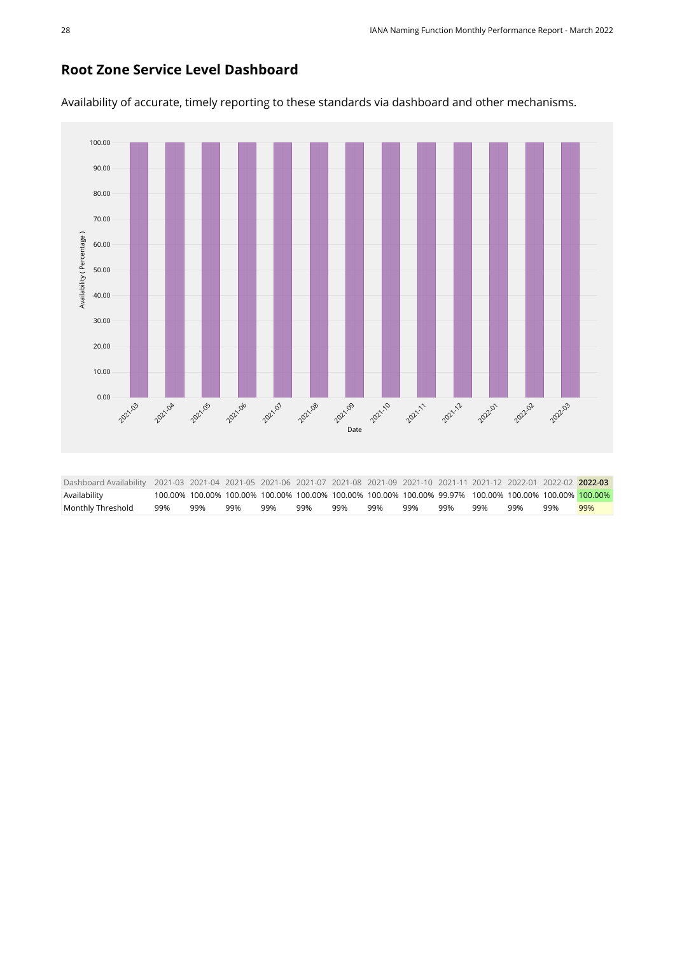#### **Root Zone Service Level Dashboard**

100.00 90.00 80.00 70.00 Availability (Percentage) [Availability \( Percentage \)](https://sle-dashboard.iana.org/chart/root-zone-service-level-dashboard/?granularity=monthly&start=2021-03-01&end=2022-04-01) 60.00 50.00 40.00 30.00 20.00 10.00 0.00 **2021-08** 2021-10 2021.03 2021.04 2021.05 2021-06 2021.07 **2021.09** 2021-12 202202 2021-11 **202201** 2022.03 [Date](https://sle-dashboard.iana.org/chart/root-zone-service-level-dashboard/?granularity=monthly&start=2021-03-01&end=2022-04-01) Dashboard Availability 2021-03 2021-04 2021-05 2021-06 2021-07 2021-08 2021-09 2021-10 2021-11 2021-12 2022-01 2022-02 **2022-03** Availability 100.00% 100.00% 100.00% 100.00% 100.00% 100.00% 100.00% 100.00% 99.97% 100.00% 100.00% 100.00% 100.00%

<span id="page-27-0"></span>Monthly Threshold 99% 99% 99% 99% 99% 99% 99% 99% 99% 99% 99% 99% 99%

Availability of accurate, timely reporting to these standards via dashboard and other mechanisms.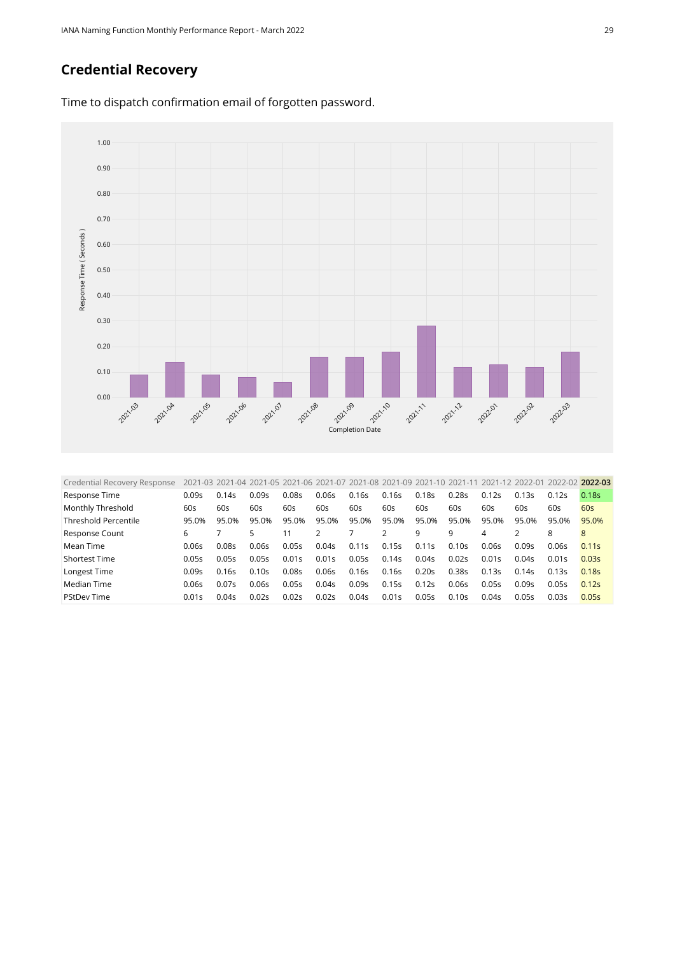#### **Credential Recovery**



Time to dispatch confirmation email of forgotten password.

<span id="page-28-0"></span>

| Credential Recovery Response |       | 2021-03 2021-04 2021-05 2021-06 2021-07 2021-08 2021-09 2021-10 2021-11 |       |       |       |       |       |       |       |       | 2021-12 2022-01 | 2022-02 2022-03 |                   |
|------------------------------|-------|-------------------------------------------------------------------------|-------|-------|-------|-------|-------|-------|-------|-------|-----------------|-----------------|-------------------|
| Response Time                | 0.09s | 0.14s                                                                   | 0.09s | 0.08s | 0.06s | 0.16s | 0.16s | 0.18s | 0.28s | 0.12s | 0.13s           | 0.12s           | 0.18 <sub>S</sub> |
| Monthly Threshold            | 60s   | 60s                                                                     | 60s   | 60s   | 60s   | 60s   | 60s   | 60s   | 60s   | 60s   | 60s             | 60s             | 60s               |
| <b>Threshold Percentile</b>  | 95.0% | 95.0%                                                                   | 95.0% | 95.0% | 95.0% | 95.0% | 95.0% | 95.0% | 95.0% | 95.0% | 95.0%           | 95.0%           | 95.0%             |
| Response Count               | 6     |                                                                         | 5.    | 11    |       |       |       | 9     | 9     | 4     |                 | 8               | 8                 |
| Mean Time                    | 0.06s | 0.08s                                                                   | 0.06s | 0.05s | 0.04s | 0.11s | 0.15s | 0.11s | 0.10s | 0.06s | 0.09s           | 0.06s           | 0.11s             |
| <b>Shortest Time</b>         | 0.05s | 0.05s                                                                   | 0.05s | 0.01s | 0.01s | 0.05s | 0.14s | 0.04s | 0.02s | 0.01s | 0.04s           | 0.01s           | 0.03s             |
| Longest Time                 | 0.09s | 0.16s                                                                   | 0.10s | 0.08s | 0.06s | 0.16s | 0.16s | 0.20s | 0.38s | 0.13s | 0.14s           | 0.13s           | 0.18s             |
| Median Time                  | 0.06s | 0.075                                                                   | 0.06s | 0.05s | 0.04s | 0.09s | 0.15s | 0.12s | 0.06s | 0.05s | 0.09s           | 0.05s           | 0.12s             |
| <b>PStDev Time</b>           | 0.01s | 0.04s                                                                   | 0.02s | 0.02s | 0.02s | 0.04s | 0.01s | 0.05s | 0.10s | 0.04s | 0.05s           | 0.03s           | 0.05s             |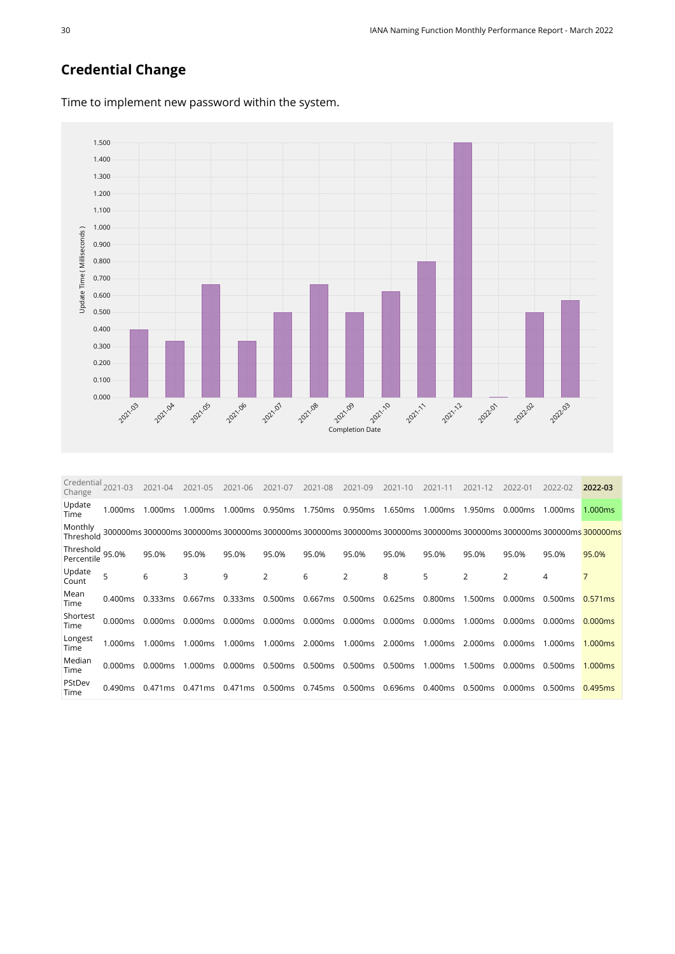#### **Credential Change**



Time to implement new password within the system.

<span id="page-29-0"></span>

| Credential<br>Change    | 2021-03 | 2021-04           | $2021 - 05$ | 2021-06 | 2021-07        | 2021-08 | 2021-09 | $2021 - 10$ | 2021-11             | 2021-12             | 2022-01 | 2022-02 | 2022-03                                                                                            |
|-------------------------|---------|-------------------|-------------|---------|----------------|---------|---------|-------------|---------------------|---------------------|---------|---------|----------------------------------------------------------------------------------------------------|
| Update<br>Time          | 1.000ms | 1.000ms           | 1.000ms     | 1.000ms | 0.950ms        | 1.750ms | 0.950ms | 1.650ms     | 1.000 <sub>ms</sub> | 1.950ms             | 0.000ms | 1.000ms | 1.000ms                                                                                            |
| Monthly<br>Threshold    |         | 300000ms 300000ms |             |         |                |         |         |             |                     |                     |         |         | 300000ms 300000ms 300000ms 300000ms 300000ms 300000ms 300000ms 300000ms 300000ms 300000ms 300000ms |
| Threshold<br>Percentile | 95.0%   | 95.0%             | 95.0%       | 95.0%   | 95.0%          | 95.0%   | 95.0%   | 95.0%       | 95.0%               | 95.0%               | 95.0%   | 95.0%   | 95.0%                                                                                              |
| Update<br>Count         | 5       | 6                 | 3           | 9       | $\overline{2}$ | 6       | 2       | 8           | 5                   | 2                   | 2       | 4       | $\overline{7}$                                                                                     |
| Mean<br>Time            | 0.400ms | 0.333ms           | 0.667ms     | 0.333ms | 0.500ms        | 0.667ms | 0.500ms | 0.625ms     | 0.800ms             | 1.500ms             | 0.000ms | 0.500ms | 0.571ms                                                                                            |
| Shortest<br>Time        | 0.000ms | 0.000ms           | 0.000ms     | 0.000ms | 0.000ms        | 0.000ms | 0.000ms | 0.000ms     | 0.000ms             | 1.000ms             | 0.000ms | 0.000ms | 0.000ms                                                                                            |
| Longest<br>Time         | 1.000ms | 1.000ms           | 1.000ms     | 1.000ms | 1.000ms        | 2.000ms | 1.000ms | 2.000ms     | 1.000 <sub>ms</sub> | 2.000ms             | 0.000ms | 1.000ms | 1.000ms                                                                                            |
| Median<br>Time          | 0.000ms | 0.000ms           | 1.000ms     | 0.000ms | 0.500ms        | 0.500ms | 0.500ms | 0.500ms     | 1.000ms             | 1.500 <sub>ms</sub> | 0.000ms | 0.500ms | 1.000ms                                                                                            |
| PStDev<br>Time          | 0.490ms | 0.471ms           | 0.471 ms    | 0.471ms | 0.500ms        | 0.745ms | 0.500ms | 0.696ms     | 0.400ms             | 0.500ms             | 0.000ms | 0.500ms | 0.495ms                                                                                            |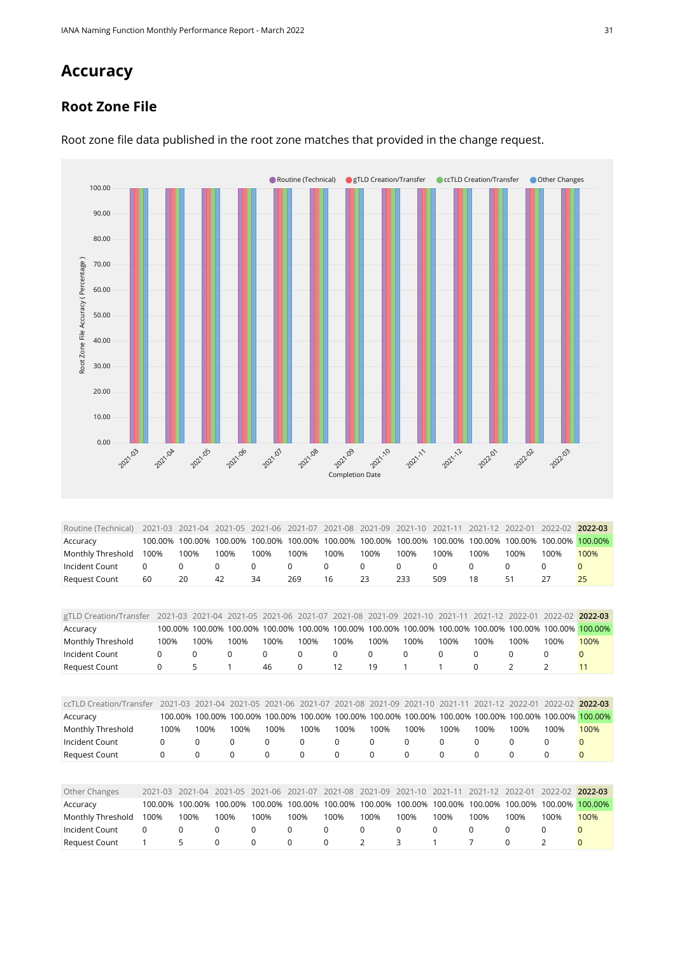## **Accuracy**

#### **Root Zone File**



Root zone file data published in the root zone matches that provided in the change request.

<span id="page-30-0"></span>

| Routine (Technical)                                                                                                            |      |      |      |      |      |      |      |      |      |      |      | 2021-03 2021-04 2021-05 2021-06 2021-07 2021-08 2021-09 2021-10 2021-11 2021-12 2022-01 2022-02 2022-03 |         |
|--------------------------------------------------------------------------------------------------------------------------------|------|------|------|------|------|------|------|------|------|------|------|---------------------------------------------------------------------------------------------------------|---------|
| Accuracy                                                                                                                       |      |      |      |      |      |      |      |      |      |      |      | 100.00% 100.00% 100.00% 100.00% 100.00% 100.00% 100.00% 100.00% 100.00% 100.00% 100.00% 100.00%         | 100.00% |
| Monthly Threshold                                                                                                              | 100% | 100% | 100% | 100% | 100% | 100% | 100% | 100% | 100% | 100% | 100% | 100%                                                                                                    | 100%    |
| Incident Count                                                                                                                 | 0    |      |      | 0    |      |      |      | 0    |      |      |      |                                                                                                         |         |
| Request Count                                                                                                                  | 60   | 20   | 42   | 34   | 269  | 16   | 23   | 233  | 509  | 18   | 51   |                                                                                                         | 25      |
|                                                                                                                                |      |      |      |      |      |      |      |      |      |      |      |                                                                                                         |         |
|                                                                                                                                |      |      |      |      |      |      |      |      |      |      |      |                                                                                                         |         |
| gTLD Creation/Transfer 2021-03 2021-04 2021-05 2021-06 2021-07 2021-08 2021-09 2021-10 2021-11 2021-12 2022-01 2022-02 2022-03 |      |      |      |      |      |      |      |      |      |      |      |                                                                                                         |         |

<span id="page-30-3"></span><span id="page-30-2"></span><span id="page-30-1"></span>

| g i LD Creation/Transfer |         |             | ZUZ I-U3 ZUZ I-U4 | CUZ I-US    |             |             | ZUZT-UN ZUZT-UZ ZUZT-U8 | $2021 - 09$                     | $202 - 10$  | $202 - 1$       |             | $2021 - 12$ $2022 - 01$ | ZUZZ-UZ ZUZZ-U3 |              |
|--------------------------|---------|-------------|-------------------|-------------|-------------|-------------|-------------------------|---------------------------------|-------------|-----------------|-------------|-------------------------|-----------------|--------------|
| Accuracy                 |         | 100.00%     | 100.00%           | 100.00%     | 100.00%     | 100.00%     |                         | 100.00% 100.00%                 |             | 100.00% 100.00% | 100.00%     | 100.00%                 | 100.00%         | 100.00%      |
| Monthly Threshold        |         | 100%        | 100%              | 100%        | 100%        | 100%        | 100%                    | 100%                            | 100%        | 100%            | 100%        | 100%                    | 100%            | 100%         |
| Incident Count           | 0       |             | 0                 | $\mathbf 0$ | 0           | 0           | 0                       | 0                               | $\mathbf 0$ | $\Omega$        | 0           | 0                       | 0               |              |
| <b>Request Count</b>     | 0       |             | 5                 | 1           | 46          | 0           | 12                      | 19                              | 1           |                 | 0           | 2                       | 2               | 11           |
|                          |         |             |                   |             |             |             |                         |                                 |             |                 |             |                         |                 |              |
| ccTLD Creation/Transfer  |         | 2021-03     | 2021-04 2021-05   |             | 2021-06     | 2021-07     | 2021-08                 | 2021-09                         | $2021 - 10$ | $2021 - 11$     |             | 2021-12 2022-01         | $2022 - 02$     | 2022-03      |
| Accuracy                 |         | 100.00%     | 100.00%           | 100.00%     |             |             |                         | 100.00% 100.00% 100.00% 100.00% | 100.00%     | 100.00%         | 100.00%     | 100.00%                 | 100.00%         | 100.00%      |
| Monthly Threshold        |         | 100%        | 100%              | 100%        | 100%        | 100%        | 100%                    | 100%                            | 100%        | 100%            | 100%        | 100%                    | 100%            | 100%         |
| Incident Count           |         | 0           | 0                 | $\Omega$    | 0           | $\mathbf 0$ | 0                       | 0                               | 0           | 0               | 0           | 0                       | 0               |              |
| <b>Request Count</b>     |         | $\mathbf 0$ | 0                 | 0           | $\mathbf 0$ | $\mathbf 0$ | 0                       | 0                               | 0           | $\mathbf 0$     | $\mathbf 0$ | 0                       | 0               | $\mathbf{0}$ |
|                          |         |             |                   |             |             |             |                         |                                 |             |                 |             |                         |                 |              |
| Other Changes            | 2021-03 |             | 2021-04           | 2021-05     | $2021 - 06$ | 2021-07     | 2021-08                 | 2021-09                         | $2021 - 10$ | $2021 - 11$     | $2021 - 12$ | 2022-01                 | 2022-02         | 2022-03      |
| Accuracy                 | 100.00% |             | 100.00%           | 100.00%     | 100.00%     | 100.00%     | 100.00%                 | 100.00%                         | 100.00%     | 100.00%         | 100.00%     | 100.00%                 | 100.00%         | 100.00%      |
| Monthly Threshold        | 100%    | 100%        | 100%              |             | 100%        | 100%        | 100%                    | 100%                            | 100%        | 100%            | 100%        | 100%                    | 100%            | 100%         |
| Incident Count           | 0       | 0           | $\Omega$          | 0           | $\Omega$    |             | $\Omega$                | $\Omega$                        | $\Omega$    | 0               | $\mathbf 0$ | $\Omega$                | $\Omega$        | $\Omega$     |
| <b>Request Count</b>     |         | 5           | $\Omega$          |             | $\Omega$    |             | $\Omega$                | $\overline{2}$                  | 3           |                 |             | 0                       | フ               | 0            |
|                          |         |             |                   |             |             |             |                         |                                 |             |                 |             |                         |                 |              |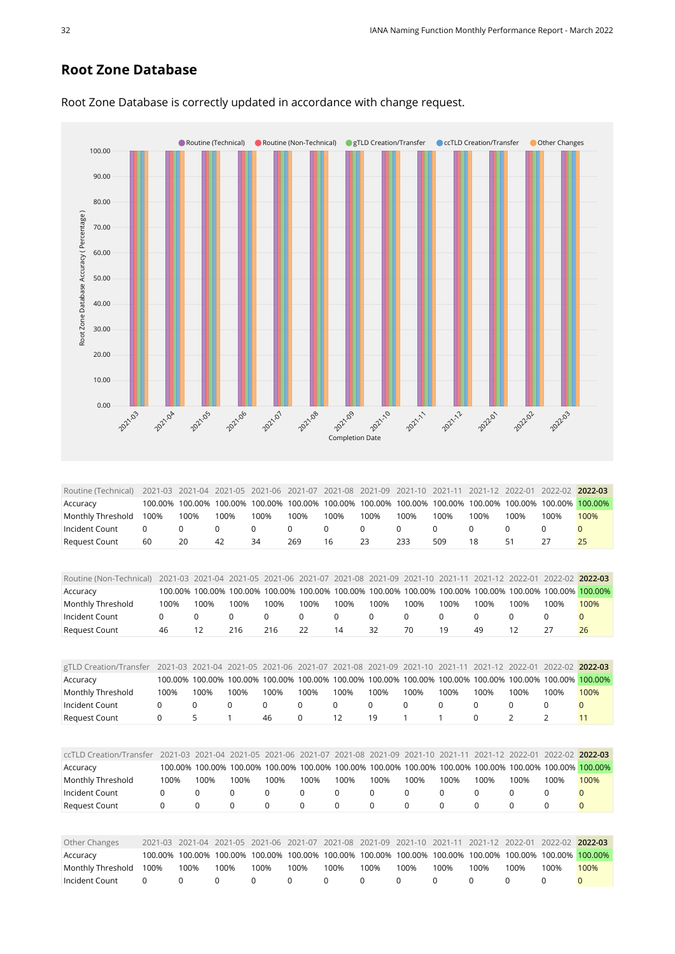#### **Root Zone Database**



Root Zone Database is correctly updated in accordance with change request.

<span id="page-31-4"></span><span id="page-31-3"></span><span id="page-31-2"></span><span id="page-31-1"></span><span id="page-31-0"></span>

| Routine (Non-Technical) |             | 2021-03     |                 | 2021-04 2021-05         |                 |             |             | 2021-06 2021-07 2021-08 2021-09                         |             | 2021-10 2021-11 |             | 2021-12 2022-01 | 2022-02 2022-03 |              |
|-------------------------|-------------|-------------|-----------------|-------------------------|-----------------|-------------|-------------|---------------------------------------------------------|-------------|-----------------|-------------|-----------------|-----------------|--------------|
| Accuracy                |             | 100.00%     | 100.00%         | 100.00%                 | 100.00%         | 100.00%     | 100.00%     | 100.00%                                                 |             | 100.00% 100.00% | 100.00%     | 100.00%         | 100.00%         | 100.00%      |
| Monthly Threshold       |             | 100%        | 100%            | 100%                    | 100%            | 100%        | 100%        | 100%                                                    | 100%        | 100%            | 100%        | 100%            | 100%            | 100%         |
| Incident Count          |             | 0           | 0               | $\Omega$                | $\mathbf 0$     | 0           | 0           | 0                                                       | 0           | $\mathbf 0$     | 0           | $\Omega$        | $\mathbf 0$     | $\mathbf{0}$ |
| <b>Request Count</b>    |             | 46          | 12              | 216                     | 216             | 22          | 14          | 32                                                      | 70          | 19              | 49          | 12              | 27              | 26           |
|                         |             |             |                 |                         |                 |             |             |                                                         |             |                 |             |                 |                 |              |
| gTLD Creation/Transfer  |             |             |                 | 2021-03 2021-04 2021-05 | 2021-06 2021-07 |             |             | 2021-08 2021-09                                         | $2021 - 10$ | 2021-11         | $2021 - 12$ | 2022-01         | $2022 - 02$     | 2022-03      |
| Accuracy                |             |             | 100.00% 100.00% | 100.00%                 | 100.00%         | 100.00%     |             | 100.00% 100.00%                                         | 100.00%     | 100.00%         | 100.00%     | 100.00%         | 100.00%         | 100.00%      |
| Monthly Threshold       |             | 100%        | 100%            | 100%                    | 100%            | 100%        | 100%        | 100%                                                    | 100%        | 100%            | 100%        | 100%            | 100%            | 100%         |
| Incident Count          | 0           |             | 0               | 0                       | 0               | 0           | 0           | 0                                                       | 0           | 0               | 0           | 0               | 0               | $\mathbf{0}$ |
| Request Count           | $\mathsf 0$ |             | 5               | $\mathbf{1}$            | 46              | 0           | 12          | 19                                                      | 1           | 1               | 0           | $\overline{2}$  | $\overline{2}$  | 11           |
|                         |             |             |                 |                         |                 |             |             |                                                         |             |                 |             |                 |                 |              |
| ccTLD Creation/Transfer |             | $2021 - 03$ | $2021 - 04$     |                         | 2021-05 2021-06 | 2021-07     | 2021-08     | 2021-09                                                 | $2021 - 10$ | 2021-11         |             | 2021-12 2022-01 | $2022 - 02$     | 2022-03      |
| Accuracy                |             |             |                 |                         |                 |             |             | 100.00% 100.00% 100.00% 100.00% 100.00% 100.00% 100.00% |             | 100.00% 100.00% |             | 100.00% 100.00% | 100.00%         | 100.00%      |
| Monthly Threshold       |             | 100%        | 100%            | 100%                    | 100%            | 100%        | 100%        | 100%                                                    | 100%        | 100%            | 100%        | 100%            | 100%            | 100%         |
| Incident Count          |             | 0           | 0               | 0                       | 0               | $\mathbf 0$ | 0           | 0                                                       | 0           | $\mathbf 0$     | $\mathbf 0$ | 0               | $\mathbf 0$     | $\mathbf{0}$ |
| <b>Request Count</b>    |             | 0           | 0               | $\mathbf 0$             | $\Omega$        | $\mathbf 0$ | $\mathbf 0$ | 0                                                       | $\Omega$    | $\Omega$        | $\mathbf 0$ | $\Omega$        | 0               | $\mathbf{0}$ |
|                         |             |             |                 |                         |                 |             |             |                                                         |             |                 |             |                 |                 |              |
| Other Changes           | $2021 - 03$ |             | $2021 - 04$     | 2021-05                 | 2021-06         | 2021-07     | 2021-08     | 2021-09                                                 | $2021 - 10$ | $2021 - 11$     | 2021-12     | 2022-01         | 2022-02         | 2022-03      |
| Accuracy                | 100.00%     |             | 100.00%         | 100.00%                 | 100.00%         | 100.00%     | 100.00%     | 100.00%                                                 | 100.00%     | 100.00%         | 100.00%     | 100.00%         | 100.00%         | 100.00%      |
| Monthly Threshold       | 100%        | 100%        |                 | 100%                    | 100%            | 100%        | 100%        | 100%                                                    | 100%        | 100%            | 100%        | 100%            | 100%            | 100%         |
| Incident Count          | $\mathbf 0$ | $\Omega$    | 0               | $\Omega$                | $\Omega$        |             | $\Omega$    | $\Omega$                                                | $\Omega$    | $\Omega$        | $\Omega$    | $\Omega$        | $\Omega$        | $\Omega$     |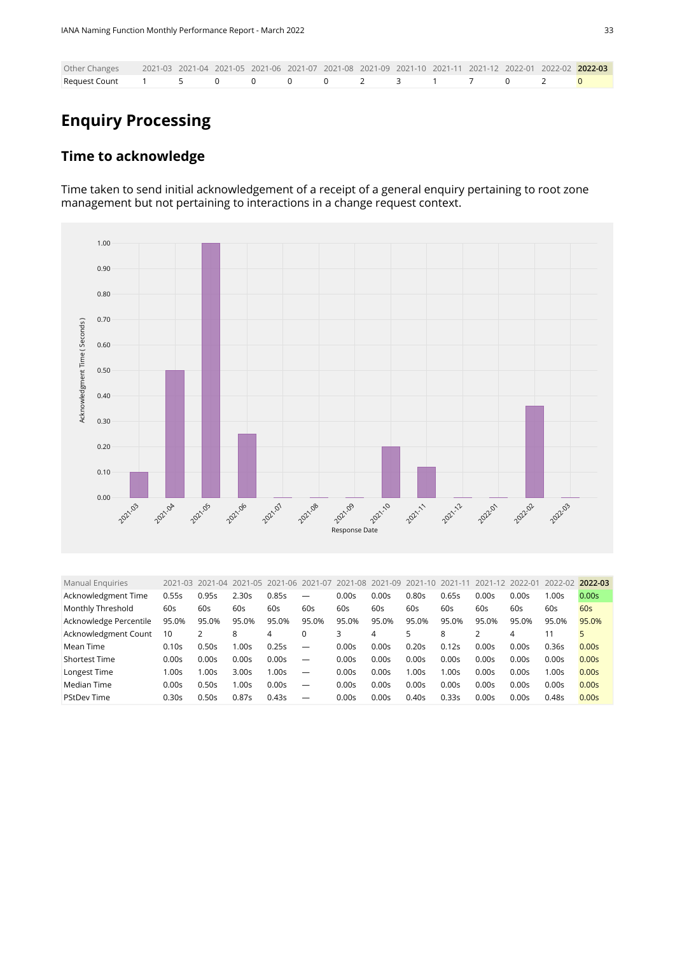| Other Changes 2021-03 2021-04 2021-05 2021-06 2021-07 2021-08 2021-09 2021-10 2021-11 2021-12 2022-01 2022-02 2022-03 |  |  |  |  |  |  |  |
|-----------------------------------------------------------------------------------------------------------------------|--|--|--|--|--|--|--|
| Request Count    1    5    0    0    0     0    2    3    1     7     0    2 <mark>0</mark>                           |  |  |  |  |  |  |  |

## **Enquiry Processing**

#### **Time to acknowledge**

Time taken to send initial acknowledgement of a receipt of a general enquiry pertaining to root zone management but not pertaining to interactions in a change request context.



<span id="page-32-0"></span>

| <b>Manual Enquiries</b> | 2021-03 | 2021-04 | 2021-05 2021-06 |       | 2021-07 | 2021-08 | 2021-09 | $2021 - 10$ | $2021 - 1$ | 2021-12 | 2022-01 | 2022-02 | 2022-03           |
|-------------------------|---------|---------|-----------------|-------|---------|---------|---------|-------------|------------|---------|---------|---------|-------------------|
| Acknowledgment Time     | 0.55s   | 0.95s   | 2.30s           | 0.85s | -       | 0.00s   | 0.00s   | 0.80s       | 0.65s      | 0.00s   | 0.00s   | 1.00s   | 0.00 <sub>S</sub> |
| Monthly Threshold       | 60s     | 60s     | 60s             | 60s   | 60s     | 60s     | 60s     | 60s         | 60s        | 60s     | 60s     | 60s     | 60s               |
| Acknowledge Percentile  | 95.0%   | 95.0%   | 95.0%           | 95.0% | 95.0%   | 95.0%   | 95.0%   | 95.0%       | 95.0%      | 95.0%   | 95.0%   | 95.0%   | 95.0%             |
| Acknowledgment Count    | 10      | 2       | 8               | 4     | 0       | 3       | 4       | 5           | 8          |         | 4       | 11      | 5                 |
| Mean Time               | 0.10s   | 0.50s   | 1.00s           | 0.25s |         | 0.00s   | 0.00s   | 0.20s       | 0.12s      | 0.00s   | 0.00s   | 0.36s   | 0.00s             |
| <b>Shortest Time</b>    | 0.00s   | 0.00s   | 0.00s           | 0.00s |         | 0.00s   | 0.00s   | 0.00s       | 0.00s      | 0.00s   | 0.00s   | 0.00s   | 0.00s             |
| Longest Time            | 1.00s   | 1.00s   | 3.00s           | 1.00s |         | 0.00s   | 0.00s   | 1.00s       | 1.00s      | 0.00s   | 0.00s   | 1.00s   | 0.00s             |
| Median Time             | 0.00s   | 0.50s   | 1.00s           | 0.00s |         | 0.00s   | 0.00s   | 0.00s       | 0.00s      | 0.00s   | 0.00s   | 0.00s   | 0.00s             |
| PStDev Time             | 0.30s   | 0.50s   | 0.87s           | 0.43s |         | 0.00s   | 0.00s   | 0.40s       | 0.33s      | 0.00s   | 0.00s   | 0.48s   | 0.00s             |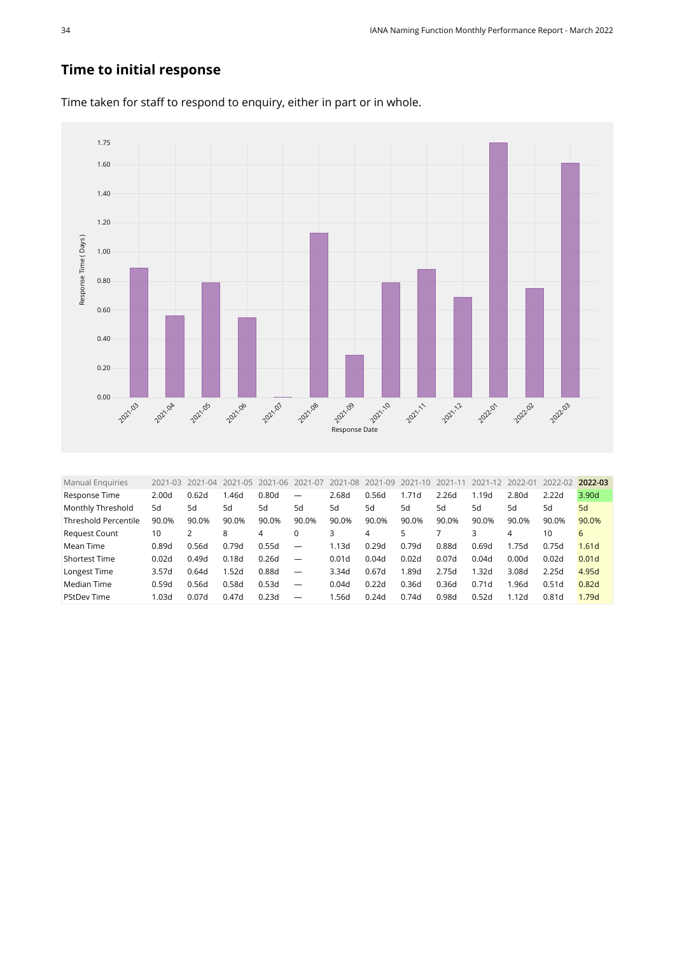#### **Time to initial response**



Time taken for staff to respond to enquiry, either in part or in whole.

<span id="page-33-0"></span>

| 2.26d<br>3.90d<br>2.00d<br>0.62d<br>0.80d<br>2.68d<br>0.56d<br>1.19d<br>2.80d<br>1.46d<br>Response Time<br>1.71d<br>2.22d<br>—                            |  |
|-----------------------------------------------------------------------------------------------------------------------------------------------------------|--|
|                                                                                                                                                           |  |
| Monthly Threshold<br>5d<br>5d<br>5d<br>5d<br>5d<br>5d<br>5d<br>5d<br>5d<br>5d<br>5d<br>5d<br>5d                                                           |  |
| <b>Threshold Percentile</b><br>90.0%<br>90.0%<br>90.0%<br>90.0%<br>90.0%<br>90.0%<br>90.0%<br>90.0%<br>90.0%<br>90.0%<br>90.0%<br>90.0%<br>90.0%          |  |
| 10<br><b>Request Count</b><br>3<br>3<br>10<br>6<br>8<br>0<br>4<br>4<br>4                                                                                  |  |
| 0.56d<br>0.79d<br>0.55d<br>1.13d<br>0.88d<br>1.75d<br>0.89d<br>0.29d<br>0.79d<br>0.69d<br>1.61d<br>0.75d<br>Mean Time<br>$\overline{\phantom{m}}$         |  |
| 0.02d<br>0.18d<br>0.26d<br>0.07d<br>0.01 <sub>d</sub><br><b>Shortest Time</b><br>0.49d<br>0.01d<br>0.04d<br>0.02d<br>0.04d<br>0.00d<br>0.02d              |  |
| 1.52d<br>2.75d<br>.32d<br>4.95d<br>3.57d<br>0.88d<br>0.67d<br>1.89d<br>3.08d<br>Longest Time<br>0.64d<br>2.25d<br>3.34d<br>$\overline{\phantom{m}}$       |  |
| 0.53d<br>0.58d<br>0.36d<br>0.82d<br>Median Time<br>0.59d<br>0.56d<br>0.22d<br>0.36d<br>0.71d<br>1.96d<br>0.51d<br>0.04d<br>$\overline{\phantom{m}}$       |  |
| 0.23d<br><b>PStDev Time</b><br>1.03d<br>0.07d<br>0.47d<br>.56d<br>0.24d<br>0.74d<br>0.98d<br>0.52d<br>1.79d<br>1.12d<br>0.81d<br>$\overline{\phantom{m}}$ |  |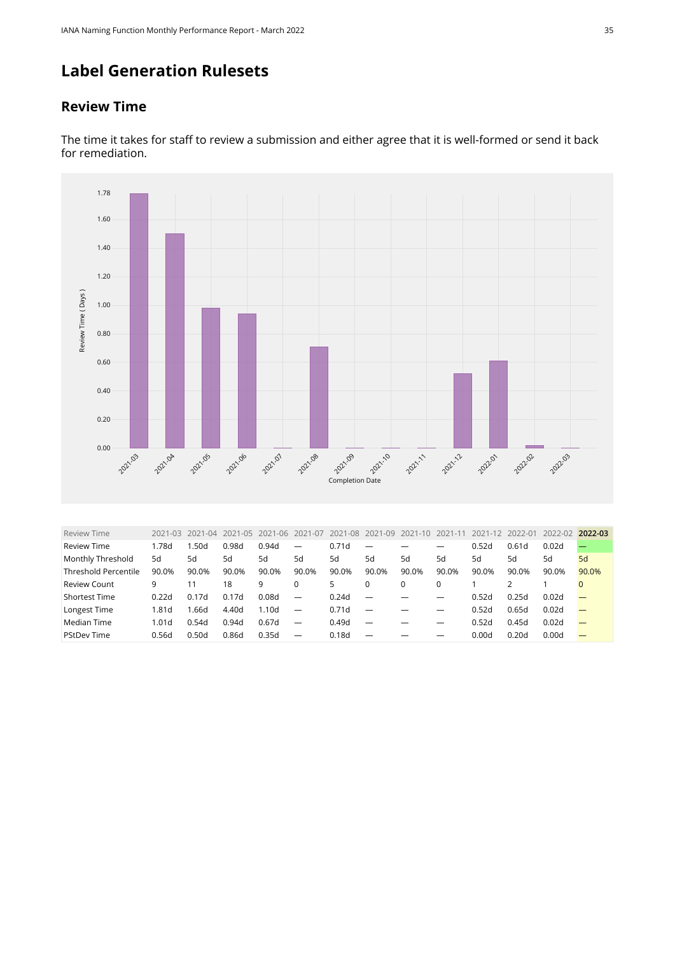## **Label Generation Rulesets**

#### **Review Time**



The time it takes for staff to review a submission and either agree that it is well-formed or send it back for remediation.

<span id="page-34-0"></span>

| <b>Review Time</b>          | 2021-03           | 2021-04 | 2021-05 | 2021-06           | 2021-07                  | 2021-08 | 2021-09                  | 2021-10 | 2021-1 | 2021-12 | 2022-01 | 2022-02 | 2022-03  |
|-----------------------------|-------------------|---------|---------|-------------------|--------------------------|---------|--------------------------|---------|--------|---------|---------|---------|----------|
| <b>Review Time</b>          | .78d              | 1.50d   | 0.98d   | 0.94d             | $\overline{\phantom{m}}$ | 0.71d   | $\overline{\phantom{0}}$ |         |        | 0.52d   | 0.61d   | 0.02d   |          |
| Monthly Threshold           | 5d                | 5d      | 5d      | 5d                | 5d                       | 5d      | 5d                       | 5d      | 5d     | 5d      | 5d      | 5d      | 5d       |
| <b>Threshold Percentile</b> | 90.0%             | 90.0%   | 90.0%   | 90.0%             | 90.0%                    | 90.0%   | 90.0%                    | 90.0%   | 90.0%  | 90.0%   | 90.0%   | 90.0%   | 90.0%    |
| <b>Review Count</b>         | 9                 | 11      | 18      | 9                 | $\Omega$                 | 5       | $\Omega$                 |         | 0      |         |         |         | $\Omega$ |
| <b>Shortest Time</b>        | 0.22d             | 0.17d   | 0.17d   | 0.08d             |                          | 0.24d   | $\overline{\phantom{m}}$ |         |        | 0.52d   | 0.25d   | 0.02d   |          |
| Longest Time                | 1.81d             | 1.66d   | 4.40d   | 1.10 <sub>d</sub> | $\overline{\phantom{m}}$ | 0.71d   | $\overline{\phantom{m}}$ |         |        | 0.52d   | 0.65d   | 0.02d   |          |
| Median Time                 | 1.01 <sub>d</sub> | 0.54d   | 0.94d   | 0.67d             | $\overline{\phantom{m}}$ | 0.49d   | $\overline{\phantom{m}}$ |         | —      | 0.52d   | 0.45d   | 0.02d   |          |
| <b>PStDev Time</b>          | 0.56d             | 0.50d   | 0.86d   | 0.35d             | $\overline{\phantom{0}}$ | 0.18d   | $\overline{\phantom{0}}$ |         |        | 0.00d   | 0.20d   | 0.00d   |          |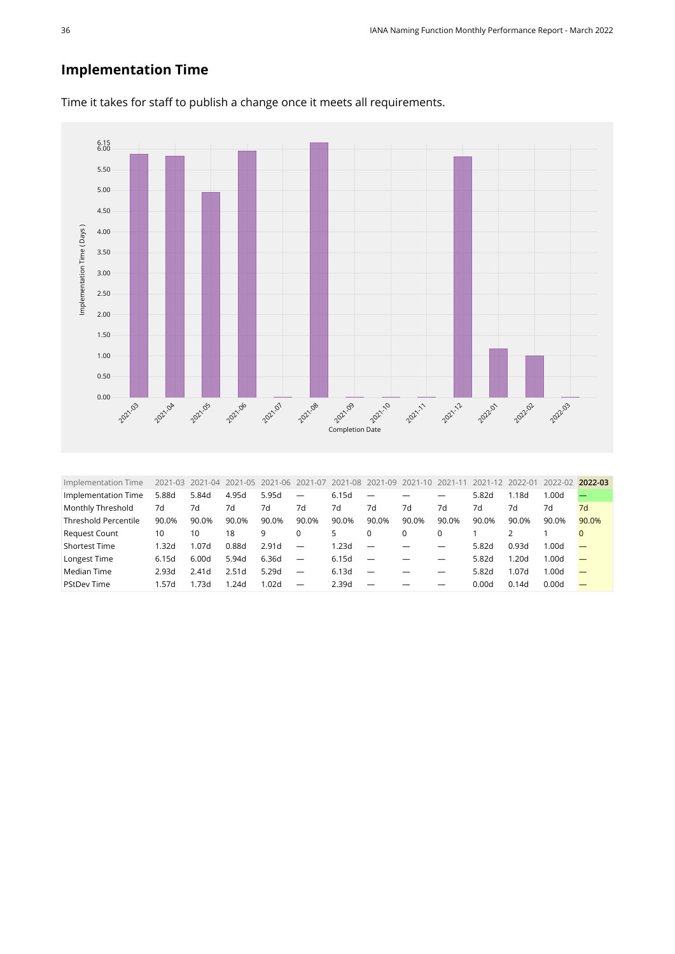#### **Implementation Time**



Time it takes for staff to publish a change once it meets all requirements.

<span id="page-35-0"></span>

| 5.88d<br>5.84d<br>5.95d<br>Implementation Time<br>4.95d<br>6.15d<br>5.82d<br>1.18d<br>1.00d<br>$\overline{\phantom{0}}$<br>Monthly Threshold<br>7d<br>7d<br>7d<br>7d<br>7d<br>7d<br>7d<br>7d<br>7d<br>7d<br>7d<br>7d<br>7d<br><b>Threshold Percentile</b><br>90.0%<br>90.0%<br>90.0%<br>90.0%<br>90.0%<br>90.0%<br>90.0%<br>90.0%<br>90.0%<br>90.0%<br>90.0%<br>90.0%<br>90.0% | 2022-02 2022-03 |
|--------------------------------------------------------------------------------------------------------------------------------------------------------------------------------------------------------------------------------------------------------------------------------------------------------------------------------------------------------------------------------|-----------------|
|                                                                                                                                                                                                                                                                                                                                                                                |                 |
|                                                                                                                                                                                                                                                                                                                                                                                |                 |
|                                                                                                                                                                                                                                                                                                                                                                                |                 |
| <b>Request Count</b><br>18<br>10<br>9<br>$\Omega$<br>10<br>0<br>$\Omega$<br>5.                                                                                                                                                                                                                                                                                                 |                 |
| <b>Shortest Time</b><br>0.88d<br>2.91d<br>1.23d<br>0.93d<br>1.32d<br>1.07d<br>5.82d<br>1.00d<br>–                                                                                                                                                                                                                                                                              |                 |
| Longest Time<br>6.36d<br>1.20d<br>5.94d<br>6.15d<br>6.15d<br>5.82d<br>1.00d<br>6.00d<br>—                                                                                                                                                                                                                                                                                      |                 |
| Median Time<br>5.29d<br>1.07d<br>2.51d<br>6.13d<br>5.82d<br>2.93d<br>1.00d<br>2.41 <sub>d</sub><br>-                                                                                                                                                                                                                                                                           |                 |
| <b>PStDev Time</b><br>1.57d<br>.24d<br>1.02d<br>2.39d<br>l.73d<br>0.00d<br>0.14d<br>0.00d<br>$\overline{\phantom{0}}$<br>_                                                                                                                                                                                                                                                     |                 |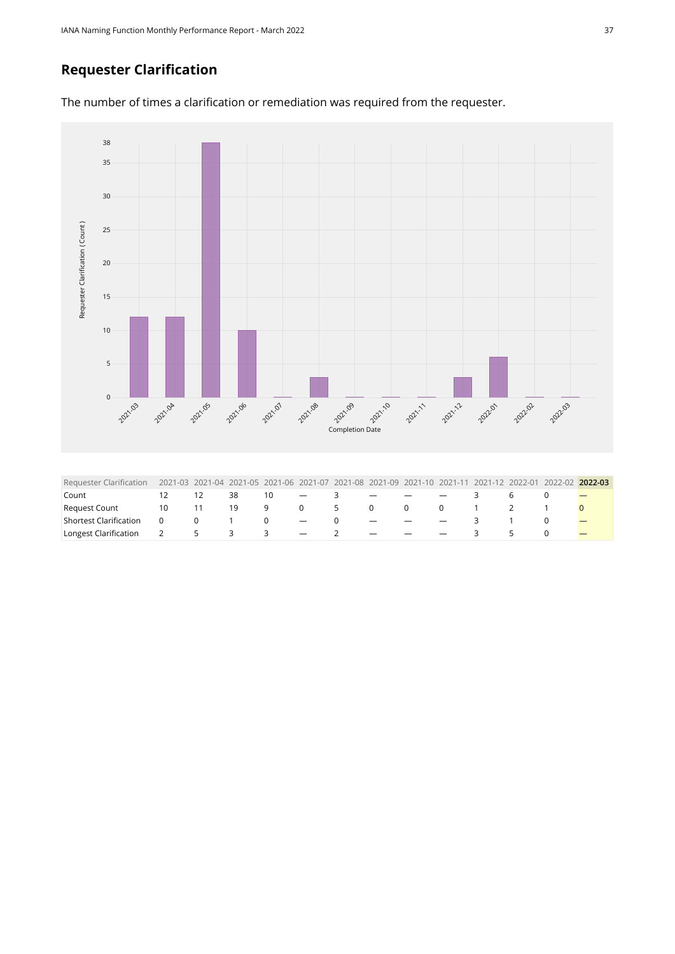#### **Requester Clarification**

The number of times a clarification or remediation was required from the requester.



<span id="page-36-0"></span>

| Requester Clarification |                |                 |                                |                |                                   |          |                                                                                                                  |     |                               |        | 2021-03 2021-04 2021-05 2021-06 2021-07 2021-08 2021-09 2021-10 2021-11 2021-12 2022-01 2022-02 2022-03 |
|-------------------------|----------------|-----------------|--------------------------------|----------------|-----------------------------------|----------|------------------------------------------------------------------------------------------------------------------|-----|-------------------------------|--------|---------------------------------------------------------------------------------------------------------|
| Count                   |                |                 | 38                             | 10             | and the state of the state of the | 3        |                                                                                                                  |     |                               |        |                                                                                                         |
| <b>Request Count</b>    | 10             | $\overline{11}$ | 19                             | $\overline{9}$ | - 0                               |          | 5 0 0                                                                                                            | . റ |                               |        |                                                                                                         |
| Shortest Clarification  | $\overline{0}$ |                 | $0 \qquad 1 \qquad 0 \qquad -$ |                |                                   | $\Omega$ | and the company of the company of the company of the company of the company of the company of the company of the |     | $\mathbb{R}$ and $\mathbb{R}$ |        |                                                                                                         |
| Longest Clarification 2 |                |                 | 5 3 3                          |                | $-2$                              |          | $\sim$ $\sim$ $\sim$ $\sim$ $\sim$ $\sim$                                                                        |     |                               | $\sim$ |                                                                                                         |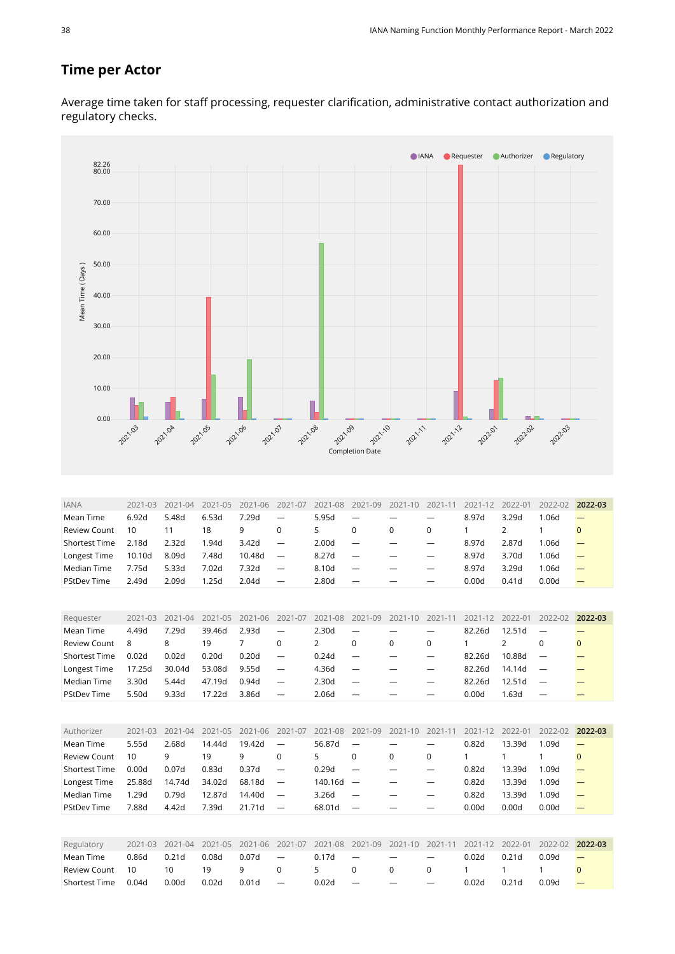#### **Time per Actor**

Average time taken for staff processing, requester clarification, administrative contact authorization and regulatory checks.



<span id="page-37-3"></span><span id="page-37-2"></span><span id="page-37-1"></span><span id="page-37-0"></span>

| Regulatory      |       |       |       | 2021-03 2021-04 2021-05 2021-06 2021-07 2021-08 2021-09 2021-10 2021-11 2021-12 2022-01 2022-02 2022-03 |          |                              |               |                          |                          |       |                   |       |                          |
|-----------------|-------|-------|-------|---------------------------------------------------------------------------------------------------------|----------|------------------------------|---------------|--------------------------|--------------------------|-------|-------------------|-------|--------------------------|
| Mean Time       | 0.86d | 0.21d | 0.08d | $0.07d$ $-$                                                                                             |          |                              | $0.17d -$     | $\overline{\phantom{a}}$ | $\overline{\phantom{a}}$ | 0.02d | 0.21 <sub>d</sub> | 0.09d |                          |
| Review Count 10 |       | 10    | 19    | 9                                                                                                       | $\Omega$ | $\sim$ 5 $\sim$ 0.000 $\sim$ | $\cap$        | $\overline{0}$           |                          |       |                   |       |                          |
| Shortest Time   | 0.04d | 0.00d | 0.02d | $0.01d =$                                                                                               |          | 0.02d                        | $\alpha = -1$ | $\overline{\phantom{0}}$ | $\overline{\phantom{0}}$ | 0.02d | 0.21 <sub>d</sub> | 0.09d | $\overline{\phantom{m}}$ |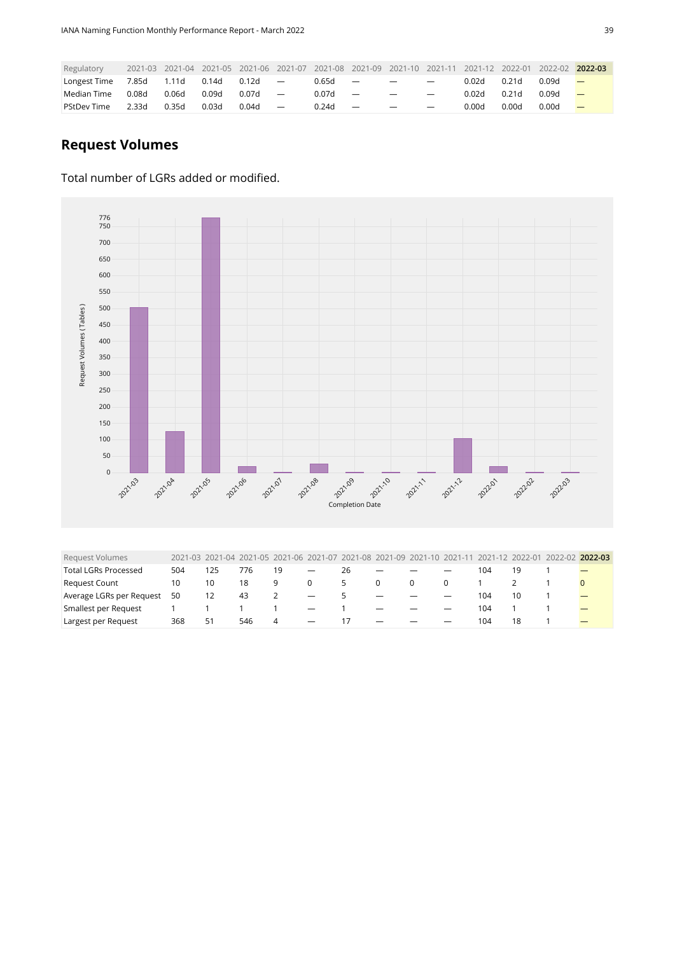| Regulatory         |       |       |       |       |                          |       |                          |                          |                          |       |       | 2021-03 2021-04 2021-05 2021-06 2021-07 2021-08 2021-09 2021-10 2021-11 2021-12 2022-01 2022-02 | 2022-03                  |
|--------------------|-------|-------|-------|-------|--------------------------|-------|--------------------------|--------------------------|--------------------------|-------|-------|-------------------------------------------------------------------------------------------------|--------------------------|
| Longest Time       | 7.85d | 1.11d | 0.14d | 0.12d | $\sim$ $-$               | 0.65d | $\overline{\phantom{0}}$ | $\overline{\phantom{0}}$ | $\overline{\phantom{0}}$ | 0.02d | 0.21d | 0.09d                                                                                           |                          |
| Median Time        | 0.08d | 0.06d | 0.09d | 0.07d |                          | 0.07d | $\overline{\phantom{m}}$ |                          | $\overline{\phantom{0}}$ | 0.02d | 0.21d | 0.09d                                                                                           | $\overline{\phantom{a}}$ |
| <b>PStDev Time</b> | 2.33d | 0.35d | 0.03d | 0.04d | $\overline{\phantom{a}}$ | 0.24d | $\overline{\phantom{a}}$ | $\overline{\phantom{0}}$ | $\overline{\phantom{0}}$ | 0.00d | 0.00d | 0.00d                                                                                           |                          |

#### **Request Volumes**

#### Total number of LGRs added or modified.



<span id="page-38-0"></span>

| <b>Request Volumes</b>      |     |    | 2021-03 2021-04 2021-05 2021-06 2021-07 2021-08 2021-09 2021-10 2021-11 2021-12 2022-01 2022-02 2022-03 |    |                                 |               |                          |                          |     |    |  |
|-----------------------------|-----|----|---------------------------------------------------------------------------------------------------------|----|---------------------------------|---------------|--------------------------|--------------------------|-----|----|--|
| <b>Total LGRs Processed</b> | 504 | 25 | 1/6                                                                                                     | 19 | $\overline{\phantom{m}}$        | 26            |                          |                          | 104 |    |  |
| <b>Request Count</b>        | 10  | 10 | 18                                                                                                      | q. | $\Omega$                        | $\mathcal{L}$ | $\Omega$                 | $\Omega$                 |     |    |  |
| Average LGRs per Request    | 50  | 12 | -43                                                                                                     |    | $\hspace{0.1mm}-\hspace{0.1mm}$ | 5.            |                          |                          | 104 | 10 |  |
| Smallest per Request        |     |    |                                                                                                         |    | $\hspace{0.1mm}-\hspace{0.1mm}$ |               | $\overline{\phantom{0}}$ | $\overline{\phantom{0}}$ | 104 |    |  |
| Largest per Request         | 368 | 51 | 546                                                                                                     | 4  | $\overline{\phantom{0}}$        | 17            |                          | $\overline{\phantom{0}}$ | 104 | 18 |  |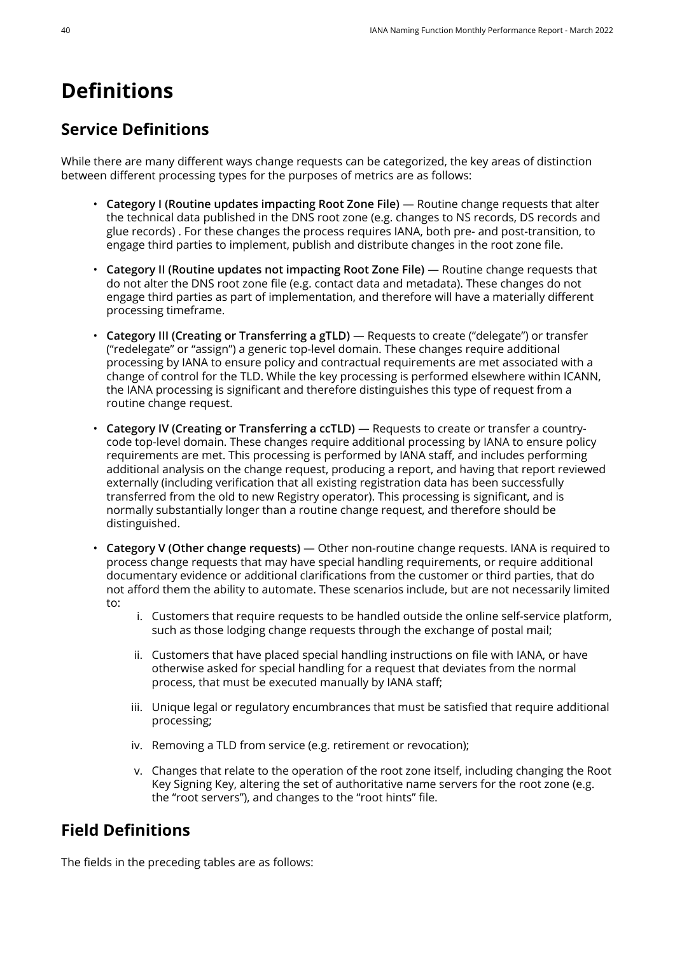## <span id="page-39-0"></span>**Definitions**

### **Service Definitions**

While there are many different ways change requests can be categorized, the key areas of distinction between different processing types for the purposes of metrics are as follows:

- **Category I (Routine updates impacting Root Zone File)** Routine change requests that alter the technical data published in the DNS root zone (e.g. changes to NS records, DS records and glue records) . For these changes the process requires IANA, both pre- and post-transition, to engage third parties to implement, publish and distribute changes in the root zone file.
- **Category II (Routine updates not impacting Root Zone File)** Routine change requests that do not alter the DNS root zone file (e.g. contact data and metadata). These changes do not engage third parties as part of implementation, and therefore will have a materially different processing timeframe.
- **Category III (Creating or Transferring a gTLD)** Requests to create ("delegate") or transfer ("redelegate" or "assign") a generic top-level domain. These changes require additional processing by IANA to ensure policy and contractual requirements are met associated with a change of control for the TLD. While the key processing is performed elsewhere within ICANN, the IANA processing is significant and therefore distinguishes this type of request from a routine change request.
- **Category IV (Creating or Transferring a ccTLD)** Requests to create or transfer a countrycode top-level domain. These changes require additional processing by IANA to ensure policy requirements are met. This processing is performed by IANA staff, and includes performing additional analysis on the change request, producing a report, and having that report reviewed externally (including verification that all existing registration data has been successfully transferred from the old to new Registry operator). This processing is significant, and is normally substantially longer than a routine change request, and therefore should be distinguished.
- **Category V (Other change requests)** Other non-routine change requests. IANA is required to process change requests that may have special handling requirements, or require additional documentary evidence or additional clarifications from the customer or third parties, that do not afford them the ability to automate. These scenarios include, but are not necessarily limited to:
	- i. Customers that require requests to be handled outside the online self-service platform, such as those lodging change requests through the exchange of postal mail;
	- ii. Customers that have placed special handling instructions on file with IANA, or have otherwise asked for special handling for a request that deviates from the normal process, that must be executed manually by IANA staff;
	- iii. Unique legal or regulatory encumbrances that must be satisfied that require additional processing;
	- iv. Removing a TLD from service (e.g. retirement or revocation);
	- v. Changes that relate to the operation of the root zone itself, including changing the Root Key Signing Key, altering the set of authoritative name servers for the root zone (e.g. the "root servers"), and changes to the "root hints" file.

#### **Field Definitions**

The fields in the preceding tables are as follows: